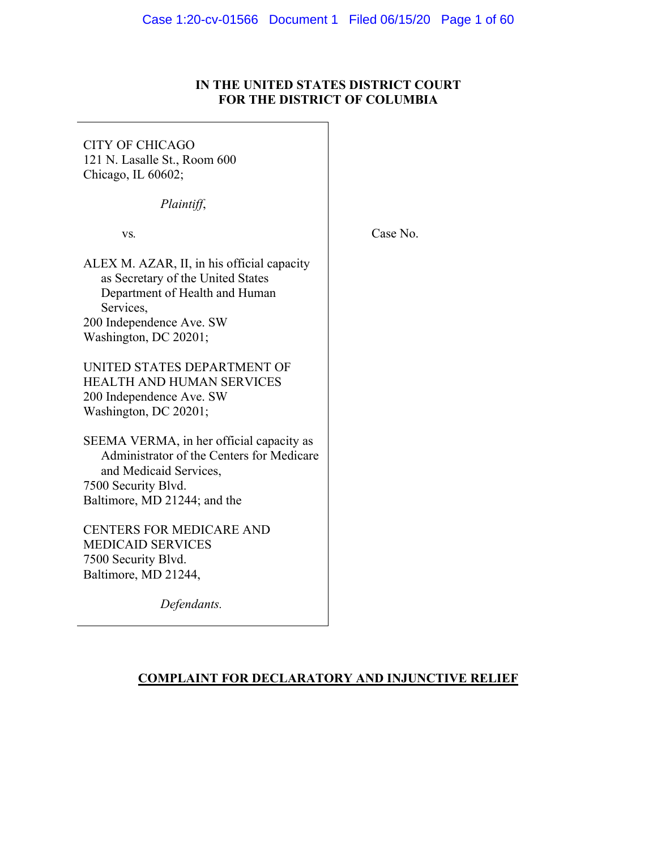# **IN THE UNITED STATES DISTRICT COURT FOR THE DISTRICT OF COLUMBIA**

CITY OF CHICAGO 121 N. Lasalle St., Room 600 Chicago, IL 60602;

*Plaintiff*,

vs*.*

Case No.

ALEX M. AZAR, II, in his official capacity as Secretary of the United States Department of Health and Human Services, 200 Independence Ave. SW Washington, DC 20201;

UNITED STATES DEPARTMENT OF HEALTH AND HUMAN SERVICES 200 Independence Ave. SW Washington, DC 20201;

SEEMA VERMA, in her official capacity as Administrator of the Centers for Medicare and Medicaid Services, 7500 Security Blvd. Baltimore, MD 21244; and the

CENTERS FOR MEDICARE AND MEDICAID SERVICES 7500 Security Blvd. Baltimore, MD 21244,

*Defendants.*

# **COMPLAINT FOR DECLARATORY AND INJUNCTIVE RELIEF**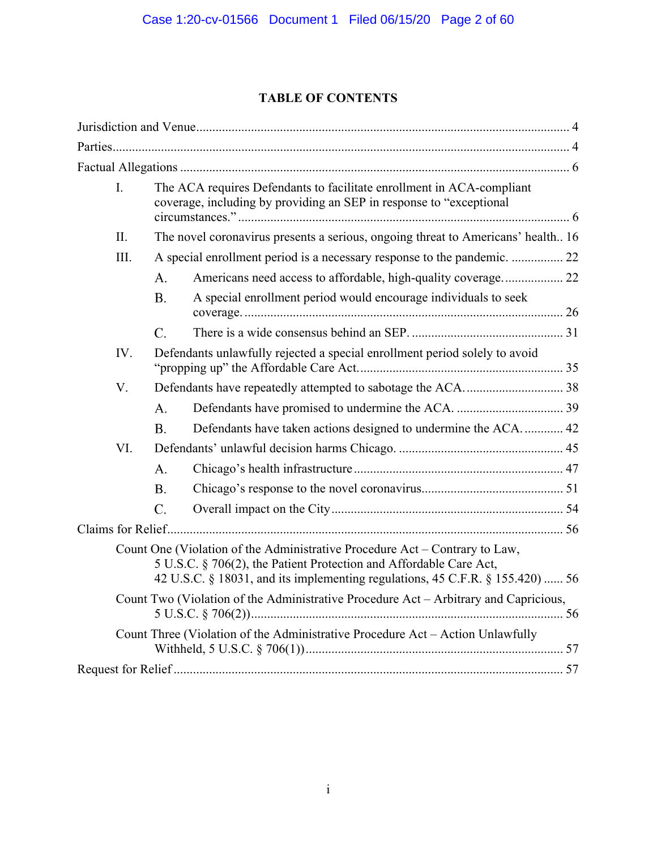# **TABLE OF CONTENTS**

| I.                                                                             |  | The ACA requires Defendants to facilitate enrollment in ACA-compliant<br>coverage, including by providing an SEP in response to "exceptional |                                                                                                                                                                                                                                    |  |
|--------------------------------------------------------------------------------|--|----------------------------------------------------------------------------------------------------------------------------------------------|------------------------------------------------------------------------------------------------------------------------------------------------------------------------------------------------------------------------------------|--|
| II.                                                                            |  | The novel coronavirus presents a serious, ongoing threat to Americans' health 16                                                             |                                                                                                                                                                                                                                    |  |
| III.                                                                           |  | A special enrollment period is a necessary response to the pandemic.  22                                                                     |                                                                                                                                                                                                                                    |  |
|                                                                                |  | A.                                                                                                                                           | Americans need access to affordable, high-quality coverage 22                                                                                                                                                                      |  |
|                                                                                |  | <b>B.</b>                                                                                                                                    | A special enrollment period would encourage individuals to seek                                                                                                                                                                    |  |
|                                                                                |  | C.                                                                                                                                           |                                                                                                                                                                                                                                    |  |
| IV.                                                                            |  | Defendants unlawfully rejected a special enrollment period solely to avoid                                                                   |                                                                                                                                                                                                                                    |  |
| V.                                                                             |  |                                                                                                                                              |                                                                                                                                                                                                                                    |  |
|                                                                                |  | A.                                                                                                                                           |                                                                                                                                                                                                                                    |  |
|                                                                                |  | <b>B.</b>                                                                                                                                    | Defendants have taken actions designed to undermine the ACA 42                                                                                                                                                                     |  |
| VI.                                                                            |  |                                                                                                                                              |                                                                                                                                                                                                                                    |  |
|                                                                                |  | A <sub>1</sub>                                                                                                                               |                                                                                                                                                                                                                                    |  |
|                                                                                |  | <b>B.</b>                                                                                                                                    |                                                                                                                                                                                                                                    |  |
|                                                                                |  | $C_{\cdot}$                                                                                                                                  |                                                                                                                                                                                                                                    |  |
|                                                                                |  |                                                                                                                                              |                                                                                                                                                                                                                                    |  |
|                                                                                |  |                                                                                                                                              | Count One (Violation of the Administrative Procedure Act – Contrary to Law,<br>5 U.S.C. § 706(2), the Patient Protection and Affordable Care Act,<br>42 U.S.C. § 18031, and its implementing regulations, 45 C.F.R. § 155.420)  56 |  |
|                                                                                |  |                                                                                                                                              | Count Two (Violation of the Administrative Procedure Act – Arbitrary and Capricious,                                                                                                                                               |  |
| Count Three (Violation of the Administrative Procedure Act - Action Unlawfully |  |                                                                                                                                              |                                                                                                                                                                                                                                    |  |
|                                                                                |  |                                                                                                                                              |                                                                                                                                                                                                                                    |  |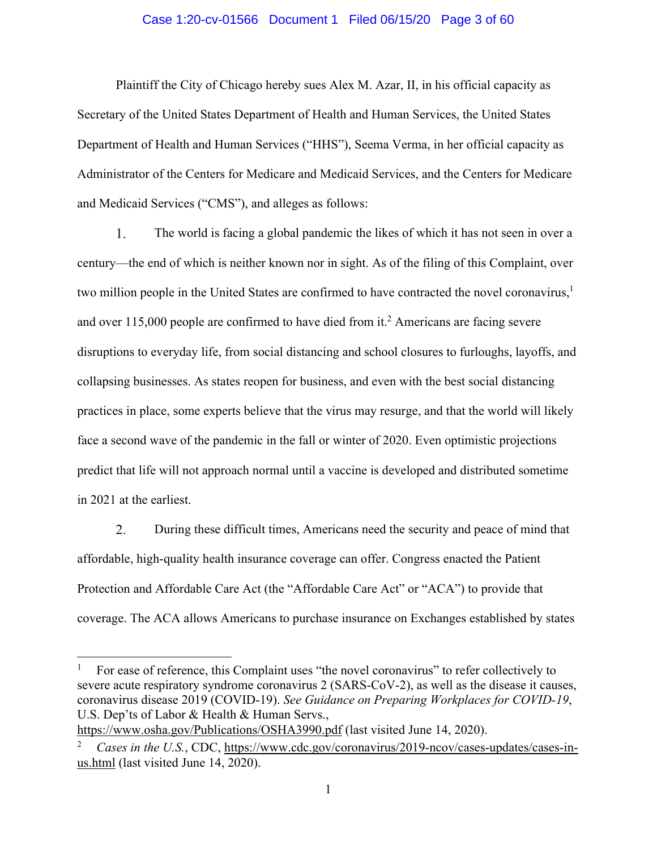## Case 1:20-cv-01566 Document 1 Filed 06/15/20 Page 3 of 60

Plaintiff the City of Chicago hereby sues Alex M. Azar, II, in his official capacity as Secretary of the United States Department of Health and Human Services, the United States Department of Health and Human Services ("HHS"), Seema Verma, in her official capacity as Administrator of the Centers for Medicare and Medicaid Services, and the Centers for Medicare and Medicaid Services ("CMS"), and alleges as follows:

 $1_{\cdot}$ The world is facing a global pandemic the likes of which it has not seen in over a century—the end of which is neither known nor in sight. As of the filing of this Complaint, over two million people in the United States are confirmed to have contracted the novel coronavirus, $\frac{1}{1}$ and over  $115,000$  people are confirmed to have died from it.<sup>2</sup> Americans are facing severe disruptions to everyday life, from social distancing and school closures to furloughs, layoffs, and collapsing businesses. As states reopen for business, and even with the best social distancing practices in place, some experts believe that the virus may resurge, and that the world will likely face a second wave of the pandemic in the fall or winter of 2020. Even optimistic projections predict that life will not approach normal until a vaccine is developed and distributed sometime in 2021 at the earliest.

2. During these difficult times, Americans need the security and peace of mind that affordable, high-quality health insurance coverage can offer. Congress enacted the Patient Protection and Affordable Care Act (the "Affordable Care Act" or "ACA") to provide that coverage. The ACA allows Americans to purchase insurance on Exchanges established by states

https://www.osha.gov/Publications/OSHA3990.pdf (last visited June 14, 2020).

<sup>1</sup> For ease of reference, this Complaint uses "the novel coronavirus" to refer collectively to severe acute respiratory syndrome coronavirus 2 (SARS-CoV-2), as well as the disease it causes, coronavirus disease 2019 (COVID-19). *See Guidance on Preparing Workplaces for COVID-19*, U.S. Dep'ts of Labor & Health & Human Servs.,

<sup>2</sup> *Cases in the U.S.*, CDC, https://www.cdc.gov/coronavirus/2019-ncov/cases-updates/cases-inus.html (last visited June 14, 2020).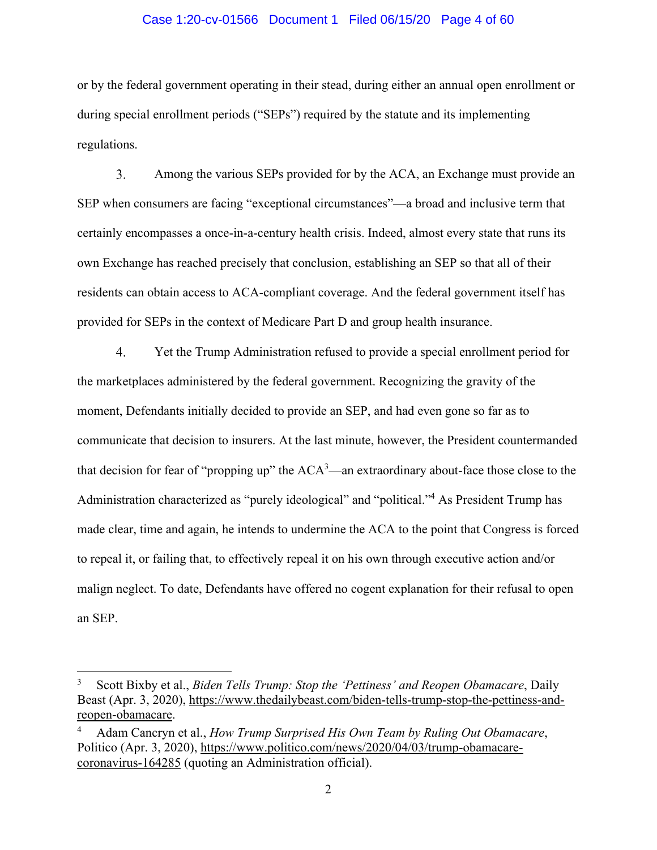#### Case 1:20-cv-01566 Document 1 Filed 06/15/20 Page 4 of 60

or by the federal government operating in their stead, during either an annual open enrollment or during special enrollment periods ("SEPs") required by the statute and its implementing regulations.

 $3.$ Among the various SEPs provided for by the ACA, an Exchange must provide an SEP when consumers are facing "exceptional circumstances"—a broad and inclusive term that certainly encompasses a once-in-a-century health crisis. Indeed, almost every state that runs its own Exchange has reached precisely that conclusion, establishing an SEP so that all of their residents can obtain access to ACA-compliant coverage. And the federal government itself has provided for SEPs in the context of Medicare Part D and group health insurance.

 $\overline{4}$ . Yet the Trump Administration refused to provide a special enrollment period for the marketplaces administered by the federal government. Recognizing the gravity of the moment, Defendants initially decided to provide an SEP, and had even gone so far as to communicate that decision to insurers. At the last minute, however, the President countermanded that decision for fear of "propping up" the  $ACA^3$ —an extraordinary about-face those close to the Administration characterized as "purely ideological" and "political."<sup>4</sup> As President Trump has made clear, time and again, he intends to undermine the ACA to the point that Congress is forced to repeal it, or failing that, to effectively repeal it on his own through executive action and/or malign neglect. To date, Defendants have offered no cogent explanation for their refusal to open an SEP.

<sup>3</sup> Scott Bixby et al., *Biden Tells Trump: Stop the 'Pettiness' and Reopen Obamacare*, Daily Beast (Apr. 3, 2020), https://www.thedailybeast.com/biden-tells-trump-stop-the-pettiness-andreopen-obamacare.

<sup>4</sup> Adam Cancryn et al., *How Trump Surprised His Own Team by Ruling Out Obamacare*, Politico (Apr. 3, 2020), https://www.politico.com/news/2020/04/03/trump-obamacarecoronavirus-164285 (quoting an Administration official).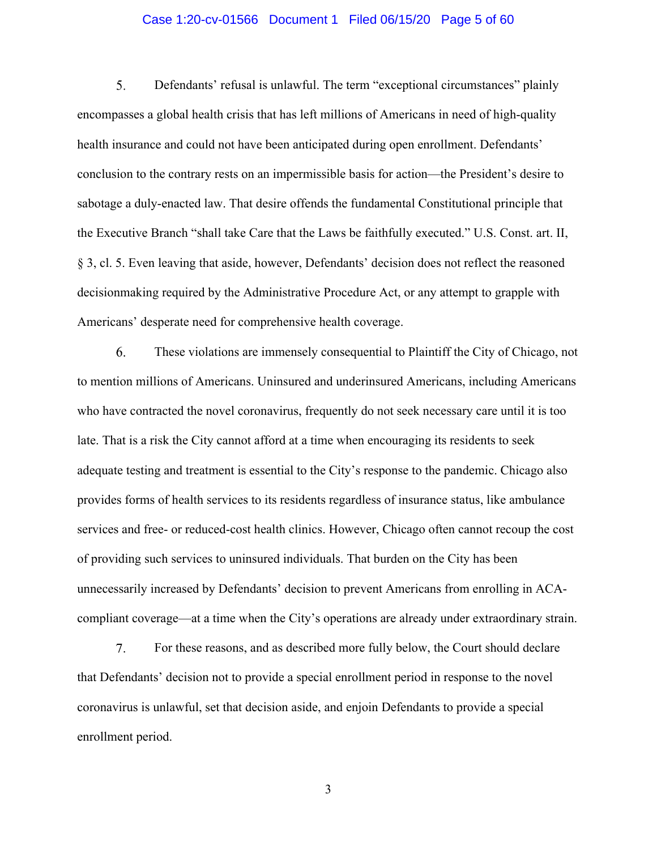## Case 1:20-cv-01566 Document 1 Filed 06/15/20 Page 5 of 60

5. Defendants' refusal is unlawful. The term "exceptional circumstances" plainly encompasses a global health crisis that has left millions of Americans in need of high-quality health insurance and could not have been anticipated during open enrollment. Defendants' conclusion to the contrary rests on an impermissible basis for action—the President's desire to sabotage a duly-enacted law. That desire offends the fundamental Constitutional principle that the Executive Branch "shall take Care that the Laws be faithfully executed." U.S. Const. art. II, § 3, cl. 5. Even leaving that aside, however, Defendants' decision does not reflect the reasoned decisionmaking required by the Administrative Procedure Act, or any attempt to grapple with Americans' desperate need for comprehensive health coverage.

6. These violations are immensely consequential to Plaintiff the City of Chicago, not to mention millions of Americans. Uninsured and underinsured Americans, including Americans who have contracted the novel coronavirus, frequently do not seek necessary care until it is too late. That is a risk the City cannot afford at a time when encouraging its residents to seek adequate testing and treatment is essential to the City's response to the pandemic. Chicago also provides forms of health services to its residents regardless of insurance status, like ambulance services and free- or reduced-cost health clinics. However, Chicago often cannot recoup the cost of providing such services to uninsured individuals. That burden on the City has been unnecessarily increased by Defendants' decision to prevent Americans from enrolling in ACAcompliant coverage—at a time when the City's operations are already under extraordinary strain.

7. For these reasons, and as described more fully below, the Court should declare that Defendants' decision not to provide a special enrollment period in response to the novel coronavirus is unlawful, set that decision aside, and enjoin Defendants to provide a special enrollment period.

3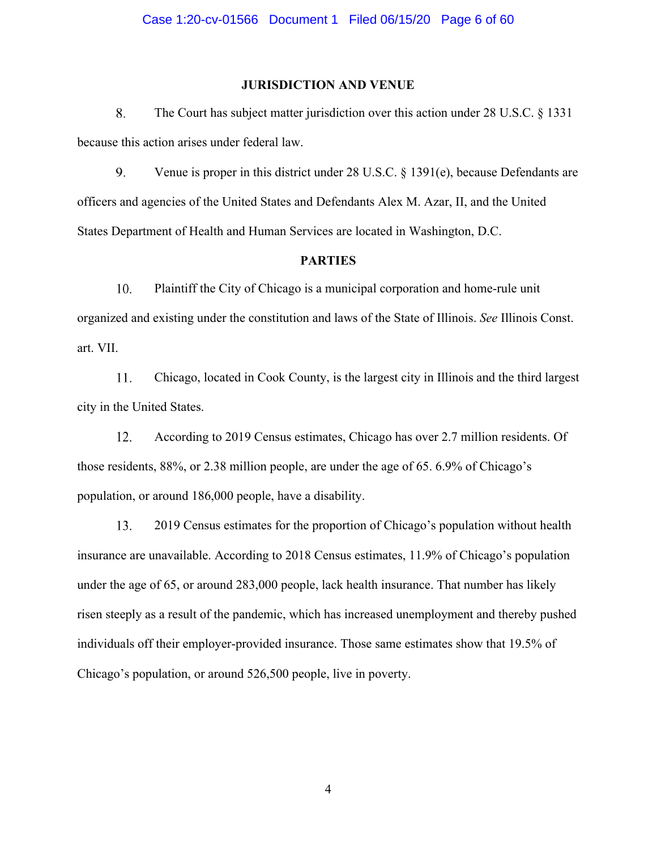# **JURISDICTION AND VENUE**

8. The Court has subject matter jurisdiction over this action under 28 U.S.C. § 1331 because this action arises under federal law.

9. Venue is proper in this district under 28 U.S.C. § 1391(e), because Defendants are officers and agencies of the United States and Defendants Alex M. Azar, II, and the United States Department of Health and Human Services are located in Washington, D.C.

## **PARTIES**

10. Plaintiff the City of Chicago is a municipal corporation and home-rule unit organized and existing under the constitution and laws of the State of Illinois. *See* Illinois Const. art. VII.

11. Chicago, located in Cook County, is the largest city in Illinois and the third largest city in the United States.

12. According to 2019 Census estimates, Chicago has over 2.7 million residents. Of those residents, 88%, or 2.38 million people, are under the age of 65. 6.9% of Chicago's population, or around 186,000 people, have a disability.

13. 2019 Census estimates for the proportion of Chicago's population without health insurance are unavailable. According to 2018 Census estimates, 11.9% of Chicago's population under the age of 65, or around 283,000 people, lack health insurance. That number has likely risen steeply as a result of the pandemic, which has increased unemployment and thereby pushed individuals off their employer-provided insurance. Those same estimates show that 19.5% of Chicago's population, or around 526,500 people, live in poverty.

4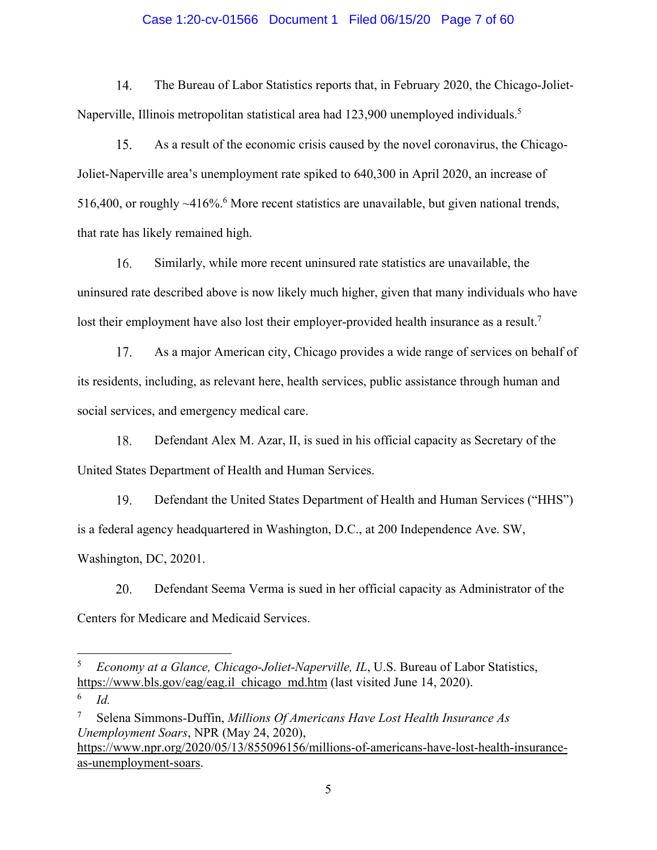## Case 1:20-cv-01566 Document 1 Filed 06/15/20 Page 7 of 60

14. The Bureau of Labor Statistics reports that, in February 2020, the Chicago-Joliet-Naperville, Illinois metropolitan statistical area had 123,900 unemployed individuals.<sup>5</sup>

As a result of the economic crisis caused by the novel coronavirus, the Chicago-15. Joliet-Naperville area's unemployment rate spiked to 640,300 in April 2020, an increase of 516,400, or roughly  $\sim$ 416%.<sup>6</sup> More recent statistics are unavailable, but given national trends, that rate has likely remained high.

16. Similarly, while more recent uninsured rate statistics are unavailable, the uninsured rate described above is now likely much higher, given that many individuals who have lost their employment have also lost their employer-provided health insurance as a result.<sup>7</sup>

17. As a major American city, Chicago provides a wide range of services on behalf of its residents, including, as relevant here, health services, public assistance through human and social services, and emergency medical care.

18. Defendant Alex M. Azar, II, is sued in his official capacity as Secretary of the United States Department of Health and Human Services.

19. Defendant the United States Department of Health and Human Services ("HHS") is a federal agency headquartered in Washington, D.C., at 200 Independence Ave. SW, Washington, DC, 20201.

20. Defendant Seema Verma is sued in her official capacity as Administrator of the Centers for Medicare and Medicaid Services.

<sup>5</sup> *Economy at a Glance, Chicago-Joliet-Naperville, IL*, U.S. Bureau of Labor Statistics, https://www.bls.gov/eag/eag.il chicago md.htm (last visited June 14, 2020).

<sup>6</sup> *Id.*

<sup>7</sup> Selena Simmons-Duffin, *Millions Of Americans Have Lost Health Insurance As Unemployment Soars*, NPR (May 24, 2020), https://www.npr.org/2020/05/13/855096156/millions-of-americans-have-lost-health-insuranceas-unemployment-soars.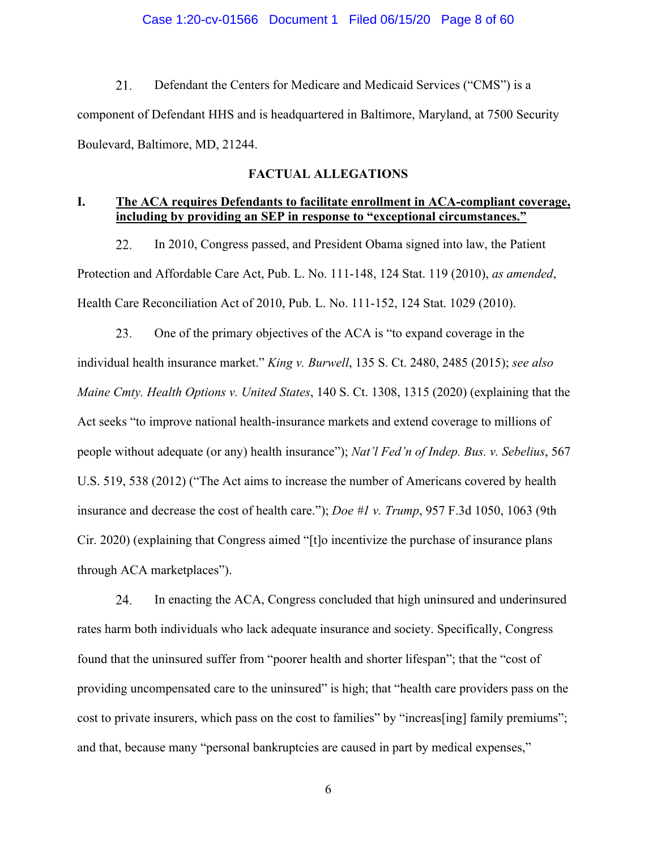$21.$ Defendant the Centers for Medicare and Medicaid Services ("CMS") is a component of Defendant HHS and is headquartered in Baltimore, Maryland, at 7500 Security Boulevard, Baltimore, MD, 21244.

# **FACTUAL ALLEGATIONS**

# **I. The ACA requires Defendants to facilitate enrollment in ACA-compliant coverage, including by providing an SEP in response to "exceptional circumstances."**

In 2010, Congress passed, and President Obama signed into law, the Patient 22. Protection and Affordable Care Act, Pub. L. No. 111-148, 124 Stat. 119 (2010), *as amended*, Health Care Reconciliation Act of 2010, Pub. L. No. 111-152, 124 Stat. 1029 (2010).

One of the primary objectives of the ACA is "to expand coverage in the 23. individual health insurance market." *King v. Burwell*, 135 S. Ct. 2480, 2485 (2015); *see also Maine Cmty. Health Options v. United States*, 140 S. Ct. 1308, 1315 (2020) (explaining that the Act seeks "to improve national health-insurance markets and extend coverage to millions of people without adequate (or any) health insurance"); *Nat'l Fed'n of Indep. Bus. v. Sebelius*, 567 U.S. 519, 538 (2012) ("The Act aims to increase the number of Americans covered by health insurance and decrease the cost of health care."); *Doe #1 v. Trump*, 957 F.3d 1050, 1063 (9th Cir. 2020) (explaining that Congress aimed "[t]o incentivize the purchase of insurance plans through ACA marketplaces").

24. In enacting the ACA, Congress concluded that high uninsured and underinsured rates harm both individuals who lack adequate insurance and society. Specifically, Congress found that the uninsured suffer from "poorer health and shorter lifespan"; that the "cost of providing uncompensated care to the uninsured" is high; that "health care providers pass on the cost to private insurers, which pass on the cost to families" by "increas[ing] family premiums"; and that, because many "personal bankruptcies are caused in part by medical expenses,"

6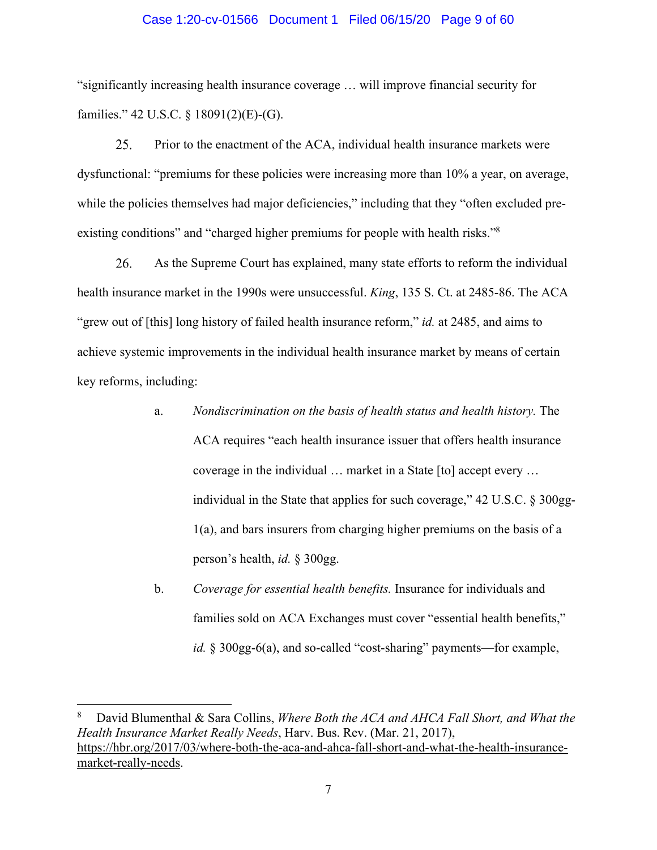#### Case 1:20-cv-01566 Document 1 Filed 06/15/20 Page 9 of 60

"significantly increasing health insurance coverage … will improve financial security for families." 42 U.S.C. § 18091(2)(E)-(G).

25. Prior to the enactment of the ACA, individual health insurance markets were dysfunctional: "premiums for these policies were increasing more than 10% a year, on average, while the policies themselves had major deficiencies," including that they "often excluded preexisting conditions" and "charged higher premiums for people with health risks."<sup>8</sup>

26. As the Supreme Court has explained, many state efforts to reform the individual health insurance market in the 1990s were unsuccessful. *King*, 135 S. Ct. at 2485-86. The ACA "grew out of [this] long history of failed health insurance reform," *id.* at 2485, and aims to achieve systemic improvements in the individual health insurance market by means of certain key reforms, including:

- a. *Nondiscrimination on the basis of health status and health history.* The ACA requires "each health insurance issuer that offers health insurance coverage in the individual … market in a State [to] accept every … individual in the State that applies for such coverage," 42 U.S.C. § 300gg-1(a), and bars insurers from charging higher premiums on the basis of a person's health, *id.* § 300gg.
- b. *Coverage for essential health benefits.* Insurance for individuals and families sold on ACA Exchanges must cover "essential health benefits," *id.* § 300gg-6(a), and so-called "cost-sharing" payments—for example,

<sup>8</sup> David Blumenthal & Sara Collins, *Where Both the ACA and AHCA Fall Short, and What the Health Insurance Market Really Needs*, Harv. Bus. Rev. (Mar. 21, 2017), https://hbr.org/2017/03/where-both-the-aca-and-ahca-fall-short-and-what-the-health-insurancemarket-really-needs.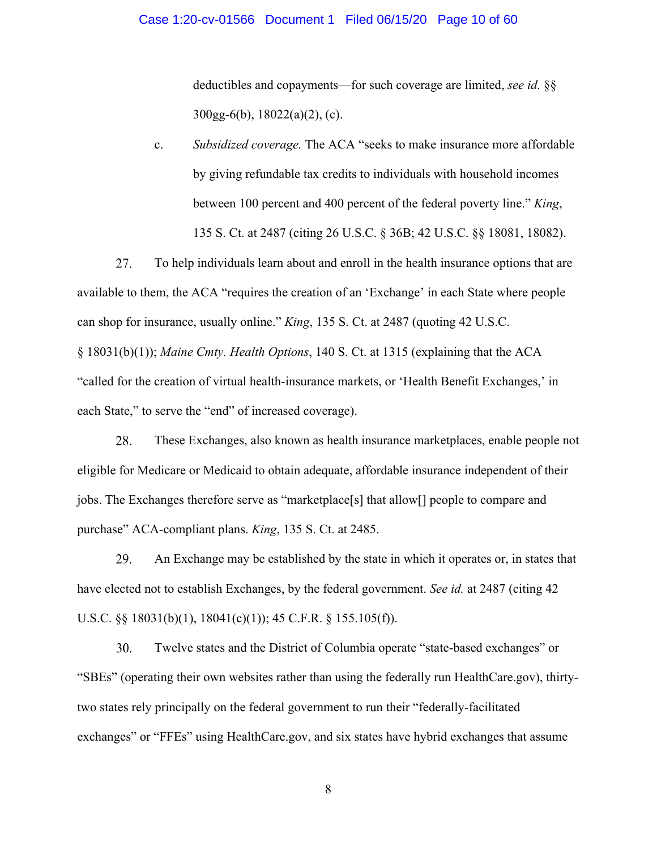#### Case 1:20-cv-01566 Document 1 Filed 06/15/20 Page 10 of 60

deductibles and copayments—for such coverage are limited, *see id.* §§ 300gg-6(b), 18022(a)(2), (c).

c. *Subsidized coverage.* The ACA "seeks to make insurance more affordable by giving refundable tax credits to individuals with household incomes between 100 percent and 400 percent of the federal poverty line." *King*, 135 S. Ct. at 2487 (citing 26 U.S.C. § 36B; 42 U.S.C. §§ 18081, 18082).

27. To help individuals learn about and enroll in the health insurance options that are available to them, the ACA "requires the creation of an 'Exchange' in each State where people can shop for insurance, usually online." *King*, 135 S. Ct. at 2487 (quoting 42 U.S.C. § 18031(b)(1)); *Maine Cmty. Health Options*, 140 S. Ct. at 1315 (explaining that the ACA "called for the creation of virtual health-insurance markets, or 'Health Benefit Exchanges,' in each State," to serve the "end" of increased coverage).

28. These Exchanges, also known as health insurance marketplaces, enable people not eligible for Medicare or Medicaid to obtain adequate, affordable insurance independent of their jobs. The Exchanges therefore serve as "marketplace[s] that allow[] people to compare and purchase" ACA-compliant plans. *King*, 135 S. Ct. at 2485.

29. An Exchange may be established by the state in which it operates or, in states that have elected not to establish Exchanges, by the federal government. *See id.* at 2487 (citing 42 U.S.C. §§ 18031(b)(1), 18041(c)(1)); 45 C.F.R. § 155.105(f)).

30. Twelve states and the District of Columbia operate "state-based exchanges" or "SBEs" (operating their own websites rather than using the federally run HealthCare.gov), thirtytwo states rely principally on the federal government to run their "federally-facilitated exchanges" or "FFEs" using HealthCare.gov, and six states have hybrid exchanges that assume

8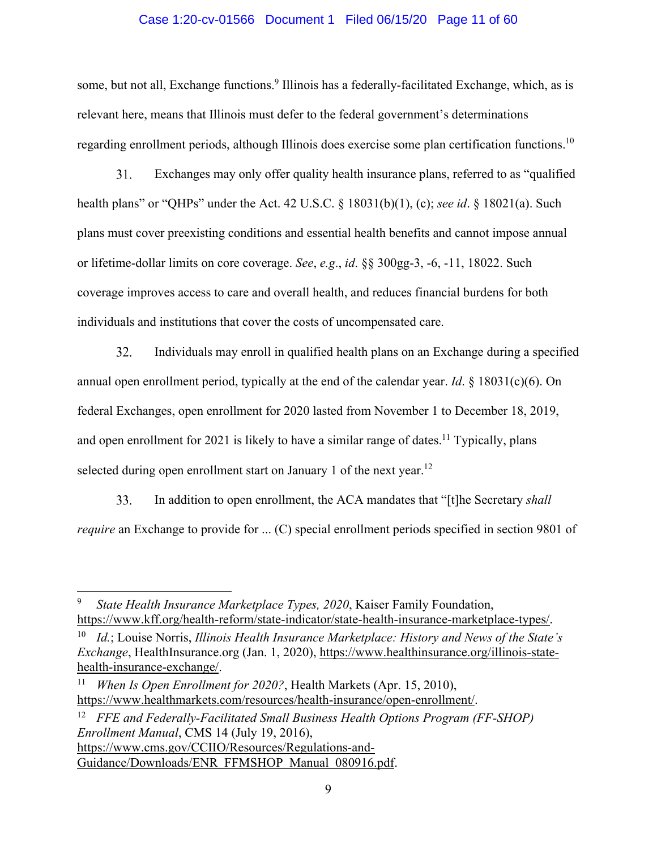### Case 1:20-cv-01566 Document 1 Filed 06/15/20 Page 11 of 60

some, but not all, Exchange functions.<sup>9</sup> Illinois has a federally-facilitated Exchange, which, as is relevant here, means that Illinois must defer to the federal government's determinations regarding enrollment periods, although Illinois does exercise some plan certification functions.<sup>10</sup>

31. Exchanges may only offer quality health insurance plans, referred to as "qualified health plans" or "QHPs" under the Act. 42 U.S.C. § 18031(b)(1), (c); *see id*. § 18021(a). Such plans must cover preexisting conditions and essential health benefits and cannot impose annual or lifetime-dollar limits on core coverage. *See*, *e.g*., *id*. §§ 300gg-3, -6, -11, 18022. Such coverage improves access to care and overall health, and reduces financial burdens for both individuals and institutions that cover the costs of uncompensated care.

32. Individuals may enroll in qualified health plans on an Exchange during a specified annual open enrollment period, typically at the end of the calendar year. *Id*. § 18031(c)(6). On federal Exchanges, open enrollment for 2020 lasted from November 1 to December 18, 2019, and open enrollment for 2021 is likely to have a similar range of dates.<sup>11</sup> Typically, plans selected during open enrollment start on January 1 of the next year.<sup>12</sup>

33. In addition to open enrollment, the ACA mandates that "[t]he Secretary *shall require* an Exchange to provide for ... (C) special enrollment periods specified in section 9801 of

12 *FFE and Federally-Facilitated Small Business Health Options Program (FF-SHOP) Enrollment Manual*, CMS 14 (July 19, 2016), https://www.cms.gov/CCIIO/Resources/Regulations-and-Guidance/Downloads/ENR FFMSHOP Manual 080916.pdf.

<sup>9</sup> *State Health Insurance Marketplace Types, 2020*, Kaiser Family Foundation, https://www.kff.org/health-reform/state-indicator/state-health-insurance-marketplace-types/.

<sup>10</sup> *Id.*; Louise Norris, *Illinois Health Insurance Marketplace: History and News of the State's Exchange*, HealthInsurance.org (Jan. 1, 2020), https://www.healthinsurance.org/illinois-statehealth-insurance-exchange/.

<sup>11</sup> *When Is Open Enrollment for 2020?*, Health Markets (Apr. 15, 2010), https://www.healthmarkets.com/resources/health-insurance/open-enrollment/.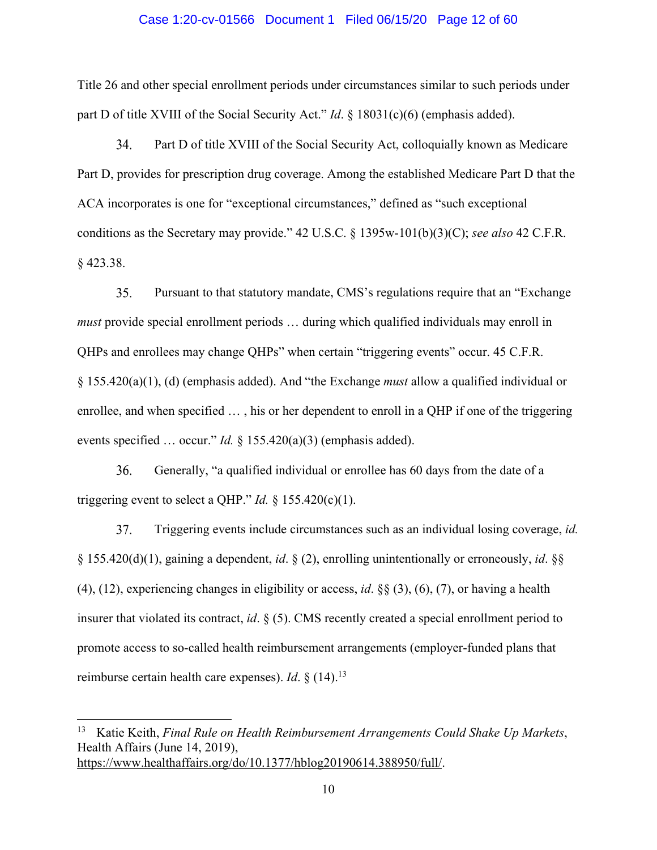#### Case 1:20-cv-01566 Document 1 Filed 06/15/20 Page 12 of 60

Title 26 and other special enrollment periods under circumstances similar to such periods under part D of title XVIII of the Social Security Act." *Id*. § 18031(c)(6) (emphasis added).

34. Part D of title XVIII of the Social Security Act, colloquially known as Medicare Part D, provides for prescription drug coverage. Among the established Medicare Part D that the ACA incorporates is one for "exceptional circumstances," defined as "such exceptional conditions as the Secretary may provide." 42 U.S.C. § 1395w-101(b)(3)(C); *see also* 42 C.F.R. § 423.38.

35. Pursuant to that statutory mandate, CMS's regulations require that an "Exchange *must* provide special enrollment periods … during which qualified individuals may enroll in QHPs and enrollees may change QHPs" when certain "triggering events" occur. 45 C.F.R. § 155.420(a)(1), (d) (emphasis added). And "the Exchange *must* allow a qualified individual or enrollee, and when specified … , his or her dependent to enroll in a QHP if one of the triggering events specified … occur." *Id.* § 155.420(a)(3) (emphasis added).

36. Generally, "a qualified individual or enrollee has 60 days from the date of a triggering event to select a QHP." *Id.*  $\S$  155.420(c)(1).

37. Triggering events include circumstances such as an individual losing coverage, *id.* § 155.420(d)(1), gaining a dependent, *id*. § (2), enrolling unintentionally or erroneously, *id*. §§ (4), (12), experiencing changes in eligibility or access, *id*. §§ (3), (6), (7), or having a health insurer that violated its contract, *id*. § (5). CMS recently created a special enrollment period to promote access to so-called health reimbursement arrangements (employer-funded plans that reimburse certain health care expenses). *Id*. § (14).<sup>13</sup>

<sup>13</sup> Katie Keith, *Final Rule on Health Reimbursement Arrangements Could Shake Up Markets*, Health Affairs (June 14, 2019), https://www.healthaffairs.org/do/10.1377/hblog20190614.388950/full/.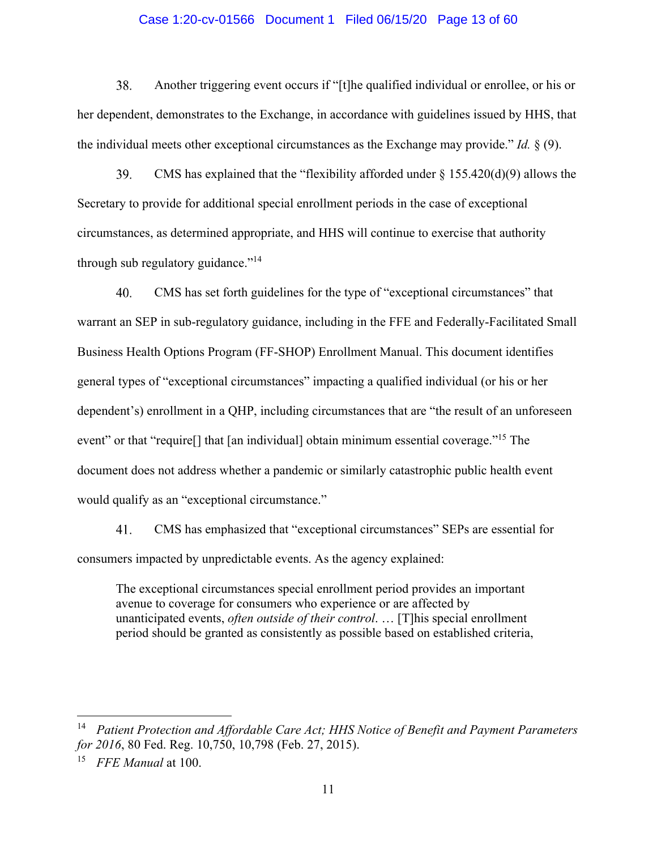### Case 1:20-cv-01566 Document 1 Filed 06/15/20 Page 13 of 60

 $38<sub>1</sub>$ Another triggering event occurs if "[t]he qualified individual or enrollee, or his or her dependent, demonstrates to the Exchange, in accordance with guidelines issued by HHS, that the individual meets other exceptional circumstances as the Exchange may provide." *Id.* § (9).

39. CMS has explained that the "flexibility afforded under  $\S$  155.420(d)(9) allows the Secretary to provide for additional special enrollment periods in the case of exceptional circumstances, as determined appropriate, and HHS will continue to exercise that authority through sub regulatory guidance."<sup>14</sup>

40. CMS has set forth guidelines for the type of "exceptional circumstances" that warrant an SEP in sub-regulatory guidance, including in the FFE and Federally-Facilitated Small Business Health Options Program (FF-SHOP) Enrollment Manual. This document identifies general types of "exceptional circumstances" impacting a qualified individual (or his or her dependent's) enrollment in a QHP, including circumstances that are "the result of an unforeseen event" or that "require<sup>[]</sup> that [an individual] obtain minimum essential coverage."<sup>15</sup> The document does not address whether a pandemic or similarly catastrophic public health event would qualify as an "exceptional circumstance."

41. CMS has emphasized that "exceptional circumstances" SEPs are essential for consumers impacted by unpredictable events. As the agency explained:

The exceptional circumstances special enrollment period provides an important avenue to coverage for consumers who experience or are affected by unanticipated events, *often outside of their control*. … [T]his special enrollment period should be granted as consistently as possible based on established criteria,

<sup>14</sup> *Patient Protection and Affordable Care Act; HHS Notice of Benefit and Payment Parameters for 2016*, 80 Fed. Reg. 10,750, 10,798 (Feb. 27, 2015).

<sup>15</sup> *FFE Manual* at 100.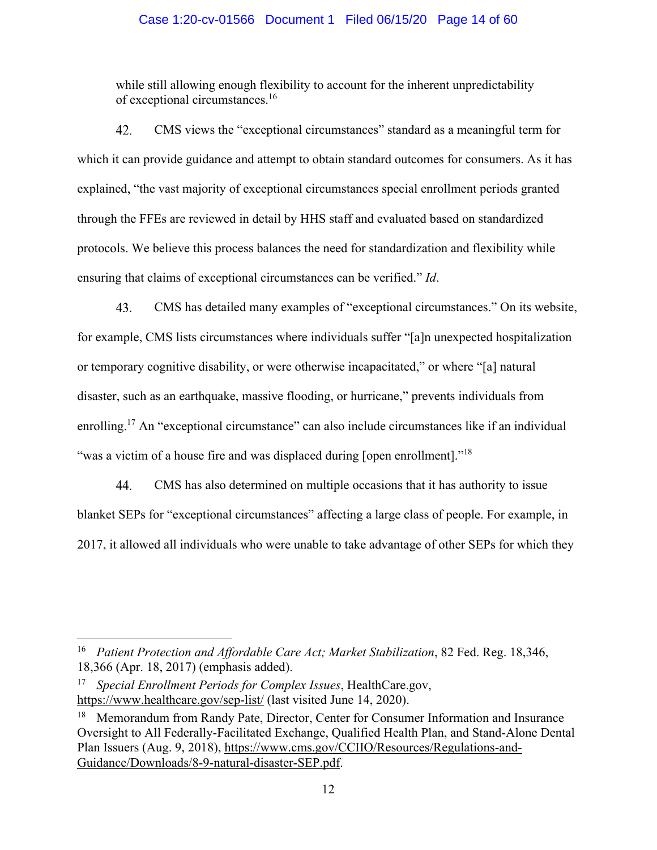# Case 1:20-cv-01566 Document 1 Filed 06/15/20 Page 14 of 60

while still allowing enough flexibility to account for the inherent unpredictability of exceptional circumstances.16

42. CMS views the "exceptional circumstances" standard as a meaningful term for which it can provide guidance and attempt to obtain standard outcomes for consumers. As it has explained, "the vast majority of exceptional circumstances special enrollment periods granted through the FFEs are reviewed in detail by HHS staff and evaluated based on standardized protocols. We believe this process balances the need for standardization and flexibility while ensuring that claims of exceptional circumstances can be verified." *Id*.

43. CMS has detailed many examples of "exceptional circumstances." On its website, for example, CMS lists circumstances where individuals suffer "[a]n unexpected hospitalization or temporary cognitive disability, or were otherwise incapacitated," or where "[a] natural disaster, such as an earthquake, massive flooding, or hurricane," prevents individuals from enrolling.17 An "exceptional circumstance" can also include circumstances like if an individual "was a victim of a house fire and was displaced during [open enrollment]."<sup>18</sup>

44. CMS has also determined on multiple occasions that it has authority to issue blanket SEPs for "exceptional circumstances" affecting a large class of people. For example, in 2017, it allowed all individuals who were unable to take advantage of other SEPs for which they

<sup>16</sup> *Patient Protection and Affordable Care Act; Market Stabilization*, 82 Fed. Reg. 18,346, 18,366 (Apr. 18, 2017) (emphasis added).

<sup>17</sup> *Special Enrollment Periods for Complex Issues*, HealthCare.gov, https://www.healthcare.gov/sep-list/ (last visited June 14, 2020).

<sup>&</sup>lt;sup>18</sup> Memorandum from Randy Pate, Director, Center for Consumer Information and Insurance Oversight to All Federally-Facilitated Exchange, Qualified Health Plan, and Stand-Alone Dental Plan Issuers (Aug. 9, 2018), https://www.cms.gov/CCIIO/Resources/Regulations-and-Guidance/Downloads/8-9-natural-disaster-SEP.pdf.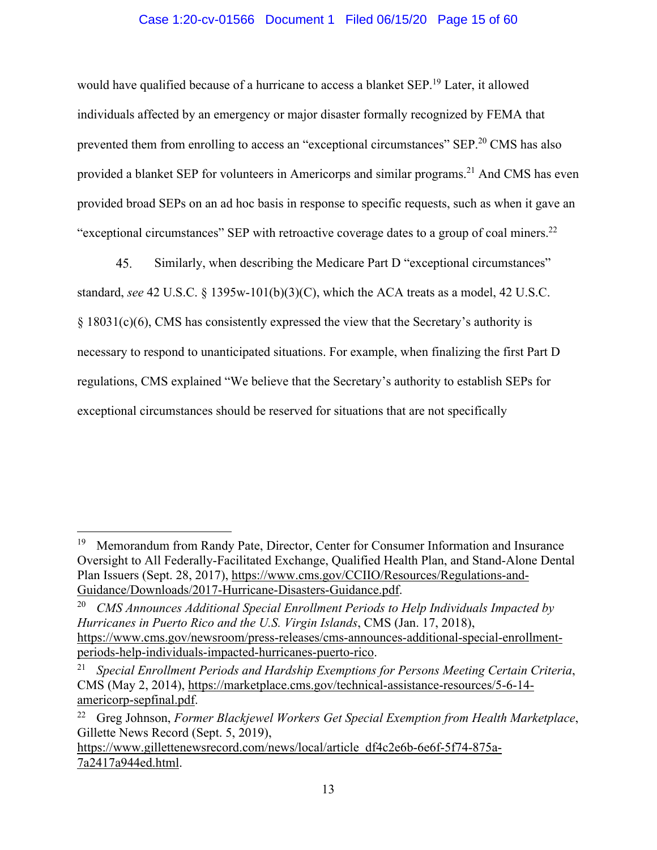# Case 1:20-cv-01566 Document 1 Filed 06/15/20 Page 15 of 60

would have qualified because of a hurricane to access a blanket SEP.<sup>19</sup> Later, it allowed individuals affected by an emergency or major disaster formally recognized by FEMA that prevented them from enrolling to access an "exceptional circumstances" SEP.<sup>20</sup> CMS has also provided a blanket SEP for volunteers in Americorps and similar programs.<sup>21</sup> And CMS has even provided broad SEPs on an ad hoc basis in response to specific requests, such as when it gave an "exceptional circumstances" SEP with retroactive coverage dates to a group of coal miners.<sup>22</sup>

45. Similarly, when describing the Medicare Part D "exceptional circumstances" standard, *see* 42 U.S.C. § 1395w-101(b)(3)(C), which the ACA treats as a model, 42 U.S.C. § 18031(c)(6), CMS has consistently expressed the view that the Secretary's authority is necessary to respond to unanticipated situations. For example, when finalizing the first Part D regulations, CMS explained "We believe that the Secretary's authority to establish SEPs for exceptional circumstances should be reserved for situations that are not specifically

<sup>&</sup>lt;sup>19</sup> Memorandum from Randy Pate, Director, Center for Consumer Information and Insurance Oversight to All Federally-Facilitated Exchange, Qualified Health Plan, and Stand-Alone Dental Plan Issuers (Sept. 28, 2017), https://www.cms.gov/CCIIO/Resources/Regulations-and-Guidance/Downloads/2017-Hurricane-Disasters-Guidance.pdf.

<sup>20</sup> *CMS Announces Additional Special Enrollment Periods to Help Individuals Impacted by Hurricanes in Puerto Rico and the U.S. Virgin Islands*, CMS (Jan. 17, 2018), https://www.cms.gov/newsroom/press-releases/cms-announces-additional-special-enrollmentperiods-help-individuals-impacted-hurricanes-puerto-rico.

<sup>21</sup> *Special Enrollment Periods and Hardship Exemptions for Persons Meeting Certain Criteria*, CMS (May 2, 2014), https://marketplace.cms.gov/technical-assistance-resources/5-6-14 americorp-sepfinal.pdf.

<sup>22</sup> Greg Johnson, *Former Blackjewel Workers Get Special Exemption from Health Marketplace*, Gillette News Record (Sept. 5, 2019),

https://www.gillettenewsrecord.com/news/local/article\_df4c2e6b-6e6f-5f74-875a-7a2417a944ed.html.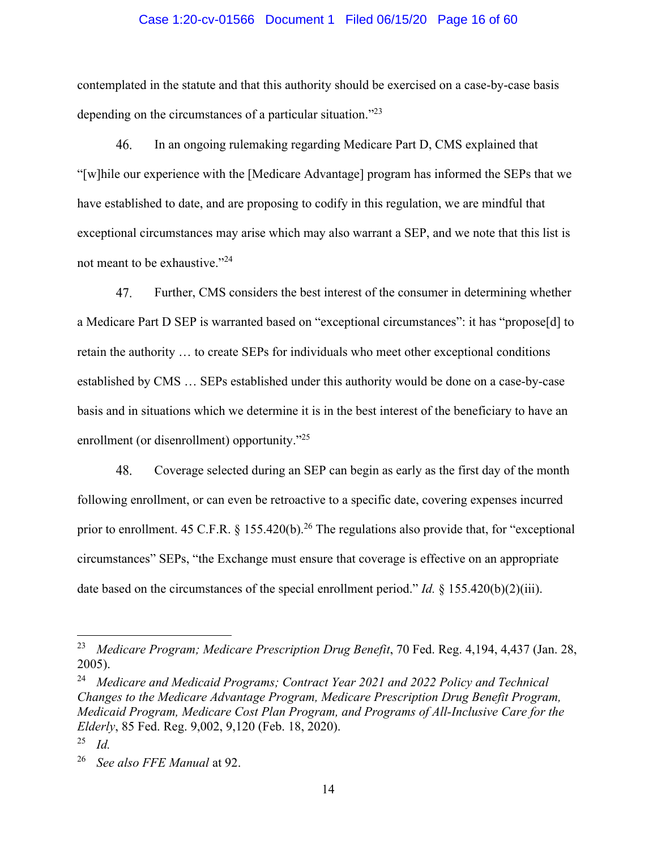#### Case 1:20-cv-01566 Document 1 Filed 06/15/20 Page 16 of 60

contemplated in the statute and that this authority should be exercised on a case-by-case basis depending on the circumstances of a particular situation."23

46. In an ongoing rulemaking regarding Medicare Part D, CMS explained that "[w]hile our experience with the [Medicare Advantage] program has informed the SEPs that we have established to date, and are proposing to codify in this regulation, we are mindful that exceptional circumstances may arise which may also warrant a SEP, and we note that this list is not meant to be exhaustive."<sup>24</sup>

47. Further, CMS considers the best interest of the consumer in determining whether a Medicare Part D SEP is warranted based on "exceptional circumstances": it has "propose[d] to retain the authority … to create SEPs for individuals who meet other exceptional conditions established by CMS … SEPs established under this authority would be done on a case-by-case basis and in situations which we determine it is in the best interest of the beneficiary to have an enrollment (or disenrollment) opportunity."<sup>25</sup>

48. Coverage selected during an SEP can begin as early as the first day of the month following enrollment, or can even be retroactive to a specific date, covering expenses incurred prior to enrollment. 45 C.F.R.  $\S$  155.420(b).<sup>26</sup> The regulations also provide that, for "exceptional circumstances" SEPs, "the Exchange must ensure that coverage is effective on an appropriate date based on the circumstances of the special enrollment period." *Id.* § 155.420(b)(2)(iii).

<sup>&</sup>lt;sup>23</sup> Medicare Program; Medicare Prescription Drug Benefit, 70 Fed. Reg. 4,194, 4,437 (Jan. 28, 2005).

<sup>24</sup> *Medicare and Medicaid Programs; Contract Year 2021 and 2022 Policy and Technical Changes to the Medicare Advantage Program, Medicare Prescription Drug Benefit Program, Medicaid Program, Medicare Cost Plan Program, and Programs of All-Inclusive Care for the Elderly*, 85 Fed. Reg. 9,002, 9,120 (Feb. 18, 2020).

<sup>25</sup> *Id.*

<sup>26</sup> *See also FFE Manual* at 92.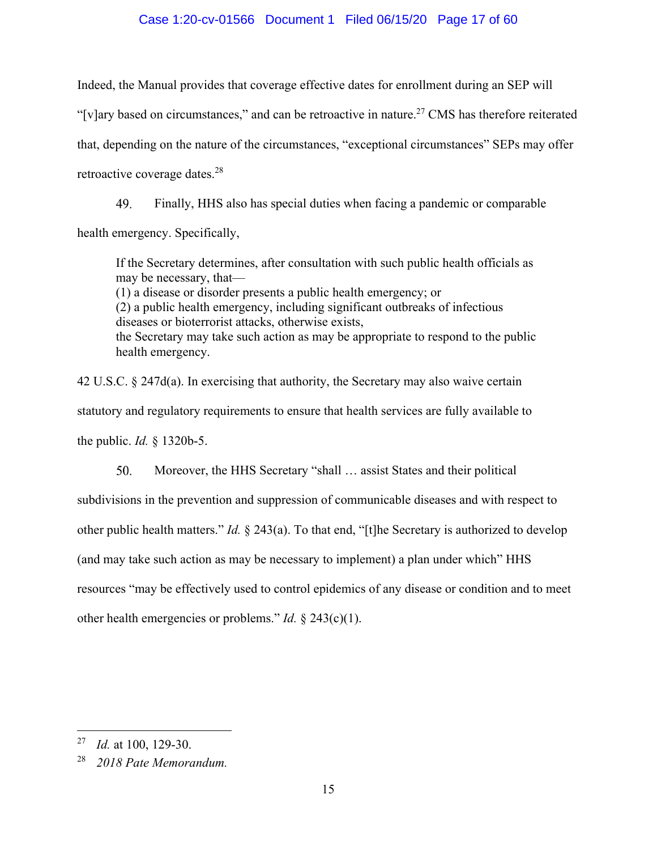# Case 1:20-cv-01566 Document 1 Filed 06/15/20 Page 17 of 60

Indeed, the Manual provides that coverage effective dates for enrollment during an SEP will "[v]ary based on circumstances," and can be retroactive in nature.<sup>27</sup> CMS has therefore reiterated that, depending on the nature of the circumstances, "exceptional circumstances" SEPs may offer retroactive coverage dates.28

49. Finally, HHS also has special duties when facing a pandemic or comparable health emergency. Specifically,

If the Secretary determines, after consultation with such public health officials as may be necessary, that— (1) a disease or disorder presents a public health emergency; or (2) a public health emergency, including significant outbreaks of infectious diseases or bioterrorist attacks, otherwise exists, the Secretary may take such action as may be appropriate to respond to the public health emergency.

42 U.S.C.  $\S 247d(a)$ . In exercising that authority, the Secretary may also waive certain statutory and regulatory requirements to ensure that health services are fully available to the public. *Id.* § 1320b-5.

50. Moreover, the HHS Secretary "shall … assist States and their political subdivisions in the prevention and suppression of communicable diseases and with respect to other public health matters." *Id.* § 243(a). To that end, "[t]he Secretary is authorized to develop (and may take such action as may be necessary to implement) a plan under which" HHS resources "may be effectively used to control epidemics of any disease or condition and to meet other health emergencies or problems." *Id.* § 243(c)(1).

<sup>27</sup> *Id.* at 100, 129-30.

<sup>28</sup> *2018 Pate Memorandum.*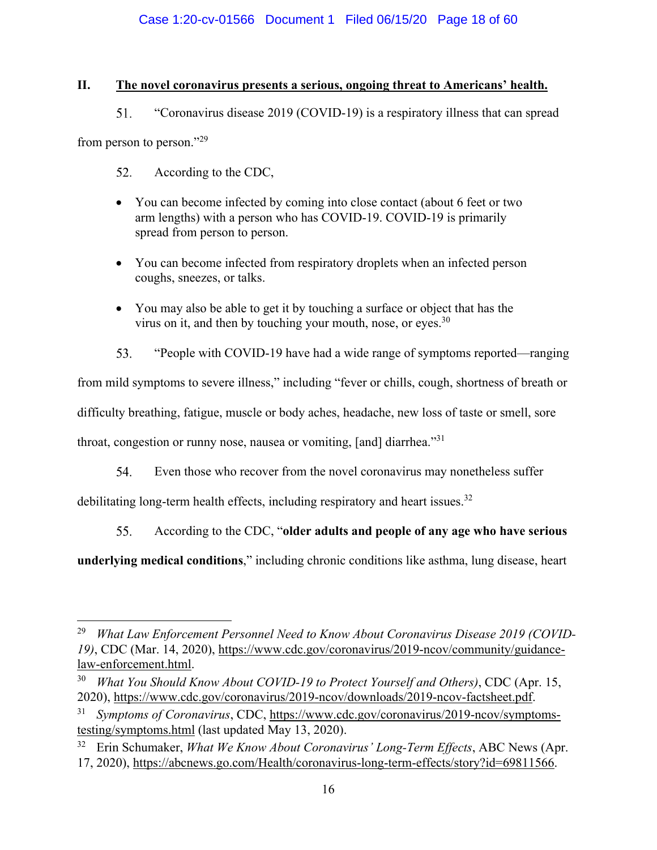# **II. The novel coronavirus presents a serious, ongoing threat to Americans' health.**

 $51.$ "Coronavirus disease 2019 (COVID-19) is a respiratory illness that can spread

from person to person."<sup>29</sup>

- 52. According to the CDC,
- You can become infected by coming into close contact (about 6 feet or two arm lengths) with a person who has COVID-19. COVID-19 is primarily spread from person to person.
- You can become infected from respiratory droplets when an infected person coughs, sneezes, or talks.
- You may also be able to get it by touching a surface or object that has the virus on it, and then by touching your mouth, nose, or eyes. $30$
- 53. "People with COVID-19 have had a wide range of symptoms reported—ranging

from mild symptoms to severe illness," including "fever or chills, cough, shortness of breath or

difficulty breathing, fatigue, muscle or body aches, headache, new loss of taste or smell, sore

throat, congestion or runny nose, nausea or vomiting, [and] diarrhea."<sup>31</sup>

54. Even those who recover from the novel coronavirus may nonetheless suffer

debilitating long-term health effects, including respiratory and heart issues.<sup>32</sup>

55. According to the CDC, "**older adults and people of any age who have serious** 

**underlying medical conditions**," including chronic conditions like asthma, lung disease, heart

<sup>29</sup> *What Law Enforcement Personnel Need to Know About Coronavirus Disease 2019 (COVID-19)*, CDC (Mar. 14, 2020), https://www.cdc.gov/coronavirus/2019-ncov/community/guidancelaw-enforcement.html.

<sup>30</sup> *What You Should Know About COVID-19 to Protect Yourself and Others)*, CDC (Apr. 15, 2020), https://www.cdc.gov/coronavirus/2019-ncov/downloads/2019-ncov-factsheet.pdf.

<sup>31</sup> *Symptoms of Coronavirus*, CDC, https://www.cdc.gov/coronavirus/2019-ncov/symptomstesting/symptoms.html (last updated May 13, 2020).

<sup>32</sup> Erin Schumaker, *What We Know About Coronavirus' Long-Term Effects*, ABC News (Apr. 17, 2020), https://abcnews.go.com/Health/coronavirus-long-term-effects/story?id=69811566.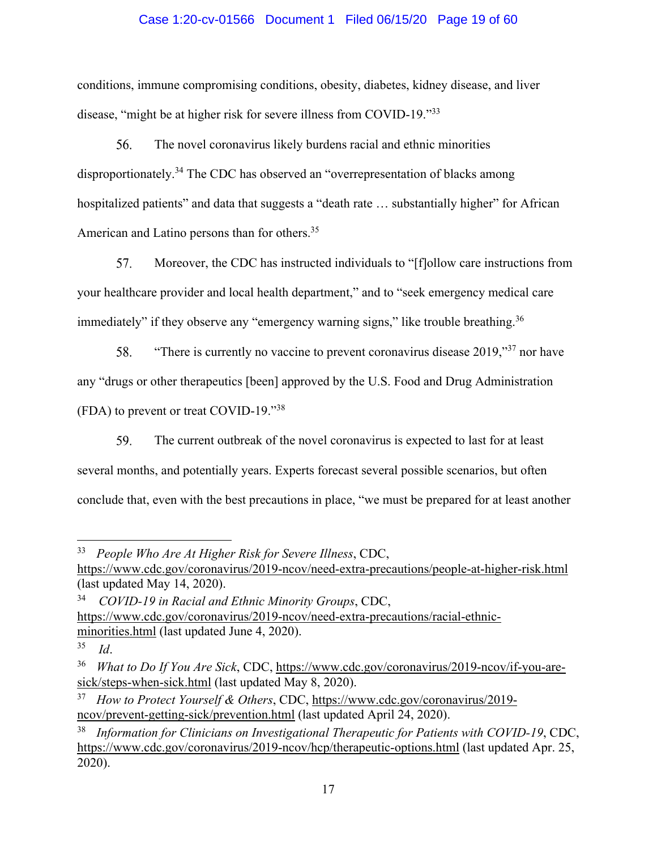# Case 1:20-cv-01566 Document 1 Filed 06/15/20 Page 19 of 60

conditions, immune compromising conditions, obesity, diabetes, kidney disease, and liver disease, "might be at higher risk for severe illness from COVID-19."33

56. The novel coronavirus likely burdens racial and ethnic minorities disproportionately.<sup>34</sup> The CDC has observed an "overrepresentation of blacks among hospitalized patients" and data that suggests a "death rate ... substantially higher" for African American and Latino persons than for others.35

57. Moreover, the CDC has instructed individuals to "[f]ollow care instructions from your healthcare provider and local health department," and to "seek emergency medical care immediately" if they observe any "emergency warning signs," like trouble breathing.<sup>36</sup>

"There is currently no vaccine to prevent coronavirus disease  $2019$ ,"<sup>37</sup> nor have 58. any "drugs or other therapeutics [been] approved by the U.S. Food and Drug Administration (FDA) to prevent or treat COVID-19."<sup>38</sup>

59. The current outbreak of the novel coronavirus is expected to last for at least several months, and potentially years. Experts forecast several possible scenarios, but often conclude that, even with the best precautions in place, "we must be prepared for at least another

37 *How to Protect Yourself & Others*, CDC, https://www.cdc.gov/coronavirus/2019 ncov/prevent-getting-sick/prevention.html (last updated April 24, 2020).

<sup>33</sup> *People Who Are At Higher Risk for Severe Illness*, CDC,

https://www.cdc.gov/coronavirus/2019-ncov/need-extra-precautions/people-at-higher-risk.html (last updated May 14, 2020).

<sup>34</sup> *COVID-19 in Racial and Ethnic Minority Groups*, CDC, https://www.cdc.gov/coronavirus/2019-ncov/need-extra-precautions/racial-ethnicminorities.html (last updated June 4, 2020).

<sup>35</sup> *Id*.

<sup>36</sup> *What to Do If You Are Sick*, CDC, https://www.cdc.gov/coronavirus/2019-ncov/if-you-aresick/steps-when-sick.html (last updated May 8, 2020).

<sup>38</sup> *Information for Clinicians on Investigational Therapeutic for Patients with COVID-19*, CDC, https://www.cdc.gov/coronavirus/2019-ncov/hcp/therapeutic-options.html (last updated Apr. 25, 2020).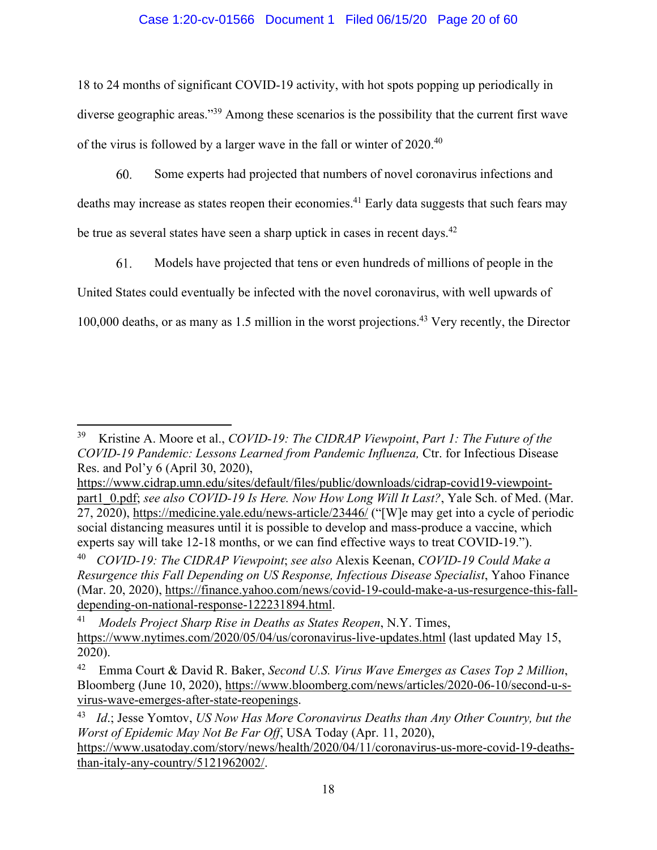# Case 1:20-cv-01566 Document 1 Filed 06/15/20 Page 20 of 60

18 to 24 months of significant COVID-19 activity, with hot spots popping up periodically in diverse geographic areas."<sup>39</sup> Among these scenarios is the possibility that the current first wave of the virus is followed by a larger wave in the fall or winter of 2020.40

60. Some experts had projected that numbers of novel coronavirus infections and deaths may increase as states reopen their economies.<sup>41</sup> Early data suggests that such fears may be true as several states have seen a sharp uptick in cases in recent days.<sup>42</sup>

61. Models have projected that tens or even hundreds of millions of people in the United States could eventually be infected with the novel coronavirus, with well upwards of 100,000 deaths, or as many as 1.5 million in the worst projections.<sup>43</sup> Very recently, the Director

<sup>39</sup> Kristine A. Moore et al., *COVID-19: The CIDRAP Viewpoint*, *Part 1: The Future of the COVID-19 Pandemic: Lessons Learned from Pandemic Influenza,* Ctr. for Infectious Disease Res. and Pol'y 6 (April 30, 2020),

https://www.cidrap.umn.edu/sites/default/files/public/downloads/cidrap-covid19-viewpointpart1\_0.pdf; see also COVID-19 Is Here. Now How Long Will It Last?, Yale Sch. of Med. (Mar. 27, 2020), https://medicine.yale.edu/news-article/23446/ ("[W]e may get into a cycle of periodic social distancing measures until it is possible to develop and mass-produce a vaccine, which experts say will take 12-18 months, or we can find effective ways to treat COVID-19.").

<sup>40</sup> *COVID-19: The CIDRAP Viewpoint*; *see also* Alexis Keenan, *COVID-19 Could Make a Resurgence this Fall Depending on US Response, Infectious Disease Specialist*, Yahoo Finance (Mar. 20, 2020), https://finance.yahoo.com/news/covid-19-could-make-a-us-resurgence-this-falldepending-on-national-response-122231894.html.

<sup>41</sup> *Models Project Sharp Rise in Deaths as States Reopen*, N.Y. Times, https://www.nytimes.com/2020/05/04/us/coronavirus-live-updates.html (last updated May 15, 2020).

<sup>42</sup> Emma Court & David R. Baker, *Second U.S. Virus Wave Emerges as Cases Top 2 Million*, Bloomberg (June 10, 2020), https://www.bloomberg.com/news/articles/2020-06-10/second-u-svirus-wave-emerges-after-state-reopenings.

<sup>43</sup> *Id*.; Jesse Yomtov, *US Now Has More Coronavirus Deaths than Any Other Country, but the Worst of Epidemic May Not Be Far Off*, USA Today (Apr. 11, 2020),

https://www.usatoday.com/story/news/health/2020/04/11/coronavirus-us-more-covid-19-deathsthan-italy-any-country/5121962002/.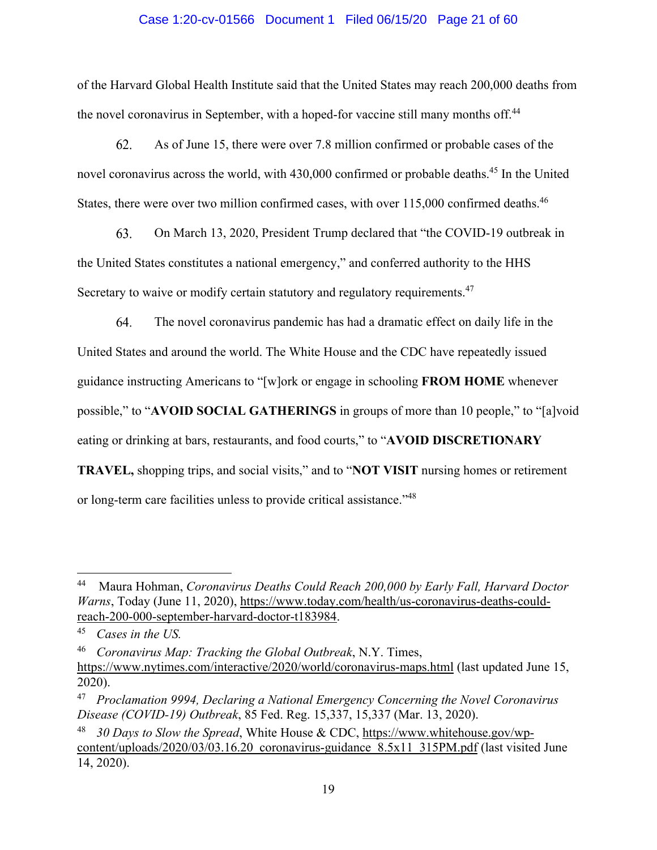## Case 1:20-cv-01566 Document 1 Filed 06/15/20 Page 21 of 60

of the Harvard Global Health Institute said that the United States may reach 200,000 deaths from the novel coronavirus in September, with a hoped-for vaccine still many months off.<sup>44</sup>

62. As of June 15, there were over 7.8 million confirmed or probable cases of the novel coronavirus across the world, with 430,000 confirmed or probable deaths.<sup>45</sup> In the United States, there were over two million confirmed cases, with over 115,000 confirmed deaths.<sup>46</sup>

63. On March 13, 2020, President Trump declared that "the COVID-19 outbreak in the United States constitutes a national emergency," and conferred authority to the HHS Secretary to waive or modify certain statutory and regulatory requirements.<sup>47</sup>

64. The novel coronavirus pandemic has had a dramatic effect on daily life in the United States and around the world. The White House and the CDC have repeatedly issued guidance instructing Americans to "[w]ork or engage in schooling **FROM HOME** whenever possible," to "**AVOID SOCIAL GATHERINGS** in groups of more than 10 people," to "[a]void eating or drinking at bars, restaurants, and food courts," to "**AVOID DISCRETIONARY TRAVEL,** shopping trips, and social visits," and to "**NOT VISIT** nursing homes or retirement or long-term care facilities unless to provide critical assistance."<sup>48</sup>

<sup>44</sup> Maura Hohman, *Coronavirus Deaths Could Reach 200,000 by Early Fall, Harvard Doctor Warns*, Today (June 11, 2020), https://www.today.com/health/us-coronavirus-deaths-couldreach-200-000-september-harvard-doctor-t183984.

<sup>45</sup> *Cases in the US.* 

<sup>46</sup> *Coronavirus Map: Tracking the Global Outbreak*, N.Y. Times, https://www.nytimes.com/interactive/2020/world/coronavirus-maps.html (last updated June 15, 2020).

<sup>47</sup> *Proclamation 9994, Declaring a National Emergency Concerning the Novel Coronavirus Disease (COVID-19) Outbreak*, 85 Fed. Reg. 15,337, 15,337 (Mar. 13, 2020).

<sup>48</sup> *30 Days to Slow the Spread*, White House & CDC, https://www.whitehouse.gov/wpcontent/uploads/2020/03/03.16.20 coronavirus-guidance 8.5x11 315PM.pdf (last visited June 14, 2020).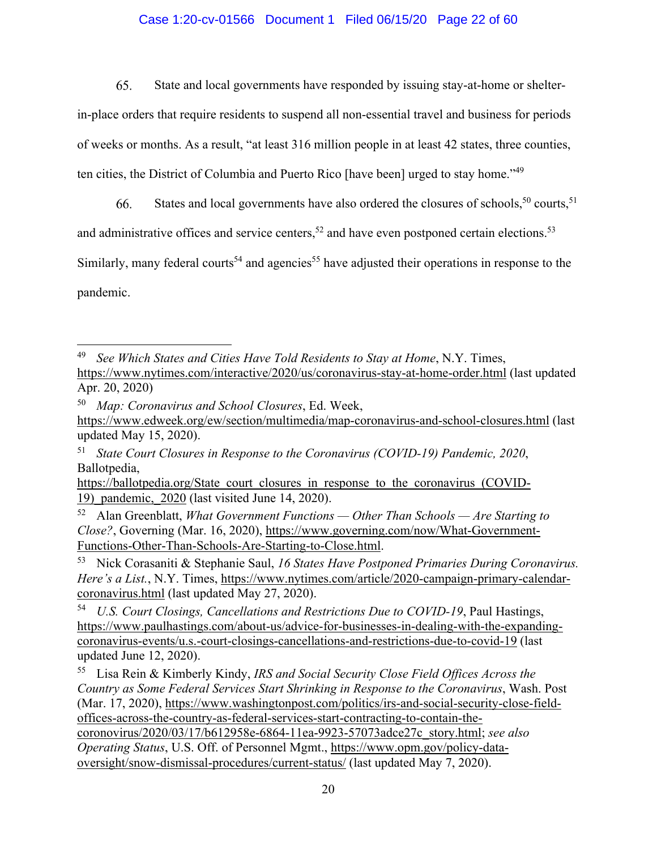# Case 1:20-cv-01566 Document 1 Filed 06/15/20 Page 22 of 60

65. State and local governments have responded by issuing stay-at-home or shelter-

in-place orders that require residents to suspend all non-essential travel and business for periods

of weeks or months. As a result, "at least 316 million people in at least 42 states, three counties,

ten cities, the District of Columbia and Puerto Rico [have been] urged to stay home."49

States and local governments have also ordered the closures of schools,  $50$  courts,  $51$ 66.

and administrative offices and service centers,<sup>52</sup> and have even postponed certain elections.<sup>53</sup>

Similarly, many federal courts<sup>54</sup> and agencies<sup>55</sup> have adjusted their operations in response to the pandemic.

<sup>49</sup> *See Which States and Cities Have Told Residents to Stay at Home*, N.Y. Times,

https://www.nytimes.com/interactive/2020/us/coronavirus-stay-at-home-order.html (last updated Apr. 20, 2020)

<sup>50</sup> *Map: Coronavirus and School Closures*, Ed. Week,

https://www.edweek.org/ew/section/multimedia/map-coronavirus-and-school-closures.html (last updated May 15, 2020).

<sup>51</sup> *State Court Closures in Response to the Coronavirus (COVID-19) Pandemic, 2020*, Ballotpedia,

https://ballotpedia.org/State\_court\_closures\_in\_response\_to\_the\_coronavirus\_(COVID-19)\_pandemic,\_2020 (last visited June 14, 2020).

<sup>52</sup> Alan Greenblatt, *What Government Functions — Other Than Schools — Are Starting to Close?*, Governing (Mar. 16, 2020), https://www.governing.com/now/What-Government-Functions-Other-Than-Schools-Are-Starting-to-Close.html.

<sup>53</sup> Nick Corasaniti & Stephanie Saul, *16 States Have Postponed Primaries During Coronavirus. Here's a List.*, N.Y. Times, https://www.nytimes.com/article/2020-campaign-primary-calendarcoronavirus.html (last updated May 27, 2020).

<sup>54</sup> *U.S. Court Closings, Cancellations and Restrictions Due to COVID-19*, Paul Hastings, https://www.paulhastings.com/about-us/advice-for-businesses-in-dealing-with-the-expandingcoronavirus-events/u.s.-court-closings-cancellations-and-restrictions-due-to-covid-19 (last updated June 12, 2020).

<sup>55</sup> Lisa Rein & Kimberly Kindy, *IRS and Social Security Close Field Offices Across the Country as Some Federal Services Start Shrinking in Response to the Coronavirus*, Wash. Post (Mar. 17, 2020), https://www.washingtonpost.com/politics/irs-and-social-security-close-fieldoffices-across-the-country-as-federal-services-start-contracting-to-contain-thecoronovirus/2020/03/17/b612958e-6864-11ea-9923-57073adce27c\_story.html; *see also Operating Status*, U.S. Off. of Personnel Mgmt., https://www.opm.gov/policy-dataoversight/snow-dismissal-procedures/current-status/ (last updated May 7, 2020).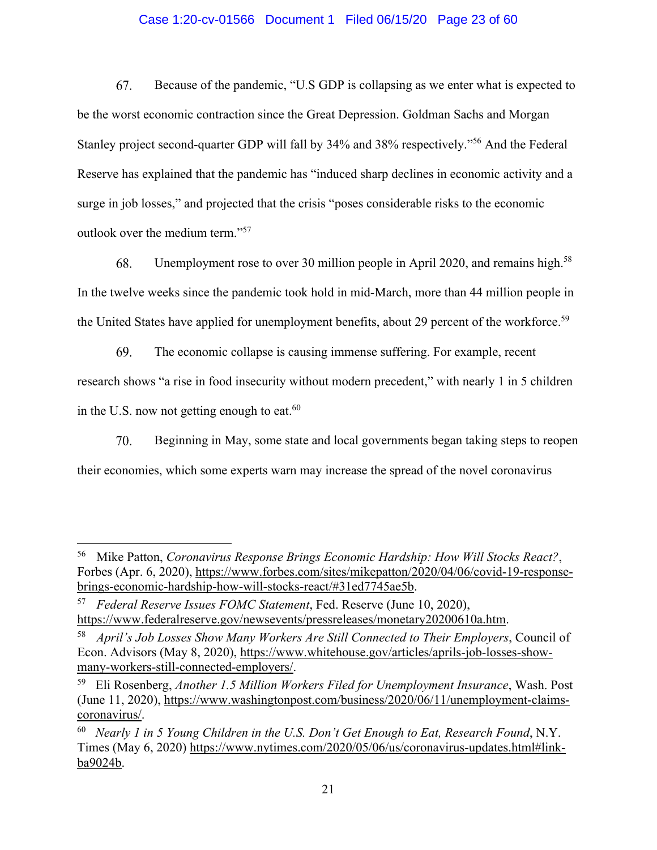# Case 1:20-cv-01566 Document 1 Filed 06/15/20 Page 23 of 60

Because of the pandemic, "U.S GDP is collapsing as we enter what is expected to 67. be the worst economic contraction since the Great Depression. Goldman Sachs and Morgan Stanley project second-quarter GDP will fall by 34% and 38% respectively."56 And the Federal Reserve has explained that the pandemic has "induced sharp declines in economic activity and a surge in job losses," and projected that the crisis "poses considerable risks to the economic outlook over the medium term."57

68. Unemployment rose to over 30 million people in April 2020, and remains high.<sup>58</sup> In the twelve weeks since the pandemic took hold in mid-March, more than 44 million people in the United States have applied for unemployment benefits, about 29 percent of the workforce.<sup>59</sup>

69. The economic collapse is causing immense suffering. For example, recent research shows "a rise in food insecurity without modern precedent," with nearly 1 in 5 children in the U.S. now not getting enough to eat. $60$ 

70. Beginning in May, some state and local governments began taking steps to reopen their economies, which some experts warn may increase the spread of the novel coronavirus

<sup>56</sup> Mike Patton, *Coronavirus Response Brings Economic Hardship: How Will Stocks React?*, Forbes (Apr. 6, 2020), https://www.forbes.com/sites/mikepatton/2020/04/06/covid-19-responsebrings-economic-hardship-how-will-stocks-react/#31ed7745ae5b.

<sup>57</sup> *Federal Reserve Issues FOMC Statement*, Fed. Reserve (June 10, 2020), https://www.federalreserve.gov/newsevents/pressreleases/monetary20200610a.htm.

<sup>58</sup> *April's Job Losses Show Many Workers Are Still Connected to Their Employers*, Council of Econ. Advisors (May 8, 2020), https://www.whitehouse.gov/articles/aprils-job-losses-showmany-workers-still-connected-employers/.

<sup>59</sup> Eli Rosenberg, *Another 1.5 Million Workers Filed for Unemployment Insurance*, Wash. Post (June 11, 2020), https://www.washingtonpost.com/business/2020/06/11/unemployment-claimscoronavirus/.

<sup>60</sup> *Nearly 1 in 5 Young Children in the U.S. Don't Get Enough to Eat, Research Found*, N.Y. Times (May 6, 2020) https://www.nytimes.com/2020/05/06/us/coronavirus-updates.html#linkba9024b.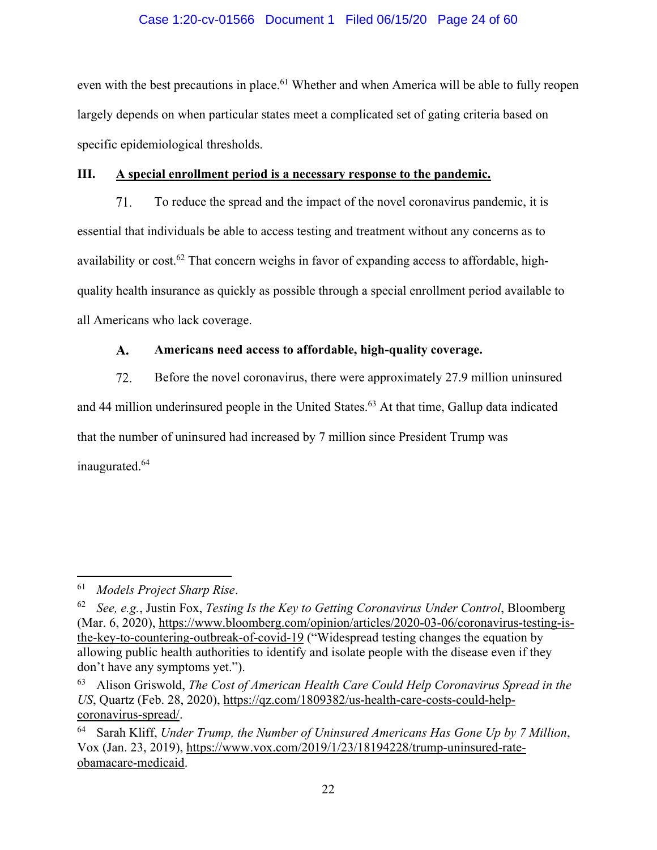# Case 1:20-cv-01566 Document 1 Filed 06/15/20 Page 24 of 60

even with the best precautions in place.<sup>61</sup> Whether and when America will be able to fully reopen largely depends on when particular states meet a complicated set of gating criteria based on specific epidemiological thresholds.

# **III. A special enrollment period is a necessary response to the pandemic.**

71. To reduce the spread and the impact of the novel coronavirus pandemic, it is essential that individuals be able to access testing and treatment without any concerns as to availability or cost.<sup>62</sup> That concern weighs in favor of expanding access to affordable, highquality health insurance as quickly as possible through a special enrollment period available to all Americans who lack coverage.

#### $\mathbf{A}$ . **Americans need access to affordable, high-quality coverage.**

72. Before the novel coronavirus, there were approximately 27.9 million uninsured and 44 million underinsured people in the United States.<sup>63</sup> At that time, Gallup data indicated that the number of uninsured had increased by 7 million since President Trump was inaugurated.<sup>64</sup>

<sup>61</sup> *Models Project Sharp Rise*.

<sup>62</sup> *See, e.g.*, Justin Fox, *Testing Is the Key to Getting Coronavirus Under Control*, Bloomberg (Mar. 6, 2020), https://www.bloomberg.com/opinion/articles/2020-03-06/coronavirus-testing-isthe-key-to-countering-outbreak-of-covid-19 ("Widespread testing changes the equation by allowing public health authorities to identify and isolate people with the disease even if they don't have any symptoms yet.").

<sup>63</sup> Alison Griswold, *The Cost of American Health Care Could Help Coronavirus Spread in the US*, Quartz (Feb. 28, 2020), https://qz.com/1809382/us-health-care-costs-could-helpcoronavirus-spread/.

<sup>64</sup> Sarah Kliff, *Under Trump, the Number of Uninsured Americans Has Gone Up by 7 Million*, Vox (Jan. 23, 2019), https://www.vox.com/2019/1/23/18194228/trump-uninsured-rateobamacare-medicaid.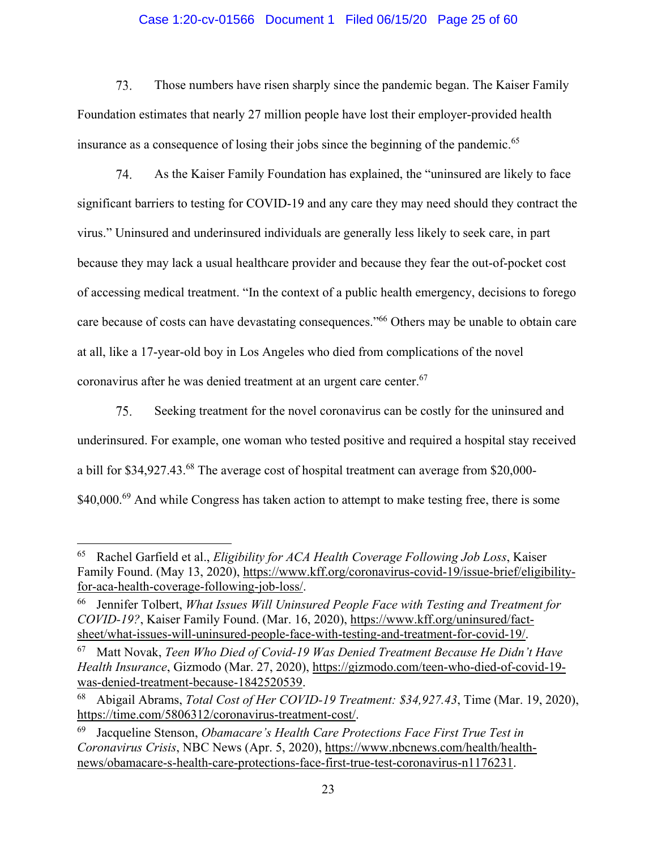# Case 1:20-cv-01566 Document 1 Filed 06/15/20 Page 25 of 60

73. Those numbers have risen sharply since the pandemic began. The Kaiser Family Foundation estimates that nearly 27 million people have lost their employer-provided health insurance as a consequence of losing their jobs since the beginning of the pandemic.<sup>65</sup>

74. As the Kaiser Family Foundation has explained, the "uninsured are likely to face significant barriers to testing for COVID-19 and any care they may need should they contract the virus." Uninsured and underinsured individuals are generally less likely to seek care, in part because they may lack a usual healthcare provider and because they fear the out-of-pocket cost of accessing medical treatment. "In the context of a public health emergency, decisions to forego care because of costs can have devastating consequences."66 Others may be unable to obtain care at all, like a 17-year-old boy in Los Angeles who died from complications of the novel coronavirus after he was denied treatment at an urgent care center.<sup>67</sup>

75. Seeking treatment for the novel coronavirus can be costly for the uninsured and underinsured. For example, one woman who tested positive and required a hospital stay received a bill for \$34,927.43.<sup>68</sup> The average cost of hospital treatment can average from \$20,000-\$40,000.<sup>69</sup> And while Congress has taken action to attempt to make testing free, there is some

<sup>65</sup> Rachel Garfield et al., *Eligibility for ACA Health Coverage Following Job Loss*, Kaiser Family Found. (May 13, 2020), https://www.kff.org/coronavirus-covid-19/issue-brief/eligibilityfor-aca-health-coverage-following-job-loss/.

<sup>66</sup> Jennifer Tolbert, *What Issues Will Uninsured People Face with Testing and Treatment for COVID-19?*, Kaiser Family Found. (Mar. 16, 2020), https://www.kff.org/uninsured/factsheet/what-issues-will-uninsured-people-face-with-testing-and-treatment-for-covid-19/.

<sup>67</sup> Matt Novak, *Teen Who Died of Covid-19 Was Denied Treatment Because He Didn't Have Health Insurance*, Gizmodo (Mar. 27, 2020), https://gizmodo.com/teen-who-died-of-covid-19 was-denied-treatment-because-1842520539.

<sup>68</sup> Abigail Abrams, *Total Cost of Her COVID-19 Treatment: \$34,927.43*, Time (Mar. 19, 2020), https://time.com/5806312/coronavirus-treatment-cost/.

<sup>69</sup> Jacqueline Stenson, *Obamacare's Health Care Protections Face First True Test in Coronavirus Crisis*, NBC News (Apr. 5, 2020), https://www.nbcnews.com/health/healthnews/obamacare-s-health-care-protections-face-first-true-test-coronavirus-n1176231.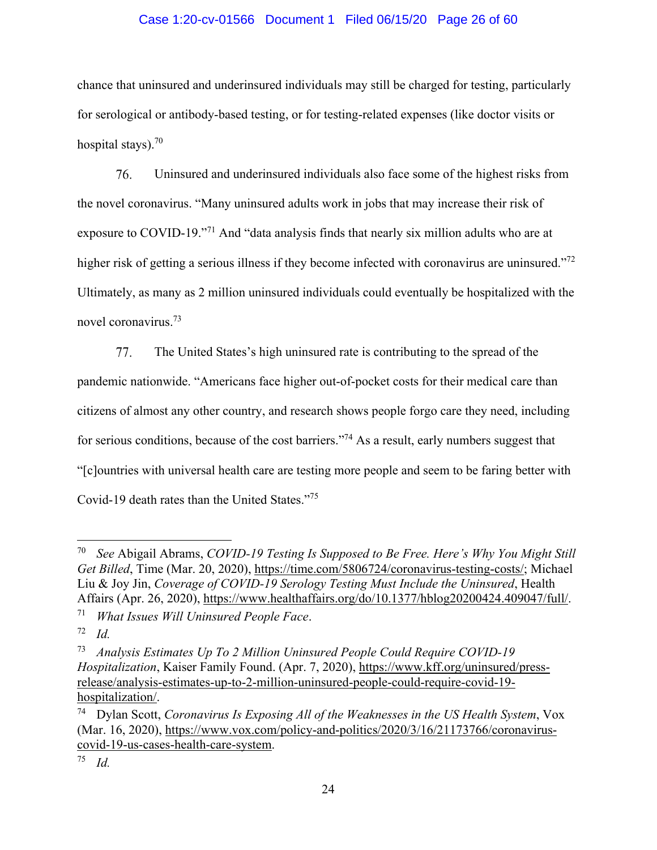# Case 1:20-cv-01566 Document 1 Filed 06/15/20 Page 26 of 60

chance that uninsured and underinsured individuals may still be charged for testing, particularly for serological or antibody-based testing, or for testing-related expenses (like doctor visits or hospital stays). $70$ 

76. Uninsured and underinsured individuals also face some of the highest risks from the novel coronavirus. "Many uninsured adults work in jobs that may increase their risk of exposure to COVID-19.<sup>"71</sup> And "data analysis finds that nearly six million adults who are at higher risk of getting a serious illness if they become infected with coronavirus are uninsured."<sup>72</sup> Ultimately, as many as 2 million uninsured individuals could eventually be hospitalized with the novel coronavirus.73

The United States's high uninsured rate is contributing to the spread of the 77. pandemic nationwide. "Americans face higher out-of-pocket costs for their medical care than citizens of almost any other country, and research shows people forgo care they need, including for serious conditions, because of the cost barriers."<sup>74</sup> As a result, early numbers suggest that "[c]ountries with universal health care are testing more people and seem to be faring better with Covid-19 death rates than the United States."75

<sup>70</sup> *See* Abigail Abrams, *COVID-19 Testing Is Supposed to Be Free. Here's Why You Might Still Get Billed*, Time (Mar. 20, 2020), https://time.com/5806724/coronavirus-testing-costs/; Michael Liu & Joy Jin, *Coverage of COVID-19 Serology Testing Must Include the Uninsured*, Health Affairs (Apr. 26, 2020), https://www.healthaffairs.org/do/10.1377/hblog20200424.409047/full/.

<sup>71</sup> *What Issues Will Uninsured People Face*.

<sup>72</sup> *Id.*

<sup>73</sup> *Analysis Estimates Up To 2 Million Uninsured People Could Require COVID-19 Hospitalization*, Kaiser Family Found. (Apr. 7, 2020), https://www.kff.org/uninsured/pressrelease/analysis-estimates-up-to-2-million-uninsured-people-could-require-covid-19 hospitalization/.

<sup>74</sup> Dylan Scott, *Coronavirus Is Exposing All of the Weaknesses in the US Health System*, Vox (Mar. 16, 2020), https://www.vox.com/policy-and-politics/2020/3/16/21173766/coronaviruscovid-19-us-cases-health-care-system.

<sup>75</sup> *Id.*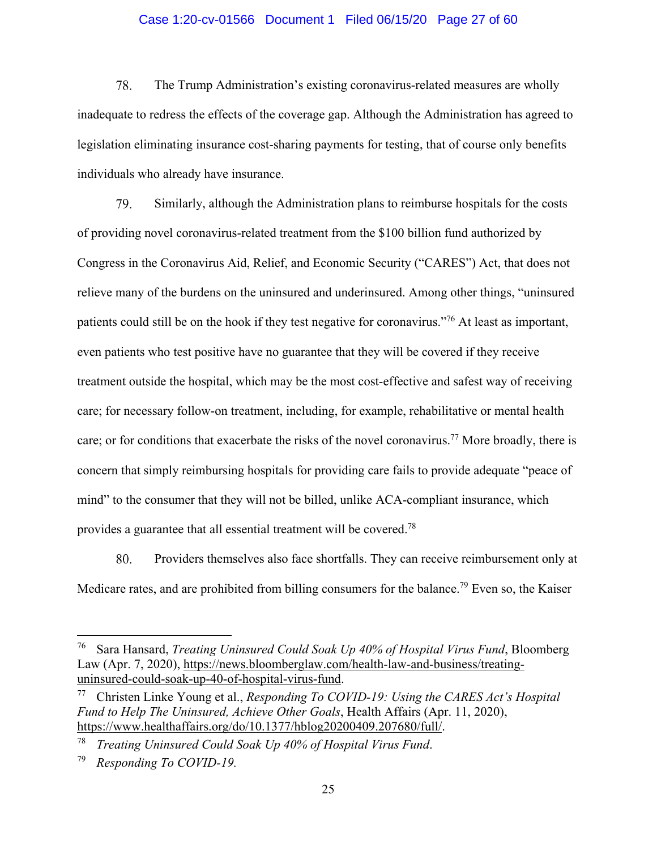## Case 1:20-cv-01566 Document 1 Filed 06/15/20 Page 27 of 60

78. The Trump Administration's existing coronavirus-related measures are wholly inadequate to redress the effects of the coverage gap. Although the Administration has agreed to legislation eliminating insurance cost-sharing payments for testing, that of course only benefits individuals who already have insurance.

79. Similarly, although the Administration plans to reimburse hospitals for the costs of providing novel coronavirus-related treatment from the \$100 billion fund authorized by Congress in the Coronavirus Aid, Relief, and Economic Security ("CARES") Act, that does not relieve many of the burdens on the uninsured and underinsured. Among other things, "uninsured patients could still be on the hook if they test negative for coronavirus."76 At least as important, even patients who test positive have no guarantee that they will be covered if they receive treatment outside the hospital, which may be the most cost-effective and safest way of receiving care; for necessary follow-on treatment, including, for example, rehabilitative or mental health care; or for conditions that exacerbate the risks of the novel coronavirus.<sup>77</sup> More broadly, there is concern that simply reimbursing hospitals for providing care fails to provide adequate "peace of mind" to the consumer that they will not be billed, unlike ACA-compliant insurance, which provides a guarantee that all essential treatment will be covered.78

80. Providers themselves also face shortfalls. They can receive reimbursement only at Medicare rates, and are prohibited from billing consumers for the balance.<sup>79</sup> Even so, the Kaiser

<sup>76</sup> Sara Hansard, *Treating Uninsured Could Soak Up 40% of Hospital Virus Fund*, Bloomberg Law (Apr. 7, 2020), https://news.bloomberglaw.com/health-law-and-business/treatinguninsured-could-soak-up-40-of-hospital-virus-fund.

<sup>77</sup> Christen Linke Young et al., *Responding To COVID-19: Using the CARES Act's Hospital Fund to Help The Uninsured, Achieve Other Goals*, Health Affairs (Apr. 11, 2020), https://www.healthaffairs.org/do/10.1377/hblog20200409.207680/full/.

<sup>78</sup> *Treating Uninsured Could Soak Up 40% of Hospital Virus Fund*.

<sup>79</sup> *Responding To COVID-19.*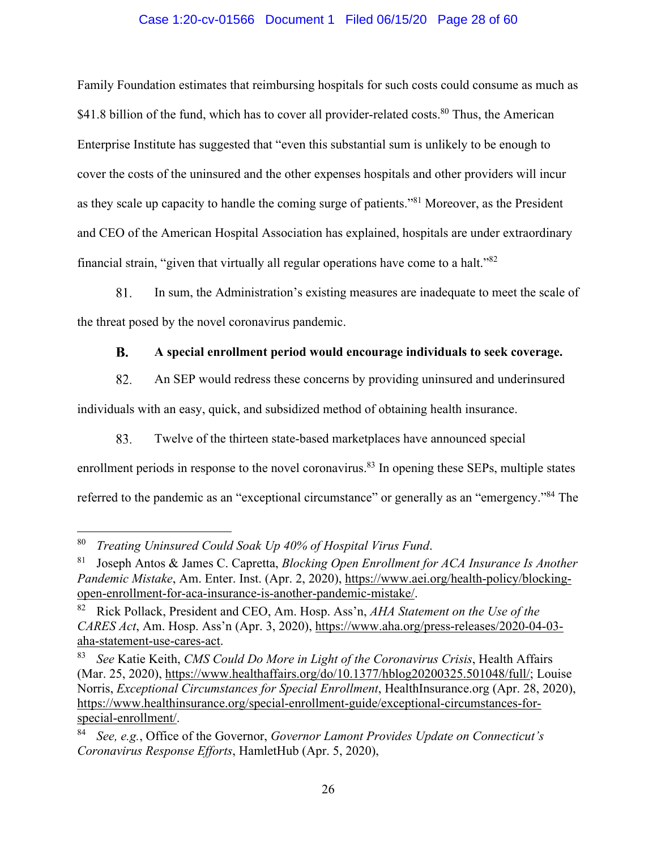# Case 1:20-cv-01566 Document 1 Filed 06/15/20 Page 28 of 60

Family Foundation estimates that reimbursing hospitals for such costs could consume as much as \$41.8 billion of the fund, which has to cover all provider-related costs.<sup>80</sup> Thus, the American Enterprise Institute has suggested that "even this substantial sum is unlikely to be enough to cover the costs of the uninsured and the other expenses hospitals and other providers will incur as they scale up capacity to handle the coming surge of patients."81 Moreover, as the President and CEO of the American Hospital Association has explained, hospitals are under extraordinary financial strain, "given that virtually all regular operations have come to a halt."82

81. In sum, the Administration's existing measures are inadequate to meet the scale of the threat posed by the novel coronavirus pandemic.

#### **B. A special enrollment period would encourage individuals to seek coverage.**

82. An SEP would redress these concerns by providing uninsured and underinsured

individuals with an easy, quick, and subsidized method of obtaining health insurance.

83. Twelve of the thirteen state-based marketplaces have announced special

enrollment periods in response to the novel coronavirus.<sup>83</sup> In opening these SEPs, multiple states referred to the pandemic as an "exceptional circumstance" or generally as an "emergency."<sup>84</sup> The

<sup>80</sup> *Treating Uninsured Could Soak Up 40% of Hospital Virus Fund*.

<sup>81</sup> Joseph Antos & James C. Capretta, *Blocking Open Enrollment for ACA Insurance Is Another Pandemic Mistake*, Am. Enter. Inst. (Apr. 2, 2020), https://www.aei.org/health-policy/blockingopen-enrollment-for-aca-insurance-is-another-pandemic-mistake/.

<sup>82</sup> Rick Pollack, President and CEO, Am. Hosp. Ass'n, *AHA Statement on the Use of the CARES Act*, Am. Hosp. Ass'n (Apr. 3, 2020), https://www.aha.org/press-releases/2020-04-03 aha-statement-use-cares-act.

<sup>83</sup> *See* Katie Keith, *CMS Could Do More in Light of the Coronavirus Crisis*, Health Affairs (Mar. 25, 2020), https://www.healthaffairs.org/do/10.1377/hblog20200325.501048/full/; Louise Norris, *Exceptional Circumstances for Special Enrollment*, HealthInsurance.org (Apr. 28, 2020), https://www.healthinsurance.org/special-enrollment-guide/exceptional-circumstances-forspecial-enrollment/.

<sup>84</sup> *See, e.g.*, Office of the Governor, *Governor Lamont Provides Update on Connecticut's Coronavirus Response Efforts*, HamletHub (Apr. 5, 2020),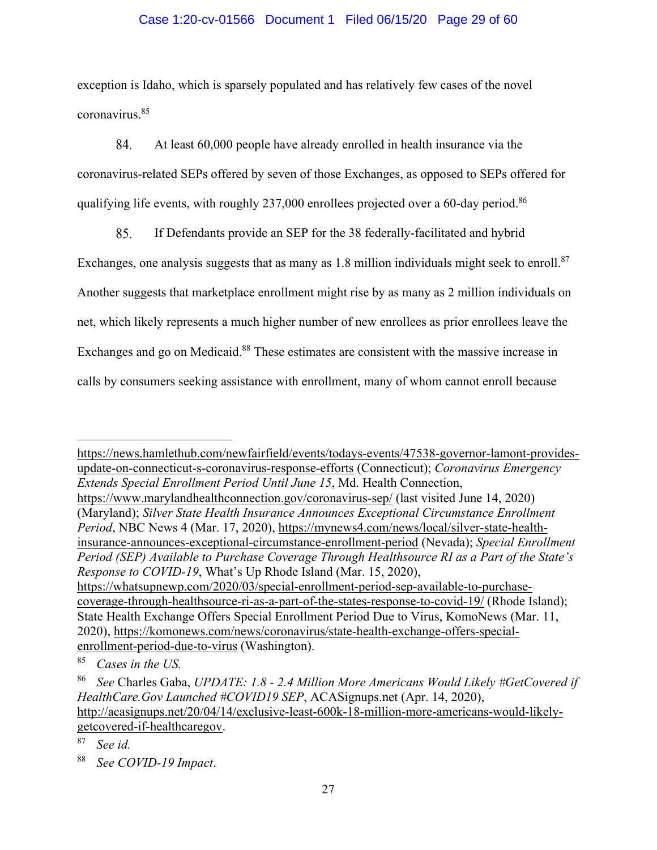# Case 1:20-cv-01566 Document 1 Filed 06/15/20 Page 29 of 60

exception is Idaho, which is sparsely populated and has relatively few cases of the novel coronavirus.85

84. At least 60,000 people have already enrolled in health insurance via the coronavirus-related SEPs offered by seven of those Exchanges, as opposed to SEPs offered for qualifying life events, with roughly 237,000 enrollees projected over a 60-day period.<sup>86</sup>

85. If Defendants provide an SEP for the 38 federally-facilitated and hybrid

Exchanges, one analysis suggests that as many as 1.8 million individuals might seek to enroll.<sup>87</sup> Another suggests that marketplace enrollment might rise by as many as 2 million individuals on net, which likely represents a much higher number of new enrollees as prior enrollees leave the Exchanges and go on Medicaid.<sup>88</sup> These estimates are consistent with the massive increase in calls by consumers seeking assistance with enrollment, many of whom cannot enroll because

https://news.hamlethub.com/newfairfield/events/todays-events/47538-governor-lamont-providesupdate-on-connecticut-s-coronavirus-response-efforts (Connecticut); *Coronavirus Emergency Extends Special Enrollment Period Until June 15*, Md. Health Connection, https://www.marylandhealthconnection.gov/coronavirus-sep/ (last visited June 14, 2020) (Maryland); *Silver State Health Insurance Announces Exceptional Circumstance Enrollment Period*, NBC News 4 (Mar. 17, 2020), https://mynews4.com/news/local/silver-state-healthinsurance-announces-exceptional-circumstance-enrollment-period (Nevada); *Special Enrollment Period (SEP) Available to Purchase Coverage Through Healthsource RI as a Part of the State's Response to COVID-19*, What's Up Rhode Island (Mar. 15, 2020), https://whatsupnewp.com/2020/03/special-enrollment-period-sep-available-to-purchasecoverage-through-healthsource-ri-as-a-part-of-the-states-response-to-covid-19/ (Rhode Island); State Health Exchange Offers Special Enrollment Period Due to Virus, KomoNews (Mar. 11, 2020), https://komonews.com/news/coronavirus/state-health-exchange-offers-specialenrollment-period-due-to-virus (Washington).

<sup>85</sup> *Cases in the US.* 

<sup>86</sup> *See* Charles Gaba, *UPDATE: 1.8 - 2.4 Million More Americans Would Likely #GetCovered if HealthCare.Gov Launched #COVID19 SEP*, ACASignups.net (Apr. 14, 2020), http://acasignups.net/20/04/14/exclusive-least-600k-18-million-more-americans-would-likelygetcovered-if-healthcaregov.

<sup>87</sup> *See id.*

<sup>88</sup> *See COVID-19 Impact*.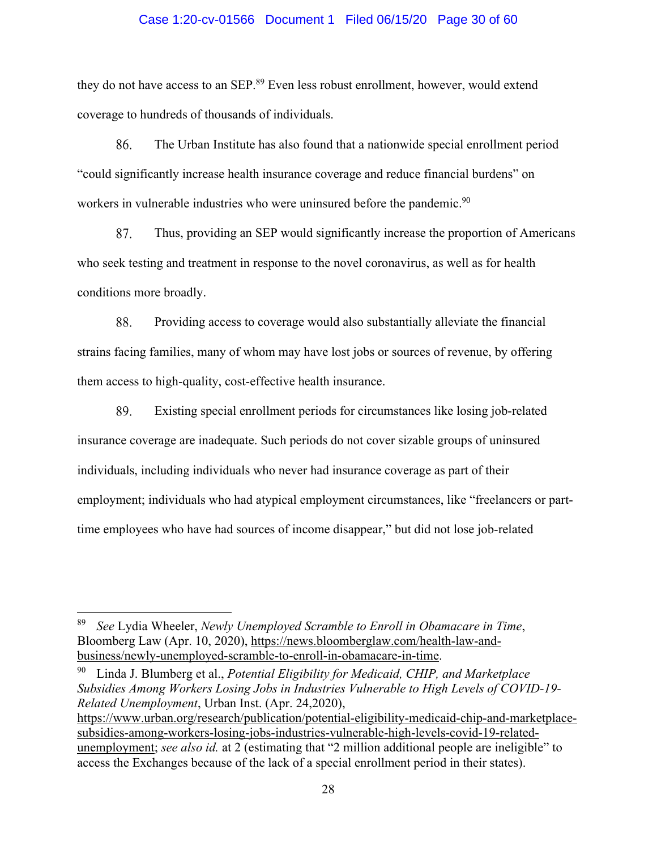### Case 1:20-cv-01566 Document 1 Filed 06/15/20 Page 30 of 60

they do not have access to an SEP.<sup>89</sup> Even less robust enrollment, however, would extend coverage to hundreds of thousands of individuals.

86. The Urban Institute has also found that a nationwide special enrollment period "could significantly increase health insurance coverage and reduce financial burdens" on workers in vulnerable industries who were uninsured before the pandemic.<sup>90</sup>

87. Thus, providing an SEP would significantly increase the proportion of Americans who seek testing and treatment in response to the novel coronavirus, as well as for health conditions more broadly.

88. Providing access to coverage would also substantially alleviate the financial strains facing families, many of whom may have lost jobs or sources of revenue, by offering them access to high-quality, cost-effective health insurance.

89. Existing special enrollment periods for circumstances like losing job-related insurance coverage are inadequate. Such periods do not cover sizable groups of uninsured individuals, including individuals who never had insurance coverage as part of their employment; individuals who had atypical employment circumstances, like "freelancers or parttime employees who have had sources of income disappear," but did not lose job-related

90 Linda J. Blumberg et al., *Potential Eligibility for Medicaid, CHIP, and Marketplace Subsidies Among Workers Losing Jobs in Industries Vulnerable to High Levels of COVID-19- Related Unemployment*, Urban Inst. (Apr. 24,2020), https://www.urban.org/research/publication/potential-eligibility-medicaid-chip-and-marketplacesubsidies-among-workers-losing-jobs-industries-vulnerable-high-levels-covid-19-relatedunemployment; *see also id.* at 2 (estimating that "2 million additional people are ineligible" to access the Exchanges because of the lack of a special enrollment period in their states).

<sup>89</sup> *See* Lydia Wheeler, *Newly Unemployed Scramble to Enroll in Obamacare in Time*, Bloomberg Law (Apr. 10, 2020), https://news.bloomberglaw.com/health-law-andbusiness/newly-unemployed-scramble-to-enroll-in-obamacare-in-time.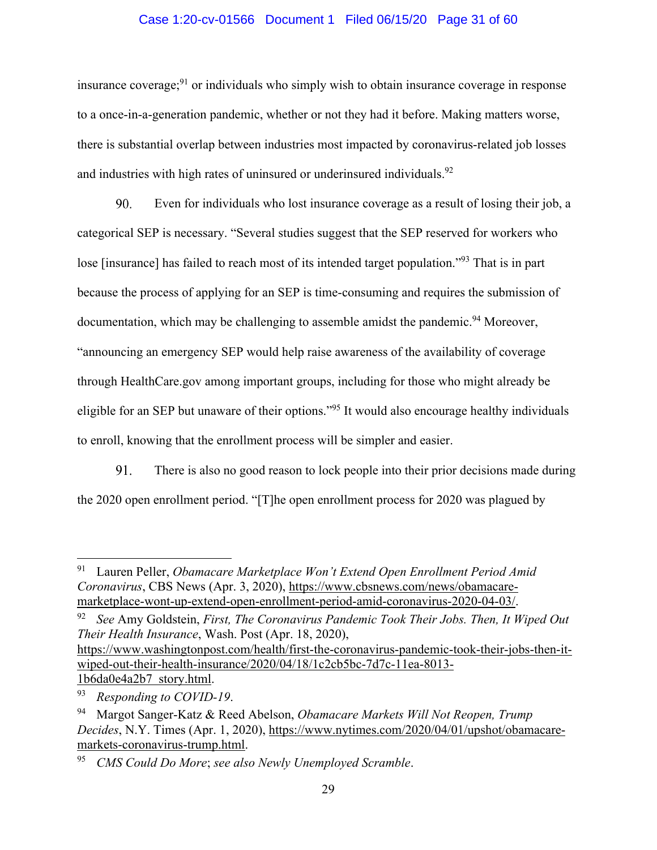## Case 1:20-cv-01566 Document 1 Filed 06/15/20 Page 31 of 60

insurance coverage; $91$  or individuals who simply wish to obtain insurance coverage in response to a once-in-a-generation pandemic, whether or not they had it before. Making matters worse, there is substantial overlap between industries most impacted by coronavirus-related job losses and industries with high rates of uninsured or underinsured individuals.<sup>92</sup>

90. Even for individuals who lost insurance coverage as a result of losing their job, a categorical SEP is necessary. "Several studies suggest that the SEP reserved for workers who lose [insurance] has failed to reach most of its intended target population."93 That is in part because the process of applying for an SEP is time-consuming and requires the submission of documentation, which may be challenging to assemble amidst the pandemic.<sup>94</sup> Moreover, "announcing an emergency SEP would help raise awareness of the availability of coverage through HealthCare.gov among important groups, including for those who might already be eligible for an SEP but unaware of their options."95 It would also encourage healthy individuals to enroll, knowing that the enrollment process will be simpler and easier.

91. There is also no good reason to lock people into their prior decisions made during the 2020 open enrollment period. "[T]he open enrollment process for 2020 was plagued by

<sup>91</sup> Lauren Peller, *Obamacare Marketplace Won't Extend Open Enrollment Period Amid Coronavirus*, CBS News (Apr. 3, 2020), https://www.cbsnews.com/news/obamacaremarketplace-wont-up-extend-open-enrollment-period-amid-coronavirus-2020-04-03/.

<sup>92</sup> *See* Amy Goldstein, *First, The Coronavirus Pandemic Took Their Jobs. Then, It Wiped Out Their Health Insurance*, Wash. Post (Apr. 18, 2020), https://www.washingtonpost.com/health/first-the-coronavirus-pandemic-took-their-jobs-then-itwiped-out-their-health-insurance/2020/04/18/1c2cb5bc-7d7c-11ea-8013- 1b6da0e4a2b7 story.html.

<sup>93</sup> *Responding to COVID-19*.

<sup>94</sup> Margot Sanger-Katz & Reed Abelson, *Obamacare Markets Will Not Reopen, Trump Decides*, N.Y. Times (Apr. 1, 2020), https://www.nytimes.com/2020/04/01/upshot/obamacaremarkets-coronavirus-trump.html.

<sup>95</sup> *CMS Could Do More*; *see also Newly Unemployed Scramble*.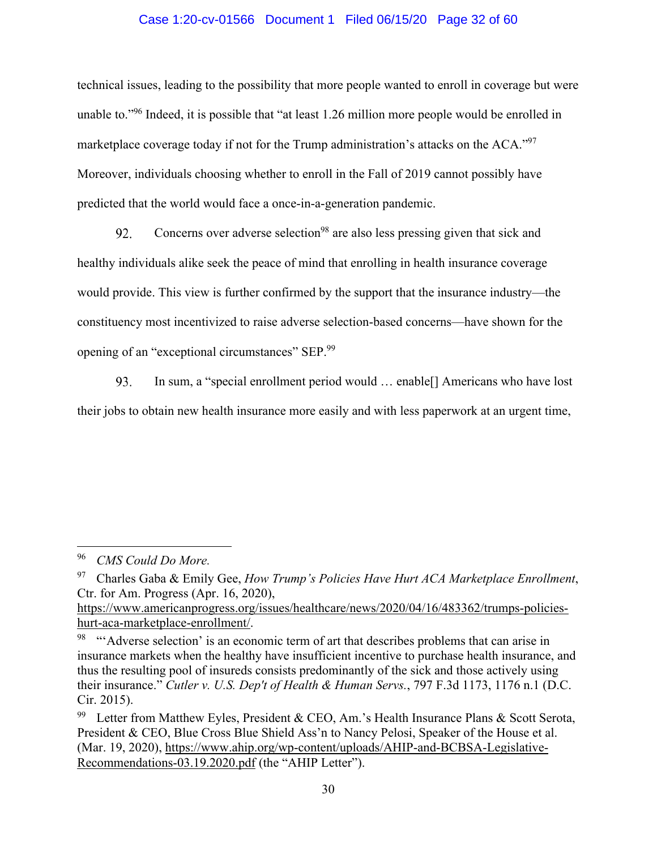# Case 1:20-cv-01566 Document 1 Filed 06/15/20 Page 32 of 60

technical issues, leading to the possibility that more people wanted to enroll in coverage but were unable to."96 Indeed, it is possible that "at least 1.26 million more people would be enrolled in marketplace coverage today if not for the Trump administration's attacks on the ACA."<sup>97</sup> Moreover, individuals choosing whether to enroll in the Fall of 2019 cannot possibly have predicted that the world would face a once-in-a-generation pandemic.

Concerns over adverse selection<sup>98</sup> are also less pressing given that sick and 92. healthy individuals alike seek the peace of mind that enrolling in health insurance coverage would provide. This view is further confirmed by the support that the insurance industry—the constituency most incentivized to raise adverse selection-based concerns—have shown for the opening of an "exceptional circumstances" SEP.99

In sum, a "special enrollment period would … enable[] Americans who have lost 93. their jobs to obtain new health insurance more easily and with less paperwork at an urgent time,

<sup>96</sup> *CMS Could Do More.* 

<sup>97</sup> Charles Gaba & Emily Gee, *How Trump's Policies Have Hurt ACA Marketplace Enrollment*, Ctr. for Am. Progress (Apr. 16, 2020),

https://www.americanprogress.org/issues/healthcare/news/2020/04/16/483362/trumps-policieshurt-aca-marketplace-enrollment/.

<sup>&</sup>lt;sup>98</sup> "Adverse selection' is an economic term of art that describes problems that can arise in insurance markets when the healthy have insufficient incentive to purchase health insurance, and thus the resulting pool of insureds consists predominantly of the sick and those actively using their insurance." *Cutler v. U.S. Dep't of Health & Human Servs.*, 797 F.3d 1173, 1176 n.1 (D.C. Cir. 2015).

<sup>&</sup>lt;sup>99</sup> Letter from Matthew Eyles, President & CEO, Am.'s Health Insurance Plans & Scott Serota, President & CEO, Blue Cross Blue Shield Ass'n to Nancy Pelosi, Speaker of the House et al. (Mar. 19, 2020), https://www.ahip.org/wp-content/uploads/AHIP-and-BCBSA-Legislative-Recommendations-03.19.2020.pdf (the "AHIP Letter").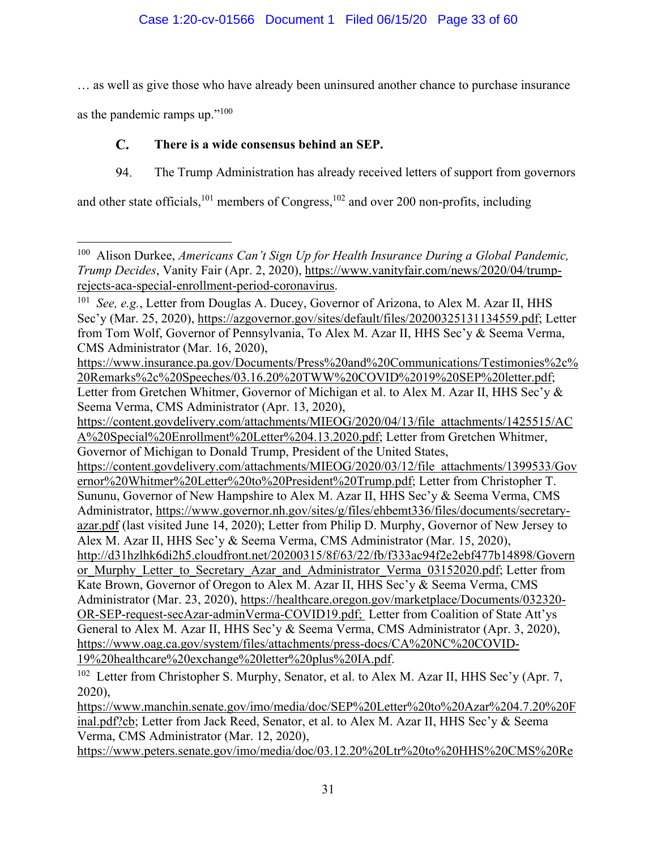… as well as give those who have already been uninsured another chance to purchase insurance

as the pandemic ramps up."<sup>100</sup>

#### $\mathbf{C}$ . **There is a wide consensus behind an SEP.**

94. The Trump Administration has already received letters of support from governors

and other state officials,<sup>101</sup> members of Congress,<sup>102</sup> and over 200 non-profits, including

https://content.govdelivery.com/attachments/MIEOG/2020/03/12/file attachments/1399533/Gov ernor%20Whitmer%20Letter%20to%20President%20Trump.pdf; Letter from Christopher T. Sununu, Governor of New Hampshire to Alex M. Azar II, HHS Sec'y & Seema Verma, CMS Administrator, https://www.governor.nh.gov/sites/g/files/ehbemt336/files/documents/secretaryazar.pdf (last visited June 14, 2020); Letter from Philip D. Murphy, Governor of New Jersey to Alex M. Azar II, HHS Sec'y & Seema Verma, CMS Administrator (Mar. 15, 2020), http://d31hzlhk6di2h5.cloudfront.net/20200315/8f/63/22/fb/f333ac94f2e2ebf477b14898/Govern or Murphy Letter to Secretary Azar and Administrator Verma 03152020.pdf; Letter from Kate Brown, Governor of Oregon to Alex M. Azar II, HHS Sec'y & Seema Verma, CMS Administrator (Mar. 23, 2020), https://healthcare.oregon.gov/marketplace/Documents/032320- OR-SEP-request-secAzar-adminVerma-COVID19.pdf; Letter from Coalition of State Att'ys General to Alex M. Azar II, HHS Sec'y & Seema Verma, CMS Administrator (Apr. 3, 2020), https://www.oag.ca.gov/system/files/attachments/press-docs/CA%20NC%20COVID-19%20healthcare%20exchange%20letter%20plus%20IA.pdf.

 $102$  Letter from Christopher S. Murphy, Senator, et al. to Alex M. Azar II, HHS Sec'y (Apr. 7, 2020),

https://www.manchin.senate.gov/imo/media/doc/SEP%20Letter%20to%20Azar%204.7.20%20F inal.pdf?cb; Letter from Jack Reed, Senator, et al. to Alex M. Azar II, HHS Sec'y & Seema Verma, CMS Administrator (Mar. 12, 2020),

https://www.peters.senate.gov/imo/media/doc/03.12.20%20Ltr%20to%20HHS%20CMS%20Re

<sup>100</sup> Alison Durkee, *Americans Can't Sign Up for Health Insurance During a Global Pandemic, Trump Decides*, Vanity Fair (Apr. 2, 2020), https://www.vanityfair.com/news/2020/04/trumprejects-aca-special-enrollment-period-coronavirus.

<sup>101</sup> *See, e.g.*, Letter from Douglas A. Ducey, Governor of Arizona, to Alex M. Azar II, HHS Sec'y (Mar. 25, 2020), https://azgovernor.gov/sites/default/files/20200325131134559.pdf; Letter from Tom Wolf, Governor of Pennsylvania, To Alex M. Azar II, HHS Sec'y & Seema Verma, CMS Administrator (Mar. 16, 2020),

https://www.insurance.pa.gov/Documents/Press%20and%20Communications/Testimonies%2c% 20Remarks%2c%20Speeches/03.16.20%20TWW%20COVID%2019%20SEP%20letter.pdf; Letter from Gretchen Whitmer, Governor of Michigan et al. to Alex M. Azar II, HHS Sec'y & Seema Verma, CMS Administrator (Apr. 13, 2020),

https://content.govdelivery.com/attachments/MIEOG/2020/04/13/file\_attachments/1425515/AC A%20Special%20Enrollment%20Letter%204.13.2020.pdf; Letter from Gretchen Whitmer, Governor of Michigan to Donald Trump, President of the United States,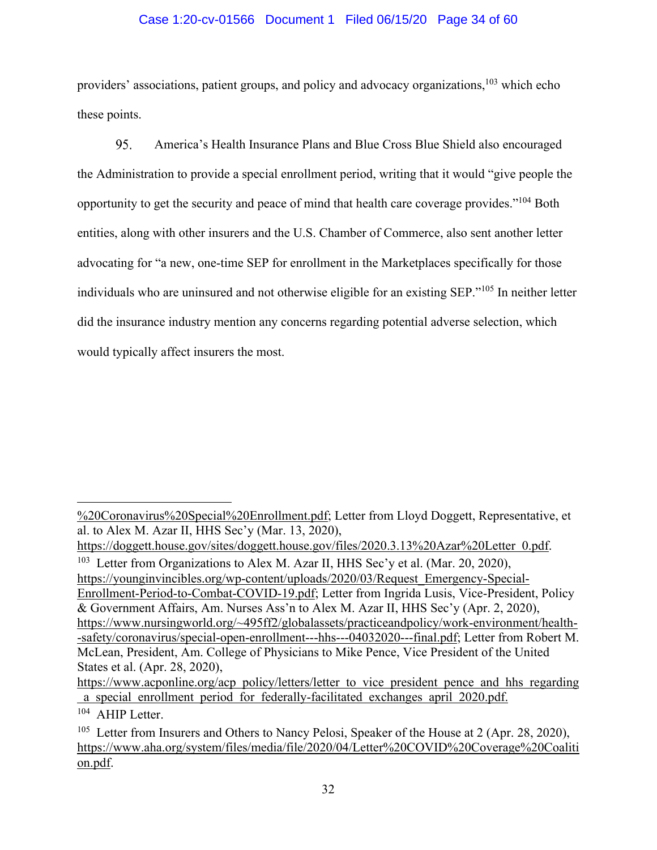# Case 1:20-cv-01566 Document 1 Filed 06/15/20 Page 34 of 60

providers' associations, patient groups, and policy and advocacy organizations,<sup>103</sup> which echo these points.

95. America's Health Insurance Plans and Blue Cross Blue Shield also encouraged the Administration to provide a special enrollment period, writing that it would "give people the opportunity to get the security and peace of mind that health care coverage provides."104 Both entities, along with other insurers and the U.S. Chamber of Commerce, also sent another letter advocating for "a new, one-time SEP for enrollment in the Marketplaces specifically for those individuals who are uninsured and not otherwise eligible for an existing SEP."105 In neither letter did the insurance industry mention any concerns regarding potential adverse selection, which would typically affect insurers the most.

<sup>%20</sup>Coronavirus%20Special%20Enrollment.pdf; Letter from Lloyd Doggett, Representative, et al. to Alex M. Azar II, HHS Sec'y (Mar. 13, 2020),

https://doggett.house.gov/sites/doggett.house.gov/files/2020.3.13%20Azar%20Letter 0.pdf.

<sup>&</sup>lt;sup>103</sup> Letter from Organizations to Alex M. Azar II, HHS Sec'y et al. (Mar. 20, 2020), https://younginvincibles.org/wp-content/uploads/2020/03/Request\_Emergency-Special-Enrollment-Period-to-Combat-COVID-19.pdf; Letter from Ingrida Lusis, Vice-President, Policy & Government Affairs, Am. Nurses Ass'n to Alex M. Azar II, HHS Sec'y (Apr. 2, 2020), https://www.nursingworld.org/~495ff2/globalassets/practiceandpolicy/work-environment/health- -safety/coronavirus/special-open-enrollment---hhs---04032020---final.pdf; Letter from Robert M. McLean, President, Am. College of Physicians to Mike Pence, Vice President of the United States et al. (Apr. 28, 2020),

https://www.acponline.org/acp policy/letters/letter to vice president pence and hhs regarding a special enrollment period for federally-facilitated exchanges april 2020.pdf.

<sup>104</sup> AHIP Letter.

<sup>&</sup>lt;sup>105</sup> Letter from Insurers and Others to Nancy Pelosi, Speaker of the House at 2 (Apr. 28, 2020), https://www.aha.org/system/files/media/file/2020/04/Letter%20COVID%20Coverage%20Coaliti on.pdf.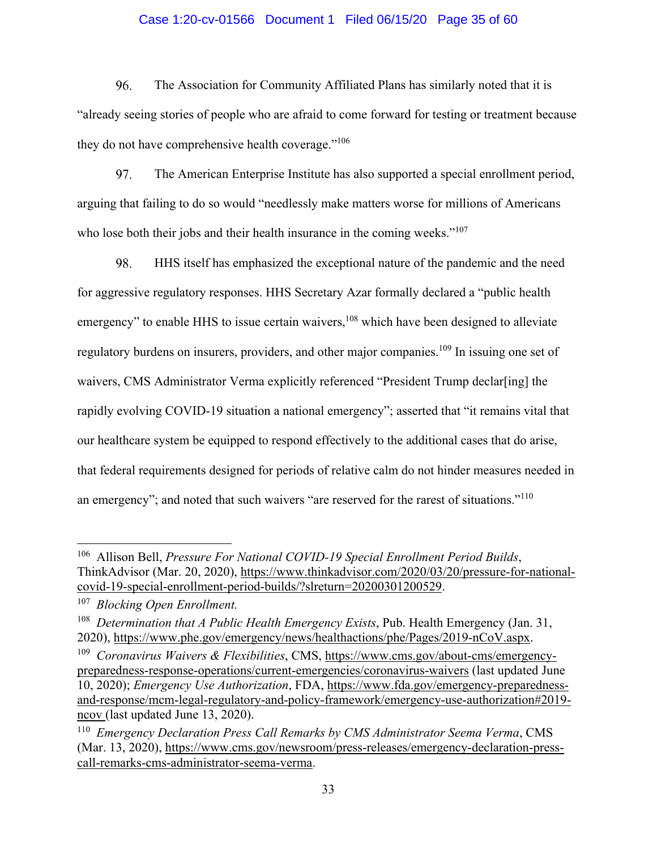## Case 1:20-cv-01566 Document 1 Filed 06/15/20 Page 35 of 60

96. The Association for Community Affiliated Plans has similarly noted that it is "already seeing stories of people who are afraid to come forward for testing or treatment because they do not have comprehensive health coverage."<sup>106</sup>

97. The American Enterprise Institute has also supported a special enrollment period, arguing that failing to do so would "needlessly make matters worse for millions of Americans who lose both their jobs and their health insurance in the coming weeks."<sup>107</sup>

98. HHS itself has emphasized the exceptional nature of the pandemic and the need for aggressive regulatory responses. HHS Secretary Azar formally declared a "public health emergency" to enable HHS to issue certain waivers,<sup>108</sup> which have been designed to alleviate regulatory burdens on insurers, providers, and other major companies.<sup>109</sup> In issuing one set of waivers, CMS Administrator Verma explicitly referenced "President Trump declar[ing] the rapidly evolving COVID-19 situation a national emergency"; asserted that "it remains vital that our healthcare system be equipped to respond effectively to the additional cases that do arise, that federal requirements designed for periods of relative calm do not hinder measures needed in an emergency"; and noted that such waivers "are reserved for the rarest of situations."<sup>110</sup>

<sup>106</sup> Allison Bell, *Pressure For National COVID-19 Special Enrollment Period Builds*, ThinkAdvisor (Mar. 20, 2020), https://www.thinkadvisor.com/2020/03/20/pressure-for-nationalcovid-19-special-enrollment-period-builds/?slreturn=20200301200529.

<sup>107</sup> *Blocking Open Enrollment.*

<sup>108</sup> *Determination that A Public Health Emergency Exists*, Pub. Health Emergency (Jan. 31, 2020), https://www.phe.gov/emergency/news/healthactions/phe/Pages/2019-nCoV.aspx.

<sup>109</sup> *Coronavirus Waivers & Flexibilities*, CMS, https://www.cms.gov/about-cms/emergencypreparedness-response-operations/current-emergencies/coronavirus-waivers (last updated June 10, 2020); *Emergency Use Authorization*, FDA, https://www.fda.gov/emergency-preparednessand-response/mcm-legal-regulatory-and-policy-framework/emergency-use-authorization#2019 ncov (last updated June 13, 2020).

<sup>110</sup> *Emergency Declaration Press Call Remarks by CMS Administrator Seema Verma*, CMS (Mar. 13, 2020), https://www.cms.gov/newsroom/press-releases/emergency-declaration-presscall-remarks-cms-administrator-seema-verma.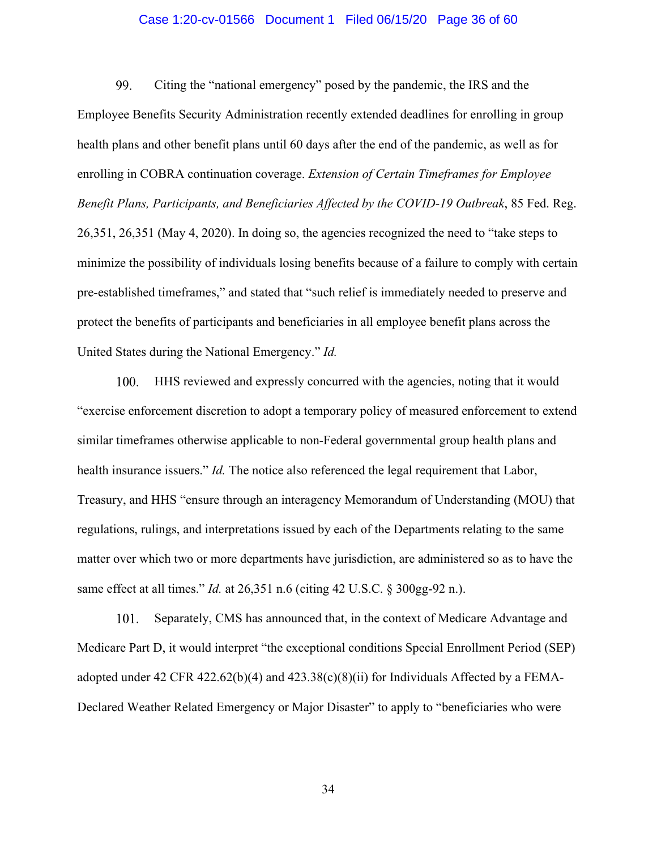### Case 1:20-cv-01566 Document 1 Filed 06/15/20 Page 36 of 60

99. Citing the "national emergency" posed by the pandemic, the IRS and the Employee Benefits Security Administration recently extended deadlines for enrolling in group health plans and other benefit plans until 60 days after the end of the pandemic, as well as for enrolling in COBRA continuation coverage. *Extension of Certain Timeframes for Employee Benefit Plans, Participants, and Beneficiaries Affected by the COVID-19 Outbreak*, 85 Fed. Reg. 26,351, 26,351 (May 4, 2020). In doing so, the agencies recognized the need to "take steps to minimize the possibility of individuals losing benefits because of a failure to comply with certain pre-established timeframes," and stated that "such relief is immediately needed to preserve and protect the benefits of participants and beneficiaries in all employee benefit plans across the United States during the National Emergency." *Id.*

 $100.$ HHS reviewed and expressly concurred with the agencies, noting that it would "exercise enforcement discretion to adopt a temporary policy of measured enforcement to extend similar timeframes otherwise applicable to non-Federal governmental group health plans and health insurance issuers." *Id.* The notice also referenced the legal requirement that Labor, Treasury, and HHS "ensure through an interagency Memorandum of Understanding (MOU) that regulations, rulings, and interpretations issued by each of the Departments relating to the same matter over which two or more departments have jurisdiction, are administered so as to have the same effect at all times." *Id.* at 26,351 n.6 (citing 42 U.S.C. § 300gg-92 n.).

101. Separately, CMS has announced that, in the context of Medicare Advantage and Medicare Part D, it would interpret "the exceptional conditions Special Enrollment Period (SEP) adopted under 42 CFR 422.62(b)(4) and 423.38(c)(8)(ii) for Individuals Affected by a FEMA-Declared Weather Related Emergency or Major Disaster" to apply to "beneficiaries who were

34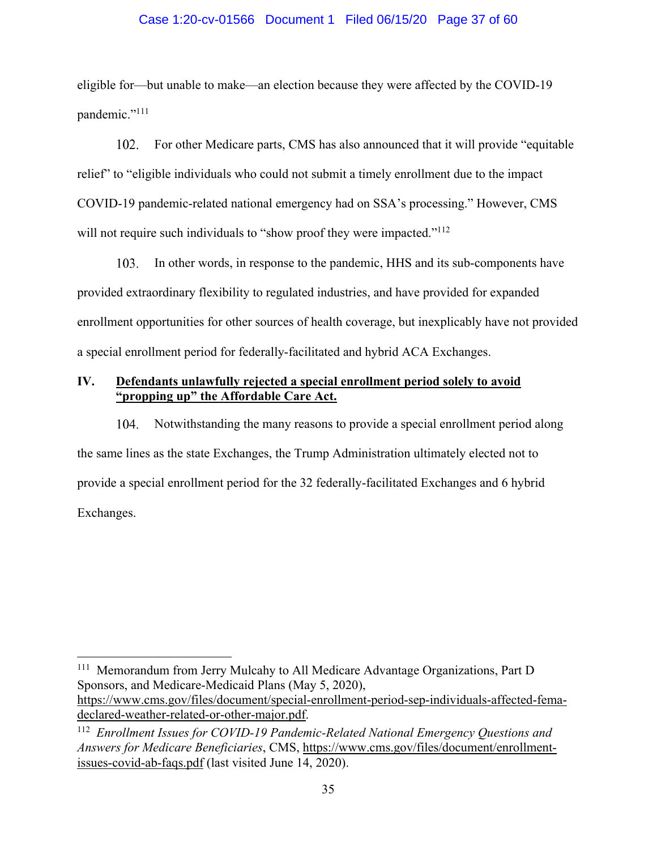# Case 1:20-cv-01566 Document 1 Filed 06/15/20 Page 37 of 60

eligible for—but unable to make—an election because they were affected by the COVID-19 pandemic."<sup>111</sup>

102. For other Medicare parts, CMS has also announced that it will provide "equitable relief" to "eligible individuals who could not submit a timely enrollment due to the impact COVID-19 pandemic-related national emergency had on SSA's processing." However, CMS will not require such individuals to "show proof they were impacted."<sup>112</sup>

103. In other words, in response to the pandemic, HHS and its sub-components have provided extraordinary flexibility to regulated industries, and have provided for expanded enrollment opportunities for other sources of health coverage, but inexplicably have not provided a special enrollment period for federally-facilitated and hybrid ACA Exchanges.

# **IV. Defendants unlawfully rejected a special enrollment period solely to avoid "propping up" the Affordable Care Act.**

104. Notwithstanding the many reasons to provide a special enrollment period along the same lines as the state Exchanges, the Trump Administration ultimately elected not to provide a special enrollment period for the 32 federally-facilitated Exchanges and 6 hybrid Exchanges.

<sup>111</sup> Memorandum from Jerry Mulcahy to All Medicare Advantage Organizations, Part D Sponsors, and Medicare-Medicaid Plans (May 5, 2020), https://www.cms.gov/files/document/special-enrollment-period-sep-individuals-affected-femadeclared-weather-related-or-other-major.pdf.

<sup>112</sup> *Enrollment Issues for COVID-19 Pandemic-Related National Emergency Questions and Answers for Medicare Beneficiaries*, CMS, https://www.cms.gov/files/document/enrollmentissues-covid-ab-faqs.pdf (last visited June 14, 2020).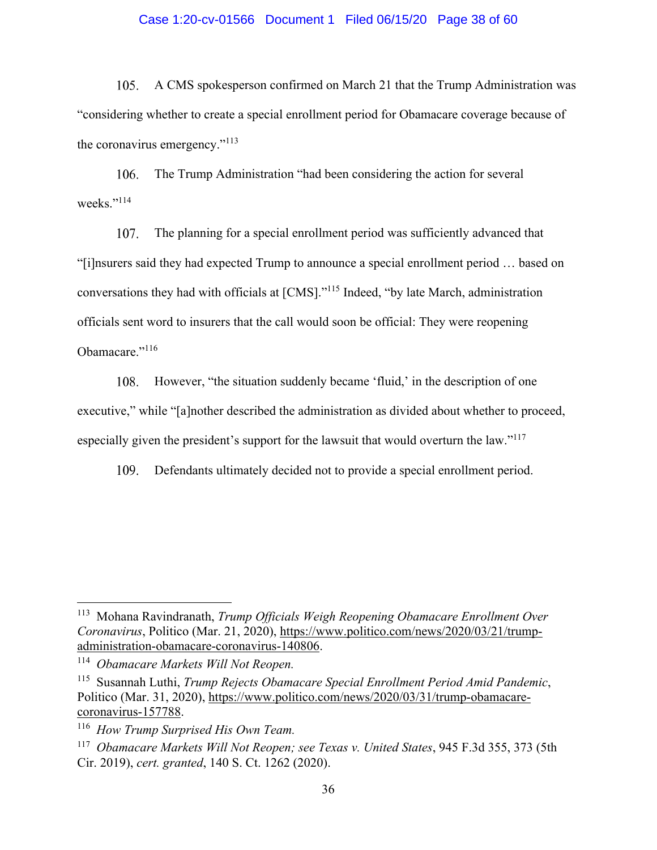## Case 1:20-cv-01566 Document 1 Filed 06/15/20 Page 38 of 60

 $105.$ A CMS spokesperson confirmed on March 21 that the Trump Administration was "considering whether to create a special enrollment period for Obamacare coverage because of the coronavirus emergency."<sup>113</sup>

106. The Trump Administration "had been considering the action for several weeks."<sup>114</sup>

107. The planning for a special enrollment period was sufficiently advanced that "[i]nsurers said they had expected Trump to announce a special enrollment period … based on conversations they had with officials at [CMS]."115 Indeed, "by late March, administration officials sent word to insurers that the call would soon be official: They were reopening Obamacare."<sup>116</sup>

However, "the situation suddenly became 'fluid,' in the description of one 108. executive," while "[a]nother described the administration as divided about whether to proceed, especially given the president's support for the lawsuit that would overturn the law."<sup>117</sup>

109. Defendants ultimately decided not to provide a special enrollment period.

<sup>113</sup> Mohana Ravindranath, *Trump Officials Weigh Reopening Obamacare Enrollment Over Coronavirus*, Politico (Mar. 21, 2020), https://www.politico.com/news/2020/03/21/trumpadministration-obamacare-coronavirus-140806.

<sup>114</sup> *Obamacare Markets Will Not Reopen.*

<sup>115</sup> Susannah Luthi, *Trump Rejects Obamacare Special Enrollment Period Amid Pandemic*, Politico (Mar. 31, 2020), https://www.politico.com/news/2020/03/31/trump-obamacarecoronavirus-157788.

<sup>116</sup> *How Trump Surprised His Own Team.*

<sup>117</sup> *Obamacare Markets Will Not Reopen; see Texas v. United States*, 945 F.3d 355, 373 (5th Cir. 2019), *cert. granted*, 140 S. Ct. 1262 (2020).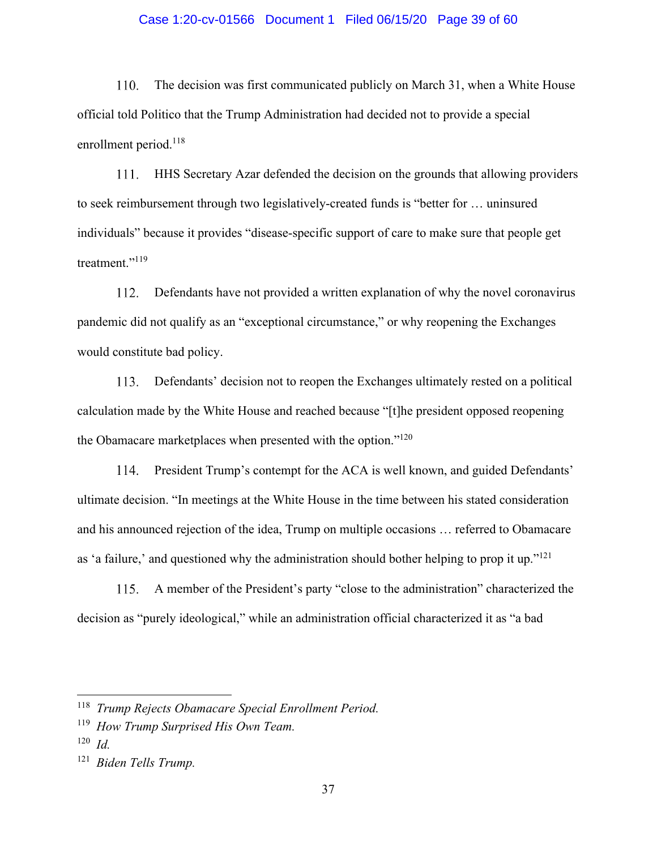## Case 1:20-cv-01566 Document 1 Filed 06/15/20 Page 39 of 60

 $110.$ The decision was first communicated publicly on March 31, when a White House official told Politico that the Trump Administration had decided not to provide a special enrollment period.<sup>118</sup>

111. HHS Secretary Azar defended the decision on the grounds that allowing providers to seek reimbursement through two legislatively-created funds is "better for … uninsured individuals" because it provides "disease-specific support of care to make sure that people get treatment."<sup>119</sup>

Defendants have not provided a written explanation of why the novel coronavirus 112. pandemic did not qualify as an "exceptional circumstance," or why reopening the Exchanges would constitute bad policy.

 $113.$ Defendants' decision not to reopen the Exchanges ultimately rested on a political calculation made by the White House and reached because "[t]he president opposed reopening the Obamacare marketplaces when presented with the option."<sup>120</sup>

114. President Trump's contempt for the ACA is well known, and guided Defendants' ultimate decision. "In meetings at the White House in the time between his stated consideration and his announced rejection of the idea, Trump on multiple occasions … referred to Obamacare as 'a failure,' and questioned why the administration should bother helping to prop it up."<sup>121</sup>

A member of the President's party "close to the administration" characterized the 115. decision as "purely ideological," while an administration official characterized it as "a bad

<sup>118</sup> *Trump Rejects Obamacare Special Enrollment Period.*

<sup>119</sup> *How Trump Surprised His Own Team.* 

<sup>120</sup> *Id.*

<sup>121</sup> *Biden Tells Trump.*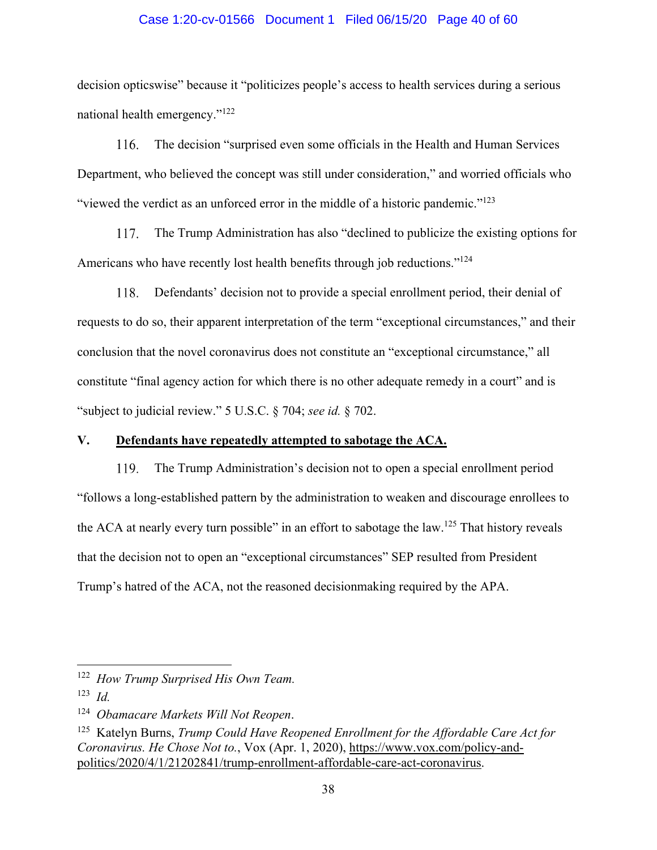### Case 1:20-cv-01566 Document 1 Filed 06/15/20 Page 40 of 60

decision opticswise" because it "politicizes people's access to health services during a serious national health emergency."122

116. The decision "surprised even some officials in the Health and Human Services Department, who believed the concept was still under consideration," and worried officials who "viewed the verdict as an unforced error in the middle of a historic pandemic."<sup>123</sup>

The Trump Administration has also "declined to publicize the existing options for 117. Americans who have recently lost health benefits through job reductions."<sup>124</sup>

Defendants' decision not to provide a special enrollment period, their denial of 118. requests to do so, their apparent interpretation of the term "exceptional circumstances," and their conclusion that the novel coronavirus does not constitute an "exceptional circumstance," all constitute "final agency action for which there is no other adequate remedy in a court" and is "subject to judicial review." 5 U.S.C. § 704; *see id.* § 702.

# **V. Defendants have repeatedly attempted to sabotage the ACA.**

The Trump Administration's decision not to open a special enrollment period 119. "follows a long-established pattern by the administration to weaken and discourage enrollees to the ACA at nearly every turn possible" in an effort to sabotage the law.<sup>125</sup> That history reveals that the decision not to open an "exceptional circumstances" SEP resulted from President Trump's hatred of the ACA, not the reasoned decisionmaking required by the APA.

<sup>122</sup> *How Trump Surprised His Own Team.*

<sup>123</sup> *Id.*

<sup>124</sup> *Obamacare Markets Will Not Reopen*.

<sup>125</sup> Katelyn Burns, *Trump Could Have Reopened Enrollment for the Affordable Care Act for Coronavirus. He Chose Not to.*, Vox (Apr. 1, 2020), https://www.vox.com/policy-andpolitics/2020/4/1/21202841/trump-enrollment-affordable-care-act-coronavirus.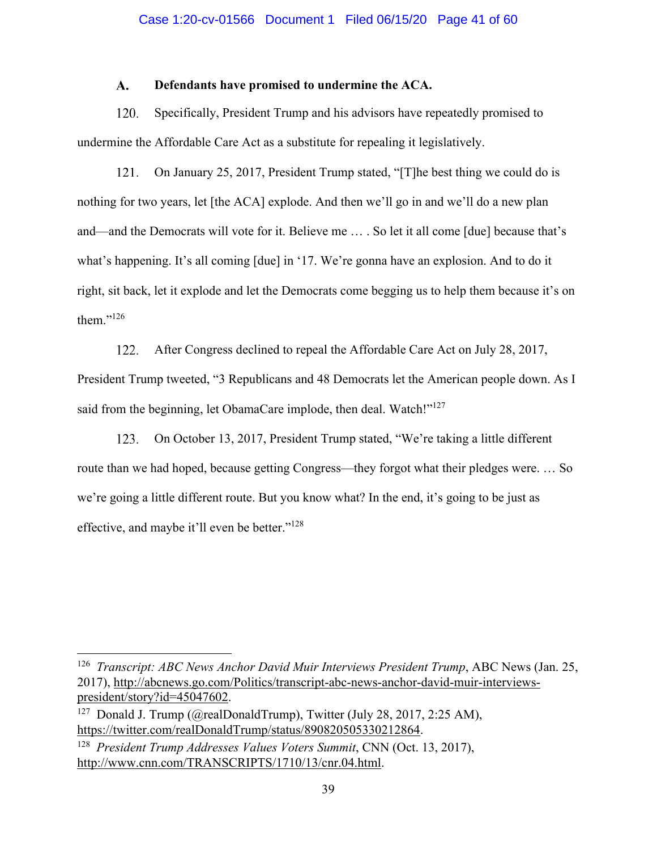#### $\mathbf{A}$ . **Defendants have promised to undermine the ACA.**

120. Specifically, President Trump and his advisors have repeatedly promised to undermine the Affordable Care Act as a substitute for repealing it legislatively.

121. On January 25, 2017, President Trump stated, "[T]he best thing we could do is nothing for two years, let [the ACA] explode. And then we'll go in and we'll do a new plan and—and the Democrats will vote for it. Believe me … . So let it all come [due] because that's what's happening. It's all coming [due] in '17. We're gonna have an explosion. And to do it right, sit back, let it explode and let the Democrats come begging us to help them because it's on them."126

122. After Congress declined to repeal the Affordable Care Act on July 28, 2017, President Trump tweeted, "3 Republicans and 48 Democrats let the American people down. As I said from the beginning, let ObamaCare implode, then deal. Watch!"<sup>127</sup>

 $123.$ On October 13, 2017, President Trump stated, "We're taking a little different route than we had hoped, because getting Congress—they forgot what their pledges were. … So we're going a little different route. But you know what? In the end, it's going to be just as effective, and maybe it'll even be better."128

<sup>&</sup>lt;sup>126</sup> *Transcript: ABC News Anchor David Muir Interviews President Trump*, ABC News (Jan. 25, 2017), http://abcnews.go.com/Politics/transcript-abc-news-anchor-david-muir-interviewspresident/story?id=45047602.

<sup>&</sup>lt;sup>127</sup> Donald J. Trump (@realDonaldTrump), Twitter (July 28, 2017, 2:25 AM), https://twitter.com/realDonaldTrump/status/890820505330212864.

<sup>128</sup> *President Trump Addresses Values Voters Summit*, CNN (Oct. 13, 2017), http://www.cnn.com/TRANSCRIPTS/1710/13/cnr.04.html.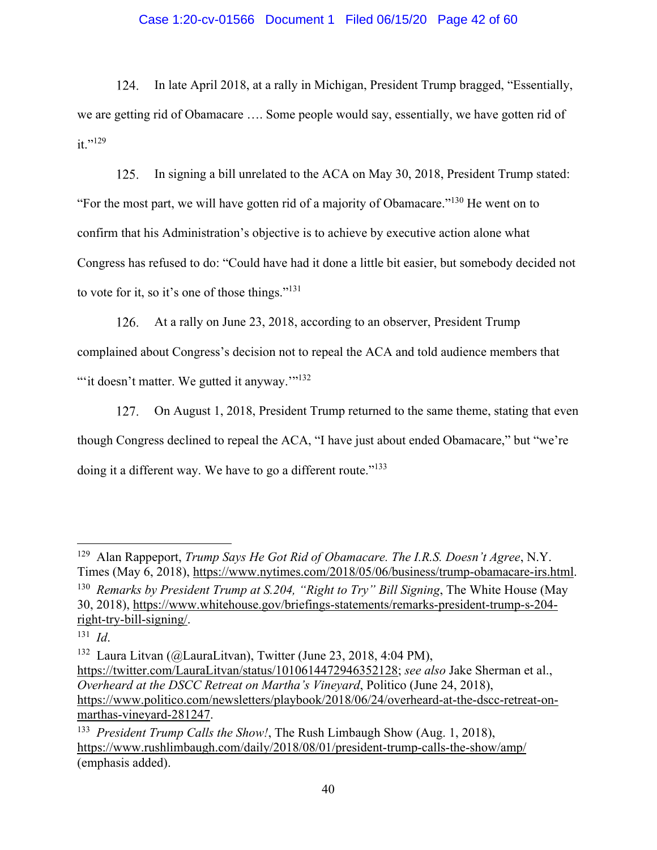# Case 1:20-cv-01566 Document 1 Filed 06/15/20 Page 42 of 60

124. In late April 2018, at a rally in Michigan, President Trump bragged, "Essentially, we are getting rid of Obamacare …. Some people would say, essentially, we have gotten rid of  $it.$ "<sup>129</sup>

In signing a bill unrelated to the ACA on May 30, 2018, President Trump stated:  $125.$ "For the most part, we will have gotten rid of a majority of Obamacare."130 He went on to confirm that his Administration's objective is to achieve by executive action alone what Congress has refused to do: "Could have had it done a little bit easier, but somebody decided not to vote for it, so it's one of those things."131

126. At a rally on June 23, 2018, according to an observer, President Trump complained about Congress's decision not to repeal the ACA and told audience members that ""it doesn't matter. We gutted it anyway."<sup>132</sup>

127. On August 1, 2018, President Trump returned to the same theme, stating that even though Congress declined to repeal the ACA, "I have just about ended Obamacare," but "we're doing it a different way. We have to go a different route."<sup>133</sup>

<sup>129</sup> Alan Rappeport, *Trump Says He Got Rid of Obamacare. The I.R.S. Doesn't Agree*, N.Y. Times (May 6, 2018), https://www.nytimes.com/2018/05/06/business/trump-obamacare-irs.html. 130 *Remarks by President Trump at S.204, "Right to Try" Bill Signing*, The White House (May 30, 2018), https://www.whitehouse.gov/briefings-statements/remarks-president-trump-s-204 right-try-bill-signing/.

<sup>131</sup> *Id*.

<sup>132</sup> Laura Litvan (@LauraLitvan), Twitter (June 23, 2018, 4:04 PM), https://twitter.com/LauraLitvan/status/1010614472946352128; *see also* Jake Sherman et al., *Overheard at the DSCC Retreat on Martha's Vineyard*, Politico (June 24, 2018), https://www.politico.com/newsletters/playbook/2018/06/24/overheard-at-the-dscc-retreat-onmarthas-vineyard-281247.

<sup>133</sup> *President Trump Calls the Show!*, The Rush Limbaugh Show (Aug. 1, 2018), https://www.rushlimbaugh.com/daily/2018/08/01/president-trump-calls-the-show/amp/ (emphasis added).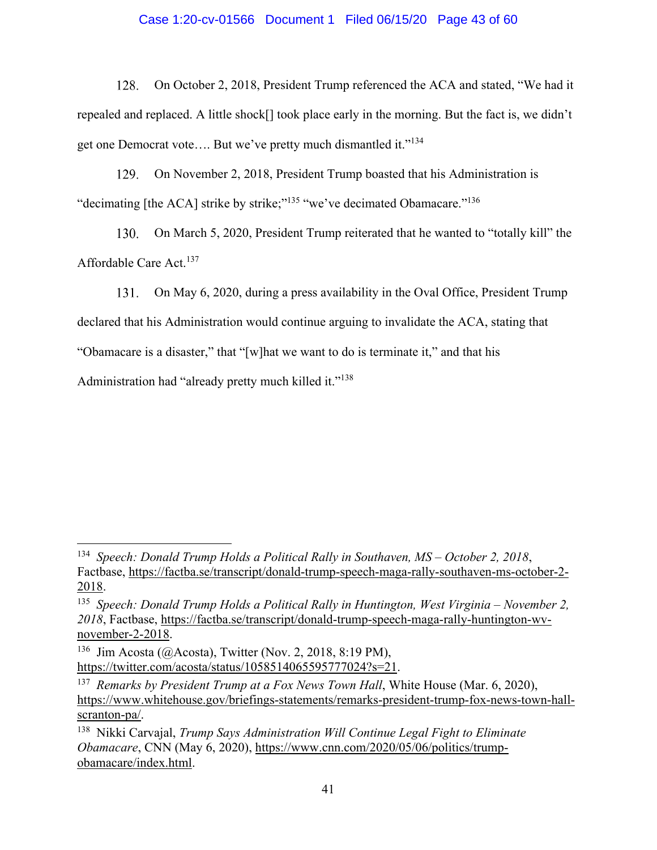# Case 1:20-cv-01566 Document 1 Filed 06/15/20 Page 43 of 60

On October 2, 2018, President Trump referenced the ACA and stated, "We had it 128. repealed and replaced. A little shock[] took place early in the morning. But the fact is, we didn't get one Democrat vote.... But we've pretty much dismantled it."<sup>134</sup>

 $129.$ On November 2, 2018, President Trump boasted that his Administration is "decimating [the ACA] strike by strike;"<sup>135</sup> "we've decimated Obamacare."<sup>136</sup>

130. On March 5, 2020, President Trump reiterated that he wanted to "totally kill" the Affordable Care Act.<sup>137</sup>

On May 6, 2020, during a press availability in the Oval Office, President Trump 131.

declared that his Administration would continue arguing to invalidate the ACA, stating that

"Obamacare is a disaster," that "[w]hat we want to do is terminate it," and that his

Administration had "already pretty much killed it."<sup>138</sup>

<sup>134</sup> *Speech: Donald Trump Holds a Political Rally in Southaven, MS – October 2, 2018*, Factbase, https://factba.se/transcript/donald-trump-speech-maga-rally-southaven-ms-october-2- 2018.

<sup>135</sup> *Speech: Donald Trump Holds a Political Rally in Huntington, West Virginia – November 2, 2018*, Factbase, https://factba.se/transcript/donald-trump-speech-maga-rally-huntington-wvnovember-2-2018.

<sup>&</sup>lt;sup>136</sup> Jim Acosta (@Acosta), Twitter (Nov. 2, 2018, 8:19 PM), https://twitter.com/acosta/status/1058514065595777024?s=21.

<sup>137</sup> *Remarks by President Trump at a Fox News Town Hall*, White House (Mar. 6, 2020), https://www.whitehouse.gov/briefings-statements/remarks-president-trump-fox-news-town-hallscranton-pa/.

<sup>138</sup> Nikki Carvajal, *Trump Says Administration Will Continue Legal Fight to Eliminate Obamacare*, CNN (May 6, 2020), https://www.cnn.com/2020/05/06/politics/trumpobamacare/index.html.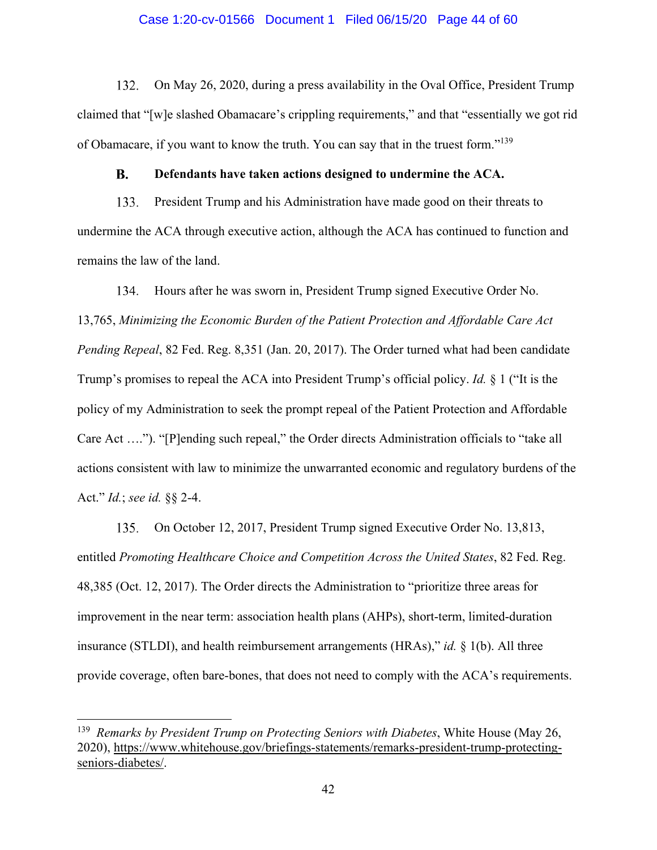#### Case 1:20-cv-01566 Document 1 Filed 06/15/20 Page 44 of 60

132. On May 26, 2020, during a press availability in the Oval Office, President Trump claimed that "[w]e slashed Obamacare's crippling requirements," and that "essentially we got rid of Obamacare, if you want to know the truth. You can say that in the truest form."139

#### **Defendants have taken actions designed to undermine the ACA. B.**

133. President Trump and his Administration have made good on their threats to undermine the ACA through executive action, although the ACA has continued to function and remains the law of the land.

Hours after he was sworn in, President Trump signed Executive Order No. 134. 13,765, *Minimizing the Economic Burden of the Patient Protection and Affordable Care Act Pending Repeal*, 82 Fed. Reg. 8,351 (Jan. 20, 2017). The Order turned what had been candidate Trump's promises to repeal the ACA into President Trump's official policy. *Id.* § 1 ("It is the policy of my Administration to seek the prompt repeal of the Patient Protection and Affordable Care Act …."). "[P]ending such repeal," the Order directs Administration officials to "take all actions consistent with law to minimize the unwarranted economic and regulatory burdens of the Act." *Id.*; *see id.* §§ 2-4.

On October 12, 2017, President Trump signed Executive Order No. 13,813, 135. entitled *Promoting Healthcare Choice and Competition Across the United States*, 82 Fed. Reg. 48,385 (Oct. 12, 2017). The Order directs the Administration to "prioritize three areas for improvement in the near term: association health plans (AHPs), short-term, limited-duration insurance (STLDI), and health reimbursement arrangements (HRAs)," *id.* § 1(b). All three provide coverage, often bare-bones, that does not need to comply with the ACA's requirements.

<sup>139</sup> *Remarks by President Trump on Protecting Seniors with Diabetes*, White House (May 26, 2020), https://www.whitehouse.gov/briefings-statements/remarks-president-trump-protectingseniors-diabetes/.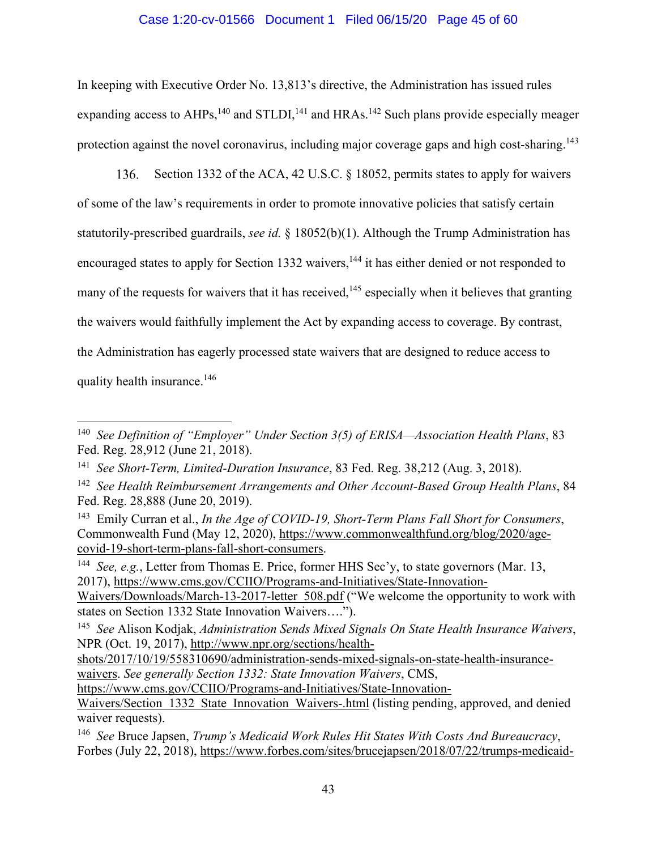# Case 1:20-cv-01566 Document 1 Filed 06/15/20 Page 45 of 60

In keeping with Executive Order No. 13,813's directive, the Administration has issued rules expanding access to  $AHPs$ ,<sup>140</sup> and  $STLDI$ ,<sup>141</sup> and  $HRAs$ .<sup>142</sup> Such plans provide especially meager protection against the novel coronavirus, including major coverage gaps and high cost-sharing.<sup>143</sup>

Section 1332 of the ACA, 42 U.S.C. § 18052, permits states to apply for waivers  $136.$ of some of the law's requirements in order to promote innovative policies that satisfy certain statutorily-prescribed guardrails, *see id.* § 18052(b)(1). Although the Trump Administration has encouraged states to apply for Section 1332 waivers,<sup>144</sup> it has either denied or not responded to many of the requests for waivers that it has received,<sup>145</sup> especially when it believes that granting the waivers would faithfully implement the Act by expanding access to coverage. By contrast, the Administration has eagerly processed state waivers that are designed to reduce access to quality health insurance.146

144 *See, e.g.*, Letter from Thomas E. Price, former HHS Sec'y, to state governors (Mar. 13, 2017), https://www.cms.gov/CCIIO/Programs-and-Initiatives/State-Innovation-Waivers/Downloads/March-13-2017-letter 508.pdf ("We welcome the opportunity to work with

states on Section 1332 State Innovation Waivers….").

<sup>140</sup> *See Definition of "Employer" Under Section 3(5) of ERISA—Association Health Plans*, 83 Fed. Reg. 28,912 (June 21, 2018).

<sup>141</sup> *See Short-Term, Limited-Duration Insurance*, 83 Fed. Reg. 38,212 (Aug. 3, 2018).

<sup>142</sup> *See Health Reimbursement Arrangements and Other Account-Based Group Health Plans*, 84 Fed. Reg. 28,888 (June 20, 2019).

<sup>143</sup> Emily Curran et al., *In the Age of COVID-19, Short-Term Plans Fall Short for Consumers*, Commonwealth Fund (May 12, 2020), https://www.commonwealthfund.org/blog/2020/agecovid-19-short-term-plans-fall-short-consumers.

<sup>145</sup> *See* Alison Kodjak, *Administration Sends Mixed Signals On State Health Insurance Waivers*, NPR (Oct. 19, 2017), http://www.npr.org/sections/health-

shots/2017/10/19/558310690/administration-sends-mixed-signals-on-state-health-insurancewaivers. *See generally Section 1332: State Innovation Waivers*, CMS,

https://www.cms.gov/CCIIO/Programs-and-Initiatives/State-Innovation-Waivers/Section 1332 State Innovation Waivers-.html (listing pending, approved, and denied waiver requests).

<sup>146</sup> *See* Bruce Japsen, *Trump's Medicaid Work Rules Hit States With Costs And Bureaucracy*, Forbes (July 22, 2018), https://www.forbes.com/sites/brucejapsen/2018/07/22/trumps-medicaid-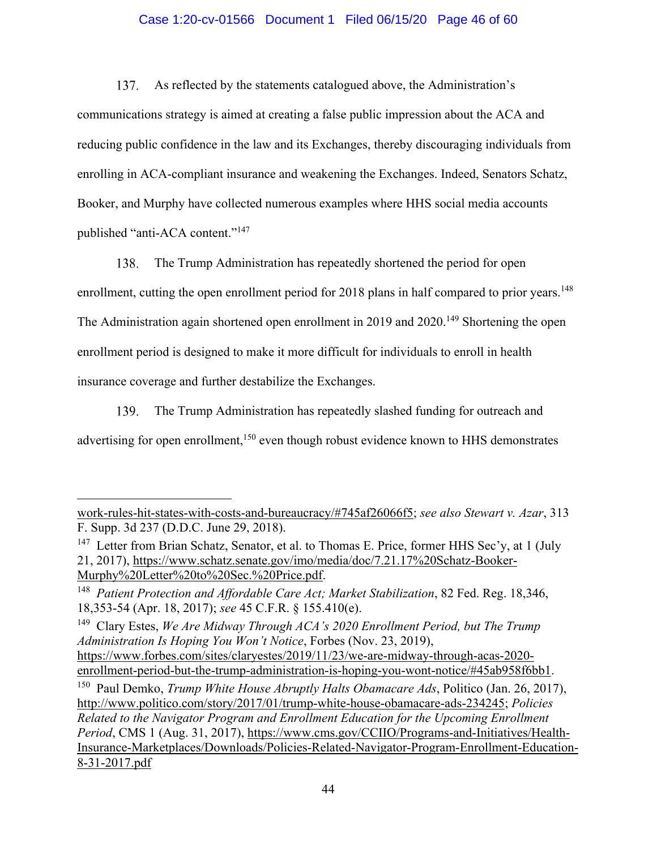# Case 1:20-cv-01566 Document 1 Filed 06/15/20 Page 46 of 60

137. As reflected by the statements catalogued above, the Administration's communications strategy is aimed at creating a false public impression about the ACA and reducing public confidence in the law and its Exchanges, thereby discouraging individuals from enrolling in ACA-compliant insurance and weakening the Exchanges. Indeed, Senators Schatz, Booker, and Murphy have collected numerous examples where HHS social media accounts published "anti-ACA content."147

138. The Trump Administration has repeatedly shortened the period for open enrollment, cutting the open enrollment period for 2018 plans in half compared to prior years.<sup>148</sup> The Administration again shortened open enrollment in 2019 and 2020.<sup>149</sup> Shortening the open enrollment period is designed to make it more difficult for individuals to enroll in health insurance coverage and further destabilize the Exchanges.

139. The Trump Administration has repeatedly slashed funding for outreach and advertising for open enrollment,<sup>150</sup> even though robust evidence known to HHS demonstrates

work-rules-hit-states-with-costs-and-bureaucracy/#745af26066f5; *see also Stewart v. Azar*, 313 F. Supp. 3d 237 (D.D.C. June 29, 2018).

<sup>&</sup>lt;sup>147</sup> Letter from Brian Schatz, Senator, et al. to Thomas E. Price, former HHS Sec'y, at 1 (July 21, 2017), https://www.schatz.senate.gov/imo/media/doc/7.21.17%20Schatz-Booker-Murphy%20Letter%20to%20Sec.%20Price.pdf.

<sup>148</sup> *Patient Protection and Affordable Care Act; Market Stabilization*, 82 Fed. Reg. 18,346, 18,353-54 (Apr. 18, 2017); *see* 45 C.F.R. § 155.410(e).

<sup>149</sup> Clary Estes, *We Are Midway Through ACA's 2020 Enrollment Period, but The Trump Administration Is Hoping You Won't Notice*, Forbes (Nov. 23, 2019), https://www.forbes.com/sites/claryestes/2019/11/23/we-are-midway-through-acas-2020 enrollment-period-but-the-trump-administration-is-hoping-you-wont-notice/#45ab958f6bb1.

<sup>150</sup> Paul Demko, *Trump White House Abruptly Halts Obamacare Ads*, Politico (Jan. 26, 2017), http://www.politico.com/story/2017/01/trump-white-house-obamacare-ads-234245; *Policies Related to the Navigator Program and Enrollment Education for the Upcoming Enrollment Period*, CMS 1 (Aug. 31, 2017), https://www.cms.gov/CCIIO/Programs-and-Initiatives/Health-Insurance-Marketplaces/Downloads/Policies-Related-Navigator-Program-Enrollment-Education-8-31-2017.pdf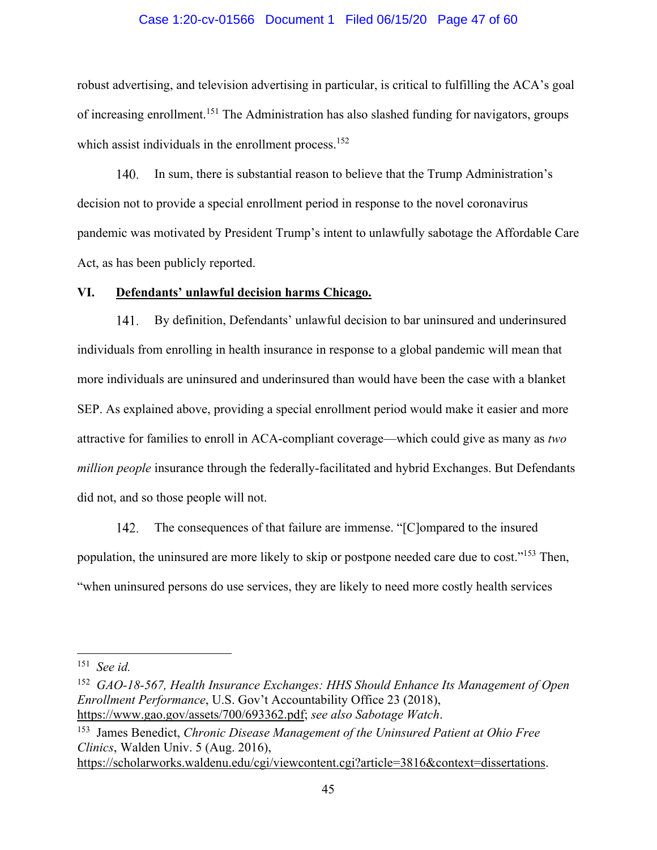### Case 1:20-cv-01566 Document 1 Filed 06/15/20 Page 47 of 60

robust advertising, and television advertising in particular, is critical to fulfilling the ACA's goal of increasing enrollment.151 The Administration has also slashed funding for navigators, groups which assist individuals in the enrollment process.<sup>152</sup>

140. In sum, there is substantial reason to believe that the Trump Administration's decision not to provide a special enrollment period in response to the novel coronavirus pandemic was motivated by President Trump's intent to unlawfully sabotage the Affordable Care Act, as has been publicly reported.

#### **VI. Defendants' unlawful decision harms Chicago.**

By definition, Defendants' unlawful decision to bar uninsured and underinsured  $141.$ individuals from enrolling in health insurance in response to a global pandemic will mean that more individuals are uninsured and underinsured than would have been the case with a blanket SEP. As explained above, providing a special enrollment period would make it easier and more attractive for families to enroll in ACA-compliant coverage—which could give as many as *two million people* insurance through the federally-facilitated and hybrid Exchanges. But Defendants did not, and so those people will not.

The consequences of that failure are immense. "[C]ompared to the insured  $142.$ population, the uninsured are more likely to skip or postpone needed care due to cost."153 Then, "when uninsured persons do use services, they are likely to need more costly health services

<sup>151</sup> *See id.*

<sup>152</sup> *GAO-18-567, Health Insurance Exchanges: HHS Should Enhance Its Management of Open Enrollment Performance*, U.S. Gov't Accountability Office 23 (2018), https://www.gao.gov/assets/700/693362.pdf; *see also Sabotage Watch*.

<sup>153</sup> James Benedict, *Chronic Disease Management of the Uninsured Patient at Ohio Free Clinics*, Walden Univ. 5 (Aug. 2016),

https://scholarworks.waldenu.edu/cgi/viewcontent.cgi?article=3816&context=dissertations.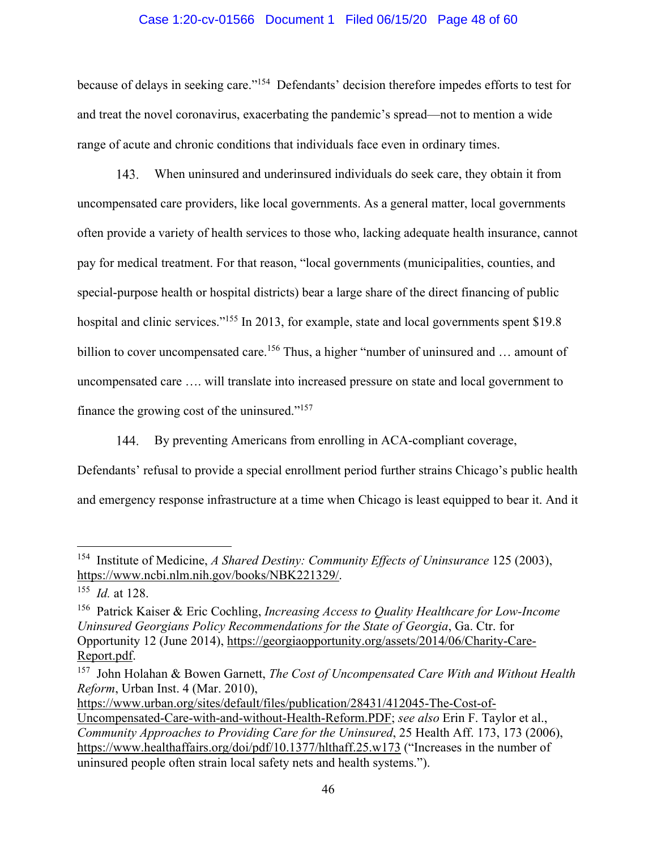## Case 1:20-cv-01566 Document 1 Filed 06/15/20 Page 48 of 60

because of delays in seeking care."154 Defendants' decision therefore impedes efforts to test for and treat the novel coronavirus, exacerbating the pandemic's spread—not to mention a wide range of acute and chronic conditions that individuals face even in ordinary times.

 $143.$ When uninsured and underinsured individuals do seek care, they obtain it from uncompensated care providers, like local governments. As a general matter, local governments often provide a variety of health services to those who, lacking adequate health insurance, cannot pay for medical treatment. For that reason, "local governments (municipalities, counties, and special-purpose health or hospital districts) bear a large share of the direct financing of public hospital and clinic services."<sup>155</sup> In 2013, for example, state and local governments spent \$19.8 billion to cover uncompensated care.<sup>156</sup> Thus, a higher "number of uninsured and ... amount of uncompensated care …. will translate into increased pressure on state and local government to finance the growing cost of the uninsured."<sup>157</sup>

By preventing Americans from enrolling in ACA-compliant coverage, 144.

Defendants' refusal to provide a special enrollment period further strains Chicago's public health and emergency response infrastructure at a time when Chicago is least equipped to bear it. And it

https://www.urban.org/sites/default/files/publication/28431/412045-The-Cost-of-

<sup>154</sup> Institute of Medicine, *A Shared Destiny: Community Effects of Uninsurance* 125 (2003), https://www.ncbi.nlm.nih.gov/books/NBK221329/.

<sup>155</sup> *Id.* at 128.

<sup>156</sup> Patrick Kaiser & Eric Cochling, *Increasing Access to Quality Healthcare for Low-Income Uninsured Georgians Policy Recommendations for the State of Georgia*, Ga. Ctr. for Opportunity 12 (June 2014), https://georgiaopportunity.org/assets/2014/06/Charity-Care-Report.pdf.

<sup>157</sup> John Holahan & Bowen Garnett, *The Cost of Uncompensated Care With and Without Health Reform*, Urban Inst. 4 (Mar. 2010),

Uncompensated-Care-with-and-without-Health-Reform.PDF; *see also* Erin F. Taylor et al., *Community Approaches to Providing Care for the Uninsured*, 25 Health Aff. 173, 173 (2006), https://www.healthaffairs.org/doi/pdf/10.1377/hlthaff.25.w173 ("Increases in the number of uninsured people often strain local safety nets and health systems.").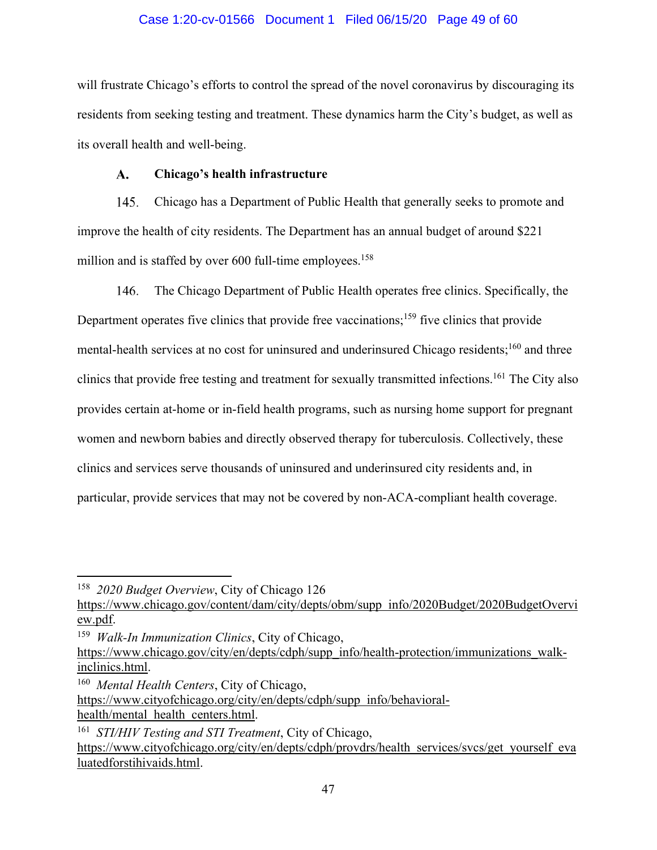## Case 1:20-cv-01566 Document 1 Filed 06/15/20 Page 49 of 60

will frustrate Chicago's efforts to control the spread of the novel coronavirus by discouraging its residents from seeking testing and treatment. These dynamics harm the City's budget, as well as its overall health and well-being.

#### $\mathbf{A}$ . **Chicago's health infrastructure**

145. Chicago has a Department of Public Health that generally seeks to promote and improve the health of city residents. The Department has an annual budget of around \$221 million and is staffed by over  $600$  full-time employees.<sup>158</sup>

The Chicago Department of Public Health operates free clinics. Specifically, the 146. Department operates five clinics that provide free vaccinations;<sup>159</sup> five clinics that provide mental-health services at no cost for uninsured and underinsured Chicago residents;<sup>160</sup> and three clinics that provide free testing and treatment for sexually transmitted infections.<sup>161</sup> The City also provides certain at-home or in-field health programs, such as nursing home support for pregnant women and newborn babies and directly observed therapy for tuberculosis. Collectively, these clinics and services serve thousands of uninsured and underinsured city residents and, in particular, provide services that may not be covered by non-ACA-compliant health coverage.

<sup>158</sup> *2020 Budget Overview*, City of Chicago 126

https://www.chicago.gov/content/dam/city/depts/obm/supp info/2020Budget/2020BudgetOvervi ew.pdf.

<sup>159</sup> *Walk-In Immunization Clinics*, City of Chicago,

https://www.chicago.gov/city/en/depts/cdph/supp\_info/health-protection/immunizations\_walkinclinics.html.

<sup>160</sup> *Mental Health Centers*, City of Chicago,

https://www.cityofchicago.org/city/en/depts/cdph/supp info/behavioralhealth/mental\_health\_centers.html.

<sup>161</sup> *STI/HIV Testing and STI Treatment*, City of Chicago, https://www.cityofchicago.org/city/en/depts/cdph/provdrs/health\_services/svcs/get\_yourself\_eva luatedforstihivaids.html.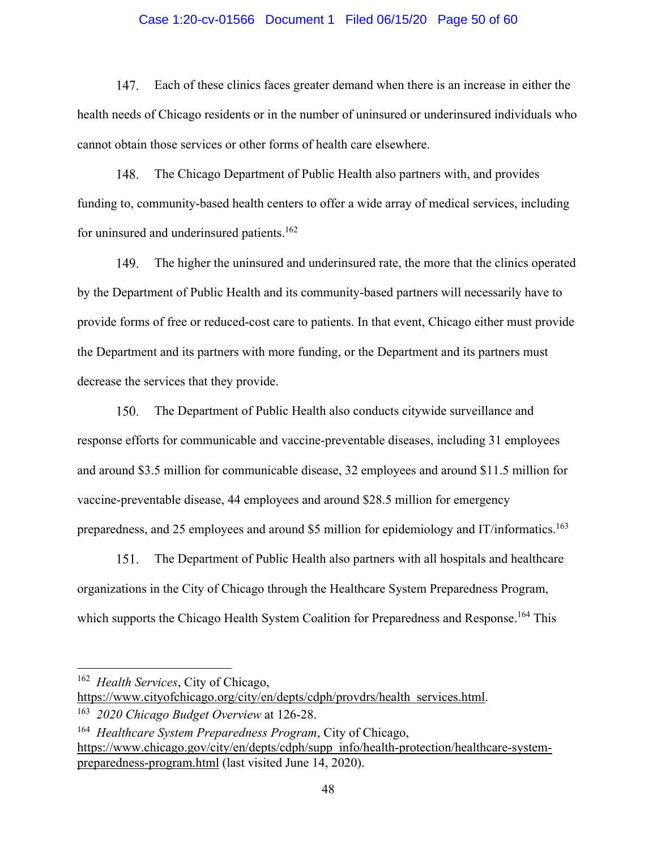### Case 1:20-cv-01566 Document 1 Filed 06/15/20 Page 50 of 60

 $147<sub>1</sub>$ Each of these clinics faces greater demand when there is an increase in either the health needs of Chicago residents or in the number of uninsured or underinsured individuals who cannot obtain those services or other forms of health care elsewhere.

148. The Chicago Department of Public Health also partners with, and provides funding to, community-based health centers to offer a wide array of medical services, including for uninsured and underinsured patients.<sup>162</sup>

149. The higher the uninsured and underinsured rate, the more that the clinics operated by the Department of Public Health and its community-based partners will necessarily have to provide forms of free or reduced-cost care to patients. In that event, Chicago either must provide the Department and its partners with more funding, or the Department and its partners must decrease the services that they provide.

150. The Department of Public Health also conducts citywide surveillance and response efforts for communicable and vaccine-preventable diseases, including 31 employees and around \$3.5 million for communicable disease, 32 employees and around \$11.5 million for vaccine-preventable disease, 44 employees and around \$28.5 million for emergency preparedness, and 25 employees and around \$5 million for epidemiology and IT/informatics.<sup>163</sup>

151. The Department of Public Health also partners with all hospitals and healthcare organizations in the City of Chicago through the Healthcare System Preparedness Program, which supports the Chicago Health System Coalition for Preparedness and Response.<sup>164</sup> This

<sup>162</sup> *Health Services*, City of Chicago,

https://www.cityofchicago.org/city/en/depts/cdph/provdrs/health services.html.

<sup>163</sup> *2020 Chicago Budget Overview* at 126-28.

<sup>164</sup> *Healthcare System Preparedness Program*, City of Chicago, https://www.chicago.gov/city/en/depts/cdph/supp\_info/health-protection/healthcare-systempreparedness-program.html (last visited June 14, 2020).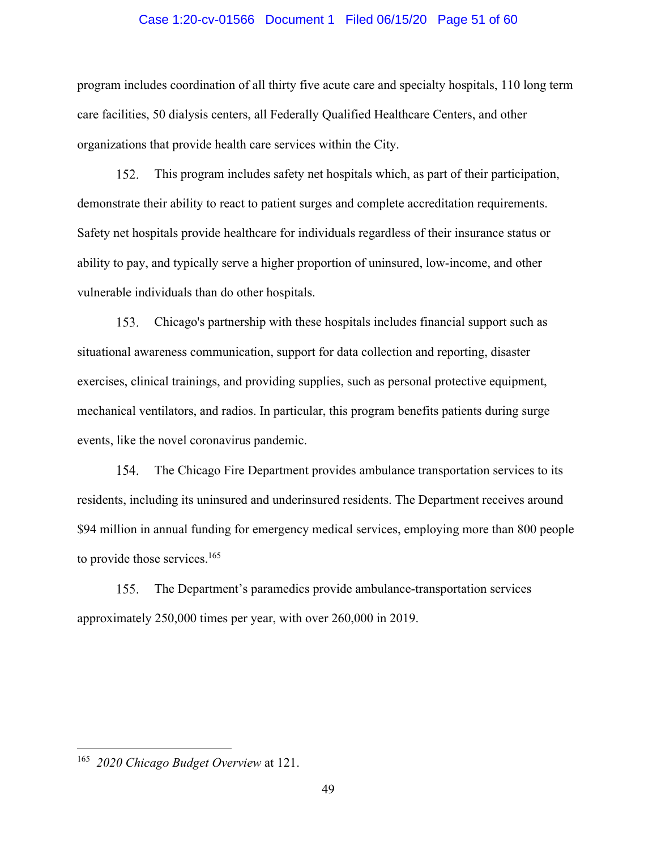#### Case 1:20-cv-01566 Document 1 Filed 06/15/20 Page 51 of 60

program includes coordination of all thirty five acute care and specialty hospitals, 110 long term care facilities, 50 dialysis centers, all Federally Qualified Healthcare Centers, and other organizations that provide health care services within the City.

152. This program includes safety net hospitals which, as part of their participation, demonstrate their ability to react to patient surges and complete accreditation requirements. Safety net hospitals provide healthcare for individuals regardless of their insurance status or ability to pay, and typically serve a higher proportion of uninsured, low-income, and other vulnerable individuals than do other hospitals.

Chicago's partnership with these hospitals includes financial support such as 153. situational awareness communication, support for data collection and reporting, disaster exercises, clinical trainings, and providing supplies, such as personal protective equipment, mechanical ventilators, and radios. In particular, this program benefits patients during surge events, like the novel coronavirus pandemic.

154. The Chicago Fire Department provides ambulance transportation services to its residents, including its uninsured and underinsured residents. The Department receives around \$94 million in annual funding for emergency medical services, employing more than 800 people to provide those services.<sup>165</sup>

The Department's paramedics provide ambulance-transportation services 155. approximately 250,000 times per year, with over 260,000 in 2019.

<sup>165</sup> *2020 Chicago Budget Overview* at 121.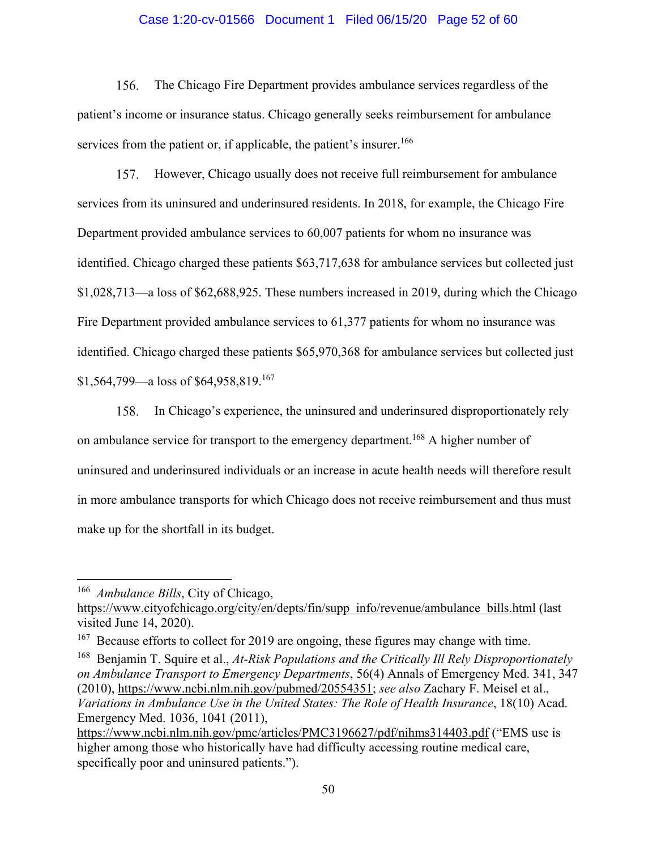## Case 1:20-cv-01566 Document 1 Filed 06/15/20 Page 52 of 60

 $156.$ The Chicago Fire Department provides ambulance services regardless of the patient's income or insurance status. Chicago generally seeks reimbursement for ambulance services from the patient or, if applicable, the patient's insurer.<sup>166</sup>

 $157.$ However, Chicago usually does not receive full reimbursement for ambulance services from its uninsured and underinsured residents. In 2018, for example, the Chicago Fire Department provided ambulance services to 60,007 patients for whom no insurance was identified. Chicago charged these patients \$63,717,638 for ambulance services but collected just \$1,028,713—a loss of \$62,688,925. These numbers increased in 2019, during which the Chicago Fire Department provided ambulance services to 61,377 patients for whom no insurance was identified. Chicago charged these patients \$65,970,368 for ambulance services but collected just \$1,564,799—a loss of \$64,958,819.<sup>167</sup>

In Chicago's experience, the uninsured and underinsured disproportionately rely on ambulance service for transport to the emergency department.<sup>168</sup> A higher number of uninsured and underinsured individuals or an increase in acute health needs will therefore result in more ambulance transports for which Chicago does not receive reimbursement and thus must make up for the shortfall in its budget.

168 Benjamin T. Squire et al., *At-Risk Populations and the Critically Ill Rely Disproportionately on Ambulance Transport to Emergency Departments*, 56(4) Annals of Emergency Med. 341, 347 (2010), https://www.ncbi.nlm.nih.gov/pubmed/20554351; *see also* Zachary F. Meisel et al., *Variations in Ambulance Use in the United States: The Role of Health Insurance*, 18(10) Acad. Emergency Med. 1036, 1041 (2011),

<sup>166</sup> *Ambulance Bills*, City of Chicago,

https://www.cityofchicago.org/city/en/depts/fin/supp info/revenue/ambulance bills.html (last visited June 14, 2020).

<sup>&</sup>lt;sup>167</sup> Because efforts to collect for 2019 are ongoing, these figures may change with time.

https://www.ncbi.nlm.nih.gov/pmc/articles/PMC3196627/pdf/nihms314403.pdf ("EMS use is higher among those who historically have had difficulty accessing routine medical care, specifically poor and uninsured patients.").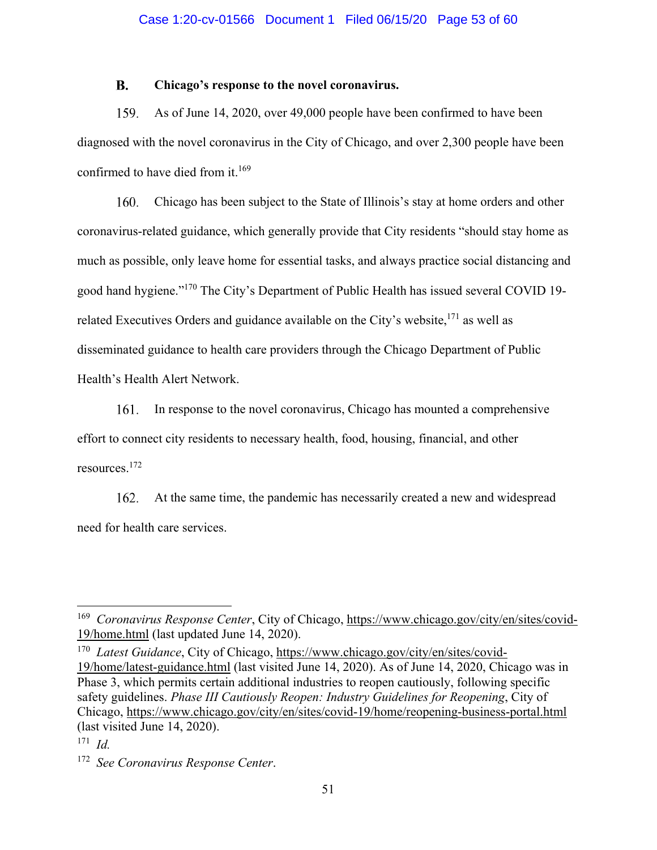#### $\mathbf{R}$ . **Chicago's response to the novel coronavirus.**

159. As of June 14, 2020, over 49,000 people have been confirmed to have been diagnosed with the novel coronavirus in the City of Chicago, and over 2,300 people have been confirmed to have died from it.<sup>169</sup>

Chicago has been subject to the State of Illinois's stay at home orders and other 160. coronavirus-related guidance, which generally provide that City residents "should stay home as much as possible, only leave home for essential tasks, and always practice social distancing and good hand hygiene."170 The City's Department of Public Health has issued several COVID 19 related Executives Orders and guidance available on the City's website,<sup>171</sup> as well as disseminated guidance to health care providers through the Chicago Department of Public Health's Health Alert Network.

In response to the novel coronavirus, Chicago has mounted a comprehensive  $161.$ effort to connect city residents to necessary health, food, housing, financial, and other resources.172

162. At the same time, the pandemic has necessarily created a new and widespread need for health care services.

<sup>169</sup> *Coronavirus Response Center*, City of Chicago, https://www.chicago.gov/city/en/sites/covid-19/home.html (last updated June 14, 2020).

<sup>170</sup> *Latest Guidance*, City of Chicago, https://www.chicago.gov/city/en/sites/covid-19/home/latest-guidance.html (last visited June 14, 2020). As of June 14, 2020, Chicago was in Phase 3, which permits certain additional industries to reopen cautiously, following specific safety guidelines. *Phase III Cautiously Reopen: Industry Guidelines for Reopening*, City of Chicago, https://www.chicago.gov/city/en/sites/covid-19/home/reopening-business-portal.html (last visited June 14, 2020).

<sup>171</sup> *Id.*

<sup>172</sup> *See Coronavirus Response Center*.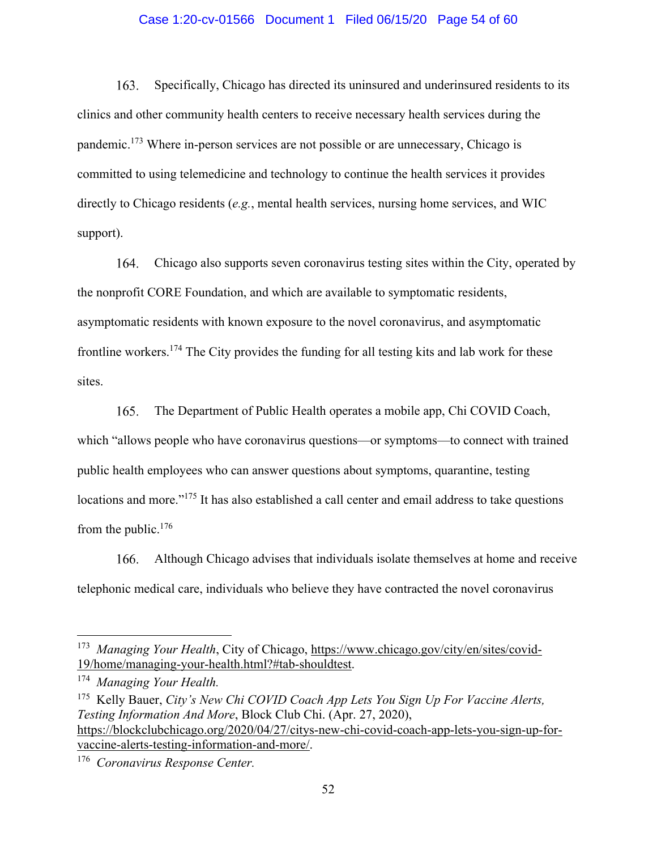## Case 1:20-cv-01566 Document 1 Filed 06/15/20 Page 54 of 60

 $163.$ Specifically, Chicago has directed its uninsured and underinsured residents to its clinics and other community health centers to receive necessary health services during the pandemic.173 Where in-person services are not possible or are unnecessary, Chicago is committed to using telemedicine and technology to continue the health services it provides directly to Chicago residents (*e.g.*, mental health services, nursing home services, and WIC support).

164. Chicago also supports seven coronavirus testing sites within the City, operated by the nonprofit CORE Foundation, and which are available to symptomatic residents, asymptomatic residents with known exposure to the novel coronavirus, and asymptomatic frontline workers.174 The City provides the funding for all testing kits and lab work for these sites.

165. The Department of Public Health operates a mobile app, Chi COVID Coach, which "allows people who have coronavirus questions—or symptoms—to connect with trained public health employees who can answer questions about symptoms, quarantine, testing locations and more."<sup>175</sup> It has also established a call center and email address to take questions from the public.176

Although Chicago advises that individuals isolate themselves at home and receive 166. telephonic medical care, individuals who believe they have contracted the novel coronavirus

175 Kelly Bauer, *City's New Chi COVID Coach App Lets You Sign Up For Vaccine Alerts, Testing Information And More*, Block Club Chi. (Apr. 27, 2020), https://blockclubchicago.org/2020/04/27/citys-new-chi-covid-coach-app-lets-you-sign-up-forvaccine-alerts-testing-information-and-more/.

<sup>&</sup>lt;sup>173</sup> Managing Your Health, City of Chicago, https://www.chicago.gov/city/en/sites/covid-19/home/managing-your-health.html?#tab-shouldtest.

<sup>174</sup> *Managing Your Health.* 

<sup>176</sup> *Coronavirus Response Center.*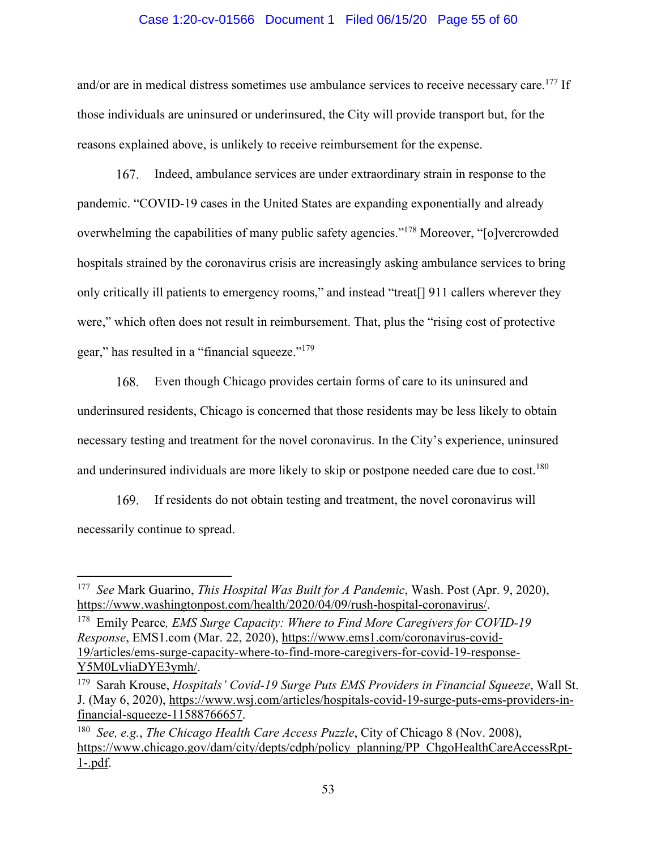### Case 1:20-cv-01566 Document 1 Filed 06/15/20 Page 55 of 60

and/or are in medical distress sometimes use ambulance services to receive necessary care.<sup>177</sup> If those individuals are uninsured or underinsured, the City will provide transport but, for the reasons explained above, is unlikely to receive reimbursement for the expense.

 $167.$ Indeed, ambulance services are under extraordinary strain in response to the pandemic. "COVID-19 cases in the United States are expanding exponentially and already overwhelming the capabilities of many public safety agencies."178 Moreover, "[o]vercrowded hospitals strained by the coronavirus crisis are increasingly asking ambulance services to bring only critically ill patients to emergency rooms," and instead "treat[] 911 callers wherever they were," which often does not result in reimbursement. That, plus the "rising cost of protective gear," has resulted in a "financial squeeze."179

Even though Chicago provides certain forms of care to its uninsured and 168. underinsured residents, Chicago is concerned that those residents may be less likely to obtain necessary testing and treatment for the novel coronavirus. In the City's experience, uninsured and underinsured individuals are more likely to skip or postpone needed care due to cost.<sup>180</sup>

169. If residents do not obtain testing and treatment, the novel coronavirus will necessarily continue to spread.

<sup>177</sup> *See* Mark Guarino, *This Hospital Was Built for A Pandemic*, Wash. Post (Apr. 9, 2020), https://www.washingtonpost.com/health/2020/04/09/rush-hospital-coronavirus/.

<sup>178</sup> Emily Pearce*, EMS Surge Capacity: Where to Find More Caregivers for COVID-19 Response*, EMS1.com (Mar. 22, 2020), https://www.ems1.com/coronavirus-covid-19/articles/ems-surge-capacity-where-to-find-more-caregivers-for-covid-19-response-Y5M0LvliaDYE3ymh/.

<sup>179</sup> Sarah Krouse, *Hospitals' Covid-19 Surge Puts EMS Providers in Financial Squeeze*, Wall St. J. (May 6, 2020), https://www.wsj.com/articles/hospitals-covid-19-surge-puts-ems-providers-infinancial-squeeze-11588766657.

<sup>180</sup> *See, e.g.*, *The Chicago Health Care Access Puzzle*, City of Chicago 8 (Nov. 2008), https://www.chicago.gov/dam/city/depts/cdph/policy\_planning/PP\_ChgoHealthCareAccessRpt-1-.pdf.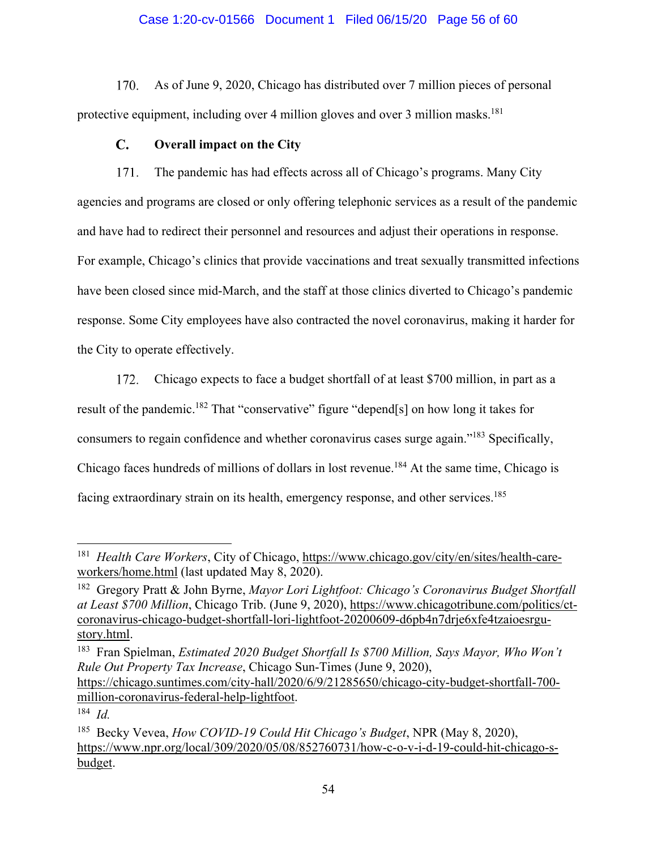# Case 1:20-cv-01566 Document 1 Filed 06/15/20 Page 56 of 60

170. As of June 9, 2020, Chicago has distributed over 7 million pieces of personal protective equipment, including over 4 million gloves and over 3 million masks.<sup>181</sup>

#### $\mathbf{C}$ . **Overall impact on the City**

The pandemic has had effects across all of Chicago's programs. Many City 171. agencies and programs are closed or only offering telephonic services as a result of the pandemic and have had to redirect their personnel and resources and adjust their operations in response. For example, Chicago's clinics that provide vaccinations and treat sexually transmitted infections have been closed since mid-March, and the staff at those clinics diverted to Chicago's pandemic response. Some City employees have also contracted the novel coronavirus, making it harder for the City to operate effectively.

172. Chicago expects to face a budget shortfall of at least \$700 million, in part as a result of the pandemic.<sup>182</sup> That "conservative" figure "depend[s] on how long it takes for consumers to regain confidence and whether coronavirus cases surge again."183 Specifically, Chicago faces hundreds of millions of dollars in lost revenue.<sup>184</sup> At the same time, Chicago is facing extraordinary strain on its health, emergency response, and other services.<sup>185</sup>

<sup>181</sup> *Health Care Workers*, City of Chicago, https://www.chicago.gov/city/en/sites/health-careworkers/home.html (last updated May 8, 2020).

<sup>182</sup> Gregory Pratt & John Byrne, *Mayor Lori Lightfoot: Chicago's Coronavirus Budget Shortfall at Least \$700 Million*, Chicago Trib. (June 9, 2020), https://www.chicagotribune.com/politics/ctcoronavirus-chicago-budget-shortfall-lori-lightfoot-20200609-d6pb4n7drje6xfe4tzaioesrgustory.html.

<sup>&</sup>lt;sup>183</sup> Fran Spielman, *Estimated 2020 Budget Shortfall Is \$700 Million, Says Mayor, Who Won't Rule Out Property Tax Increase*, Chicago Sun-Times (June 9, 2020), https://chicago.suntimes.com/city-hall/2020/6/9/21285650/chicago-city-budget-shortfall-700 million-coronavirus-federal-help-lightfoot.

<sup>184</sup> *Id.*

<sup>185</sup> Becky Vevea, *How COVID-19 Could Hit Chicago's Budget*, NPR (May 8, 2020), https://www.npr.org/local/309/2020/05/08/852760731/how-c-o-v-i-d-19-could-hit-chicago-sbudget.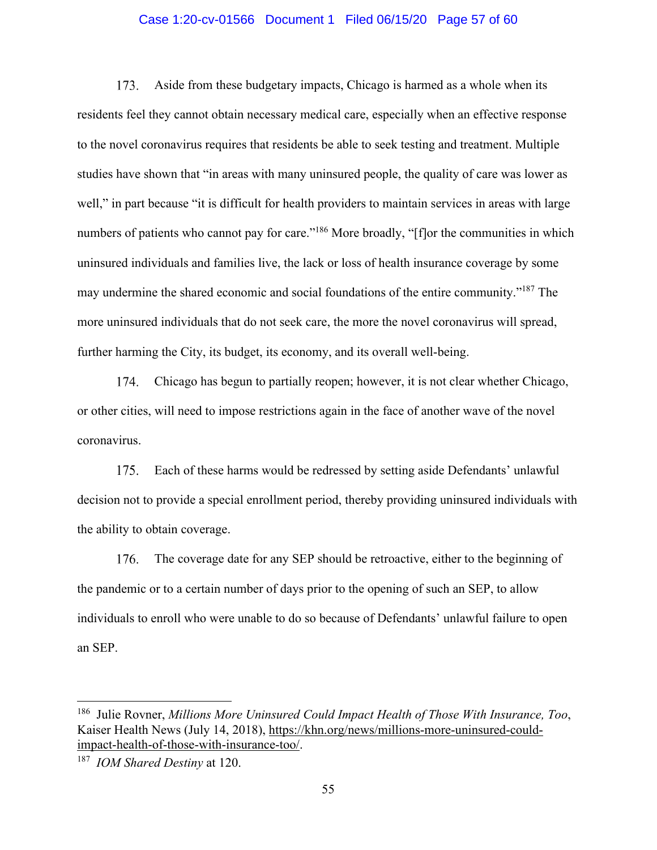## Case 1:20-cv-01566 Document 1 Filed 06/15/20 Page 57 of 60

 $173.$ Aside from these budgetary impacts, Chicago is harmed as a whole when its residents feel they cannot obtain necessary medical care, especially when an effective response to the novel coronavirus requires that residents be able to seek testing and treatment. Multiple studies have shown that "in areas with many uninsured people, the quality of care was lower as well," in part because "it is difficult for health providers to maintain services in areas with large numbers of patients who cannot pay for care."<sup>186</sup> More broadly, "[f]or the communities in which uninsured individuals and families live, the lack or loss of health insurance coverage by some may undermine the shared economic and social foundations of the entire community."187 The more uninsured individuals that do not seek care, the more the novel coronavirus will spread, further harming the City, its budget, its economy, and its overall well-being.

Chicago has begun to partially reopen; however, it is not clear whether Chicago, 174. or other cities, will need to impose restrictions again in the face of another wave of the novel coronavirus.

 $175.$ Each of these harms would be redressed by setting aside Defendants' unlawful decision not to provide a special enrollment period, thereby providing uninsured individuals with the ability to obtain coverage.

176. The coverage date for any SEP should be retroactive, either to the beginning of the pandemic or to a certain number of days prior to the opening of such an SEP, to allow individuals to enroll who were unable to do so because of Defendants' unlawful failure to open an SEP.

<sup>186</sup> Julie Rovner, *Millions More Uninsured Could Impact Health of Those With Insurance, Too*, Kaiser Health News (July 14, 2018), https://khn.org/news/millions-more-uninsured-couldimpact-health-of-those-with-insurance-too/.

<sup>187</sup> *IOM Shared Destiny* at 120.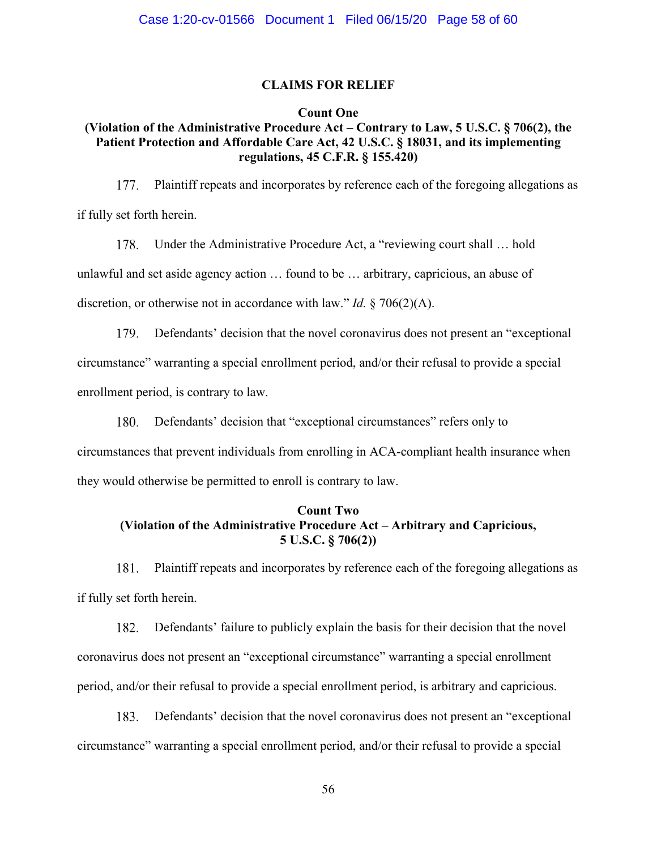### **CLAIMS FOR RELIEF**

## **Count One**

# **(Violation of the Administrative Procedure Act – Contrary to Law, 5 U.S.C. § 706(2), the Patient Protection and Affordable Care Act, 42 U.S.C. § 18031, and its implementing regulations, 45 C.F.R. § 155.420)**

 $177.$ Plaintiff repeats and incorporates by reference each of the foregoing allegations as if fully set forth herein.

178. Under the Administrative Procedure Act, a "reviewing court shall … hold unlawful and set aside agency action … found to be … arbitrary, capricious, an abuse of discretion, or otherwise not in accordance with law." *Id.* § 706(2)(A).

Defendants' decision that the novel coronavirus does not present an "exceptional circumstance" warranting a special enrollment period, and/or their refusal to provide a special enrollment period, is contrary to law.

180. Defendants' decision that "exceptional circumstances" refers only to circumstances that prevent individuals from enrolling in ACA-compliant health insurance when they would otherwise be permitted to enroll is contrary to law.

# **Count Two (Violation of the Administrative Procedure Act – Arbitrary and Capricious, 5 U.S.C. § 706(2))**

181. Plaintiff repeats and incorporates by reference each of the foregoing allegations as if fully set forth herein.

182. Defendants' failure to publicly explain the basis for their decision that the novel coronavirus does not present an "exceptional circumstance" warranting a special enrollment period, and/or their refusal to provide a special enrollment period, is arbitrary and capricious.

183. Defendants' decision that the novel coronavirus does not present an "exceptional circumstance" warranting a special enrollment period, and/or their refusal to provide a special

56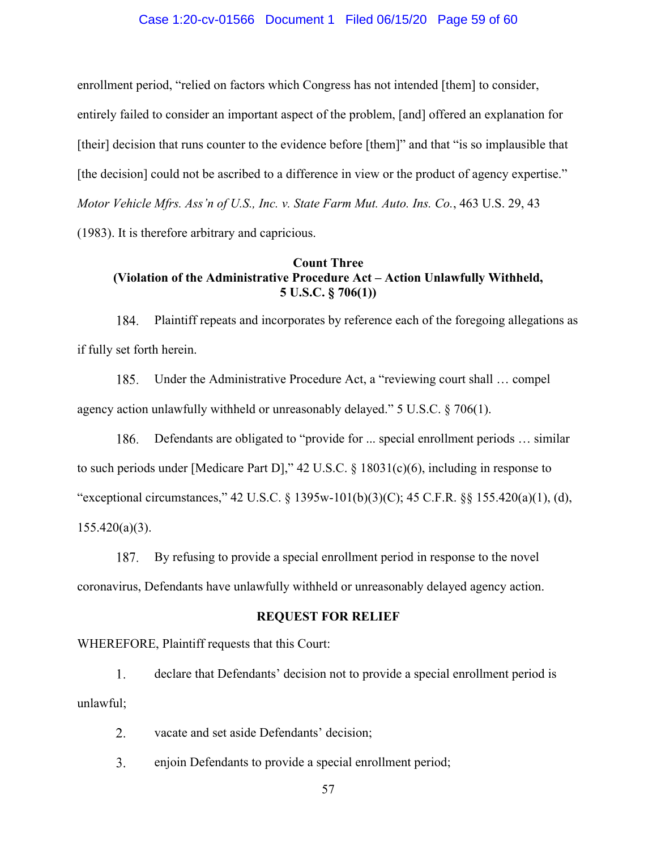#### Case 1:20-cv-01566 Document 1 Filed 06/15/20 Page 59 of 60

enrollment period, "relied on factors which Congress has not intended [them] to consider, entirely failed to consider an important aspect of the problem, [and] offered an explanation for [their] decision that runs counter to the evidence before [them]" and that "is so implausible that [the decision] could not be ascribed to a difference in view or the product of agency expertise." *Motor Vehicle Mfrs. Ass'n of U.S., Inc. v. State Farm Mut. Auto. Ins. Co.*, 463 U.S. 29, 43 (1983). It is therefore arbitrary and capricious.

# **Count Three (Violation of the Administrative Procedure Act – Action Unlawfully Withheld, 5 U.S.C. § 706(1))**

184. Plaintiff repeats and incorporates by reference each of the foregoing allegations as if fully set forth herein.

185. Under the Administrative Procedure Act, a "reviewing court shall … compel agency action unlawfully withheld or unreasonably delayed." 5 U.S.C. § 706(1).

186. Defendants are obligated to "provide for ... special enrollment periods … similar to such periods under [Medicare Part D]," 42 U.S.C. § 18031(c)(6), including in response to "exceptional circumstances," 42 U.S.C. § 1395w-101(b)(3)(C); 45 C.F.R. §§ 155.420(a)(1), (d),  $155.420(a)(3)$ .

By refusing to provide a special enrollment period in response to the novel 187. coronavirus, Defendants have unlawfully withheld or unreasonably delayed agency action.

#### **REQUEST FOR RELIEF**

WHEREFORE, Plaintiff requests that this Court:

 $1<sub>1</sub>$ declare that Defendants' decision not to provide a special enrollment period is unlawful;

 $2.$ vacate and set aside Defendants' decision;

 $3.$ enjoin Defendants to provide a special enrollment period;

57